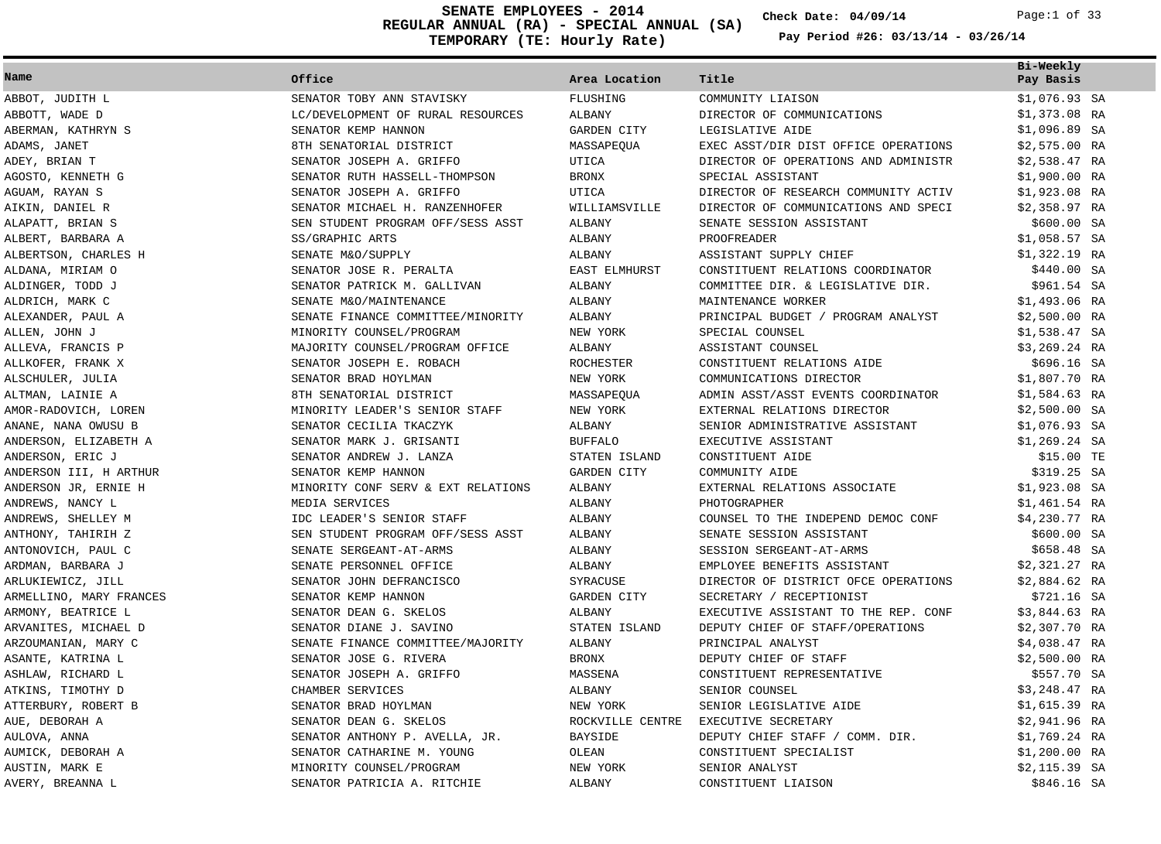**REGULAR ANNUAL (RA) - SPECIAL ANNUAL (SA) TEMPORARY (TE: Hourly Rate) SENATE EMPLOYEES - 2014 Check Date: 04/09/14** Page:1 of 33

**Check Date:**

|                         |                                    |                      |                                      | Bi-Weekly      |
|-------------------------|------------------------------------|----------------------|--------------------------------------|----------------|
| Name                    | Office                             | Area Location        | Title                                | Pay Basis      |
| ABBOT, JUDITH L         | SENATOR TOBY ANN STAVISKY          | FLUSHING             | COMMUNITY LIAISON                    | $$1,076.93$ SA |
| ABBOTT, WADE D          | LC/DEVELOPMENT OF RURAL RESOURCES  | ALBANY               | DIRECTOR OF COMMUNICATIONS           | $$1,373.08$ RA |
| ABERMAN, KATHRYN S      | SENATOR KEMP HANNON                | GARDEN CITY          | LEGISLATIVE AIDE                     | $$1,096.89$ SA |
| ADAMS, JANET            | 8TH SENATORIAL DISTRICT            | MASSAPEQUA           | EXEC ASST/DIR DIST OFFICE OPERATIONS | $$2,575.00$ RA |
| ADEY, BRIAN T           | SENATOR JOSEPH A. GRIFFO           | UTICA                | DIRECTOR OF OPERATIONS AND ADMINISTR | $$2,538.47$ RA |
| AGOSTO, KENNETH G       | SENATOR RUTH HASSELL-THOMPSON      | <b>BRONX</b>         | SPECIAL ASSISTANT                    | \$1,900.00 RA  |
| AGUAM, RAYAN S          | SENATOR JOSEPH A. GRIFFO           | UTICA                | DIRECTOR OF RESEARCH COMMUNITY ACTIV | \$1,923.08 RA  |
| AIKIN, DANIEL R         | SENATOR MICHAEL H. RANZENHOFER     | WILLIAMSVILLE        | DIRECTOR OF COMMUNICATIONS AND SPECI | $$2,358.97$ RA |
| ALAPATT, BRIAN S        | SEN STUDENT PROGRAM OFF/SESS ASST  | ALBANY               | SENATE SESSION ASSISTANT             | \$600.00 SA    |
| ALBERT, BARBARA A       | SS/GRAPHIC ARTS                    | ALBANY               | <b>PROOFREADER</b>                   | $$1,058.57$ SA |
| ALBERTSON, CHARLES H    | SENATE M&O/SUPPLY                  | <b>ALBANY</b>        | ASSISTANT SUPPLY CHIEF               | \$1,322.19 RA  |
| ALDANA, MIRIAM O        | SENATOR JOSE R. PERALTA            | <b>EAST ELMHURST</b> | CONSTITUENT RELATIONS COORDINATOR    | \$440.00 SA    |
| ALDINGER, TODD J        | SENATOR PATRICK M. GALLIVAN        | <b>ALBANY</b>        | COMMITTEE DIR. & LEGISLATIVE DIR.    | \$961.54 SA    |
| ALDRICH, MARK C         | SENATE M&O/MAINTENANCE             | ALBANY               | MAINTENANCE WORKER                   | \$1,493.06 RA  |
| ALEXANDER, PAUL A       | SENATE FINANCE COMMITTEE/MINORITY  | ALBANY               | PRINCIPAL BUDGET / PROGRAM ANALYST   | $$2,500.00$ RA |
| ALLEN, JOHN J           | MINORITY COUNSEL/PROGRAM           | NEW YORK             | SPECIAL COUNSEL                      | \$1,538.47 SA  |
| ALLEVA, FRANCIS P       | MAJORITY COUNSEL/PROGRAM OFFICE    | ALBANY               | ASSISTANT COUNSEL                    | $$3,269.24$ RA |
| ALLKOFER, FRANK X       | SENATOR JOSEPH E. ROBACH           | ROCHESTER            | CONSTITUENT RELATIONS AIDE           | \$696.16 SA    |
| ALSCHULER, JULIA        | SENATOR BRAD HOYLMAN               | NEW YORK             | COMMUNICATIONS DIRECTOR              | \$1,807.70 RA  |
| ALTMAN, LAINIE A        | 8TH SENATORIAL DISTRICT            | MASSAPEQUA           | ADMIN ASST/ASST EVENTS COORDINATOR   | $$1,584.63$ RA |
| AMOR-RADOVICH, LOREN    | MINORITY LEADER'S SENIOR STAFF     | NEW YORK             | EXTERNAL RELATIONS DIRECTOR          | $$2,500.00$ SA |
| ANANE, NANA OWUSU B     | SENATOR CECILIA TKACZYK            | ALBANY               | SENIOR ADMINISTRATIVE ASSISTANT      | $$1,076.93$ SA |
| ANDERSON, ELIZABETH A   | SENATOR MARK J. GRISANTI           | <b>BUFFALO</b>       | EXECUTIVE ASSISTANT                  | $$1,269.24$ SA |
| ANDERSON, ERIC J        | SENATOR ANDREW J. LANZA            | STATEN ISLAND        | CONSTITUENT AIDE                     | \$15.00 TE     |
| ANDERSON III, H ARTHUR  | SENATOR KEMP HANNON                | GARDEN CITY          | COMMUNITY AIDE                       | \$319.25 SA    |
| ANDERSON JR, ERNIE H    | MINORITY CONF SERV & EXT RELATIONS | ALBANY               | EXTERNAL RELATIONS ASSOCIATE         | $$1,923.08$ SA |
| ANDREWS, NANCY L        | MEDIA SERVICES                     | <b>ALBANY</b>        | PHOTOGRAPHER                         | $$1,461.54$ RA |
| ANDREWS, SHELLEY M      | IDC LEADER'S SENIOR STAFF          | ALBANY               | COUNSEL TO THE INDEPEND DEMOC CONF   | $$4,230.77$ RA |
| ANTHONY, TAHIRIH Z      | SEN STUDENT PROGRAM OFF/SESS ASST  | ALBANY               | SENATE SESSION ASSISTANT             | \$600.00 SA    |
| ANTONOVICH, PAUL C      | SENATE SERGEANT-AT-ARMS            | ALBANY               | SESSION SERGEANT-AT-ARMS             | \$658.48 SA    |
| ARDMAN, BARBARA J       | SENATE PERSONNEL OFFICE            | ALBANY               | EMPLOYEE BENEFITS ASSISTANT          | \$2,321.27 RA  |
| ARLUKIEWICZ, JILL       | SENATOR JOHN DEFRANCISCO           | SYRACUSE             | DIRECTOR OF DISTRICT OFCE OPERATIONS | \$2,884.62 RA  |
| ARMELLINO, MARY FRANCES | SENATOR KEMP HANNON                | <b>GARDEN CITY</b>   | SECRETARY / RECEPTIONIST             | \$721.16 SA    |
| ARMONY, BEATRICE L      | SENATOR DEAN G. SKELOS             | ALBANY               | EXECUTIVE ASSISTANT TO THE REP. CONF | $$3,844.63$ RA |
| ARVANITES, MICHAEL D    | SENATOR DIANE J. SAVINO            | STATEN ISLAND        | DEPUTY CHIEF OF STAFF/OPERATIONS     | \$2,307.70 RA  |
| ARZOUMANIAN, MARY C     | SENATE FINANCE COMMITTEE/MAJORITY  | ALBANY               | PRINCIPAL ANALYST                    | $$4,038.47$ RA |
| ASANTE, KATRINA L       | SENATOR JOSE G. RIVERA             | <b>BRONX</b>         | DEPUTY CHIEF OF STAFF                | $$2,500.00$ RA |
| ASHLAW, RICHARD L       | SENATOR JOSEPH A. GRIFFO           | MASSENA              | CONSTITUENT REPRESENTATIVE           | \$557.70 SA    |
| ATKINS, TIMOTHY D       | CHAMBER SERVICES                   | ALBANY               | SENIOR COUNSEL                       | $$3,248.47$ RA |
| ATTERBURY, ROBERT B     | SENATOR BRAD HOYLMAN               | NEW YORK             | SENIOR LEGISLATIVE AIDE              | \$1,615.39 RA  |
| AUE, DEBORAH A          | SENATOR DEAN G. SKELOS             | ROCKVILLE CENTRE     | EXECUTIVE SECRETARY                  | \$2,941.96 RA  |
| AULOVA, ANNA            | SENATOR ANTHONY P. AVELLA, JR.     | <b>BAYSIDE</b>       | DEPUTY CHIEF STAFF / COMM. DIR.      | $$1,769.24$ RA |
| AUMICK, DEBORAH A       | SENATOR CATHARINE M. YOUNG         | OLEAN                | CONSTITUENT SPECIALIST               | $$1,200.00$ RA |
| AUSTIN, MARK E          | MINORITY COUNSEL/PROGRAM           | NEW YORK             | SENIOR ANALYST                       | $$2,115.39$ SA |
| AVERY, BREANNA L        | SENATOR PATRICIA A. RITCHIE        | <b>ALBANY</b>        | CONSTITUENT LIAISON                  | \$846.16 SA    |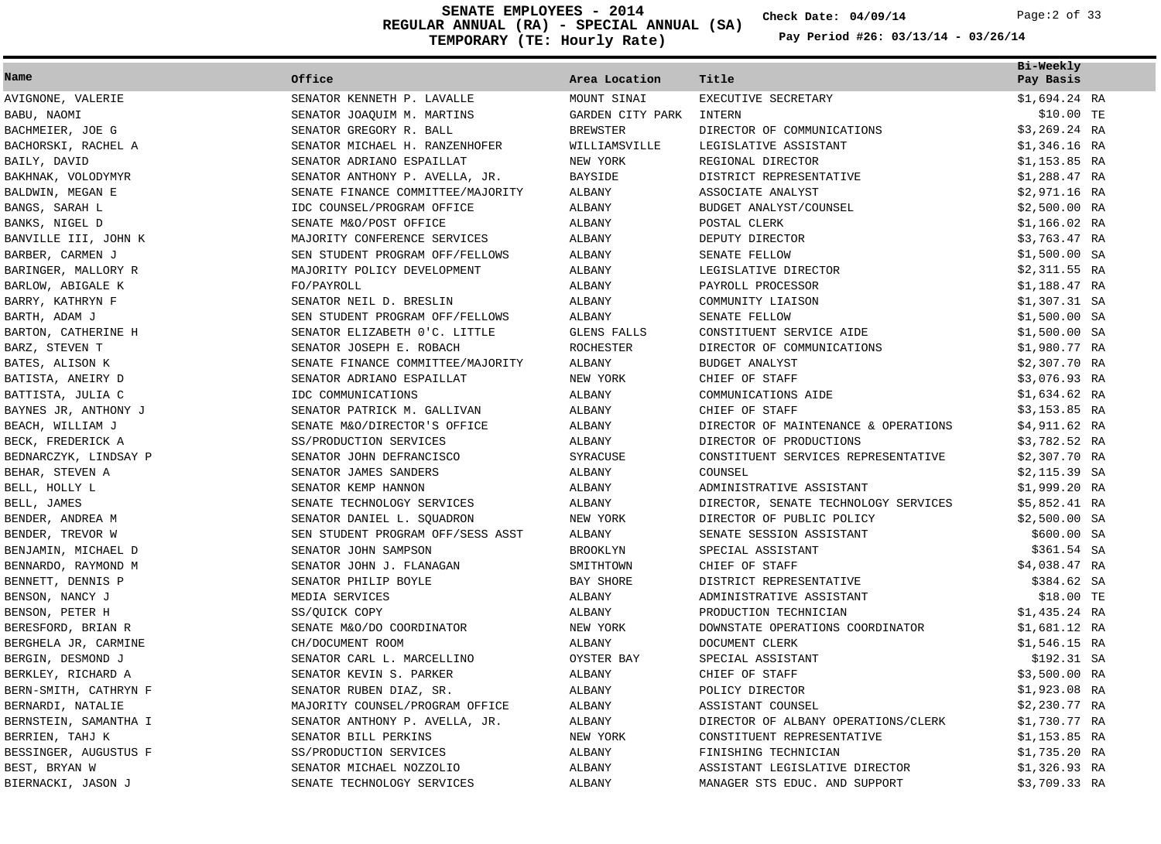**REGULAR ANNUAL (RA) - SPECIAL ANNUAL (SA) TEMPORARY (TE: Hourly Rate) SENATE EMPLOYEES - 2014 Check Date: 04/09/14** Page:2 of 33

**Check Date:**

| Name                  | Office                            | Area Location    | Title                                | Bi-Weekly<br>Pay Basis |
|-----------------------|-----------------------------------|------------------|--------------------------------------|------------------------|
| AVIGNONE, VALERIE     | SENATOR KENNETH P. LAVALLE        | MOUNT SINAI      | EXECUTIVE SECRETARY                  | $$1,694.24$ RA         |
| BABU, NAOMI           | SENATOR JOAQUIM M. MARTINS        | GARDEN CITY PARK | INTERN                               | \$10.00 TE             |
| BACHMEIER, JOE G      | SENATOR GREGORY R. BALL           | <b>BREWSTER</b>  | DIRECTOR OF COMMUNICATIONS           | $$3,269.24$ RA         |
| BACHORSKI, RACHEL A   | SENATOR MICHAEL H. RANZENHOFER    | WILLIAMSVILLE    | LEGISLATIVE ASSISTANT                | $$1,346.16$ RA         |
| BAILY, DAVID          | SENATOR ADRIANO ESPAILLAT         | NEW YORK         | REGIONAL DIRECTOR                    | \$1,153.85 RA          |
| BAKHNAK, VOLODYMYR    | SENATOR ANTHONY P. AVELLA, JR.    | <b>BAYSIDE</b>   | DISTRICT REPRESENTATIVE              | \$1,288.47 RA          |
| BALDWIN, MEGAN E      | SENATE FINANCE COMMITTEE/MAJORITY | ALBANY           | ASSOCIATE ANALYST                    | \$2,971.16 RA          |
| BANGS, SARAH L        | IDC COUNSEL/PROGRAM OFFICE        | ALBANY           | BUDGET ANALYST/COUNSEL               | $$2,500.00$ RA         |
| BANKS, NIGEL D        | SENATE M&O/POST OFFICE            | ALBANY           | POSTAL CLERK                         | $$1,166.02$ RA         |
| BANVILLE III, JOHN K  | MAJORITY CONFERENCE SERVICES      | ALBANY           | DEPUTY DIRECTOR                      | \$3,763.47 RA          |
| BARBER, CARMEN J      | SEN STUDENT PROGRAM OFF/FELLOWS   | <b>ALBANY</b>    | SENATE FELLOW                        | \$1,500.00 SA          |
| BARINGER, MALLORY R   | MAJORITY POLICY DEVELOPMENT       | ALBANY           | LEGISLATIVE DIRECTOR                 | \$2,311.55 RA          |
| BARLOW, ABIGALE K     | FO/PAYROLL                        | ALBANY           | PAYROLL PROCESSOR                    | \$1,188.47 RA          |
| BARRY, KATHRYN F      | SENATOR NEIL D. BRESLIN           | ALBANY           | COMMUNITY LIAISON                    | $$1,307.31$ SA         |
| BARTH, ADAM J         | SEN STUDENT PROGRAM OFF/FELLOWS   | ALBANY           | SENATE FELLOW                        | $$1,500.00$ SA         |
| BARTON, CATHERINE H   | SENATOR ELIZABETH 0'C. LITTLE     | GLENS FALLS      | CONSTITUENT SERVICE AIDE             | \$1,500.00 SA          |
| BARZ, STEVEN T        | SENATOR JOSEPH E. ROBACH          | ROCHESTER        | DIRECTOR OF COMMUNICATIONS           | \$1,980.77 RA          |
| BATES, ALISON K       | SENATE FINANCE COMMITTEE/MAJORITY | ALBANY           | BUDGET ANALYST                       | \$2,307.70 RA          |
| BATISTA, ANEIRY D     | SENATOR ADRIANO ESPAILLAT         | NEW YORK         | CHIEF OF STAFF                       | \$3,076.93 RA          |
| BATTISTA, JULIA C     | IDC COMMUNICATIONS                | ALBANY           | COMMUNICATIONS AIDE                  | \$1,634.62 RA          |
| BAYNES JR, ANTHONY J  | SENATOR PATRICK M. GALLIVAN       | ALBANY           | CHIEF OF STAFF                       | \$3,153.85 RA          |
| BEACH, WILLIAM J      | SENATE M&O/DIRECTOR'S OFFICE      | ALBANY           | DIRECTOR OF MAINTENANCE & OPERATIONS | \$4,911.62 RA          |
| BECK, FREDERICK A     | SS/PRODUCTION SERVICES            | ALBANY           | DIRECTOR OF PRODUCTIONS              | \$3,782.52 RA          |
| BEDNARCZYK, LINDSAY P | SENATOR JOHN DEFRANCISCO          | SYRACUSE         | CONSTITUENT SERVICES REPRESENTATIVE  | \$2,307.70 RA          |
| BEHAR, STEVEN A       | SENATOR JAMES SANDERS             | ALBANY           | COUNSEL                              | \$2,115.39 SA          |
| BELL, HOLLY L         | SENATOR KEMP HANNON               | ALBANY           | ADMINISTRATIVE ASSISTANT             | \$1,999.20 RA          |
| BELL, JAMES           | SENATE TECHNOLOGY SERVICES        | ALBANY           | DIRECTOR, SENATE TECHNOLOGY SERVICES | \$5,852.41 RA          |
| BENDER, ANDREA M      | SENATOR DANIEL L. SOUADRON        | NEW YORK         | DIRECTOR OF PUBLIC POLICY            | $$2,500.00$ SA         |
| BENDER, TREVOR W      | SEN STUDENT PROGRAM OFF/SESS ASST | ALBANY           | SENATE SESSION ASSISTANT             | \$600.00 SA            |
| BENJAMIN, MICHAEL D   | SENATOR JOHN SAMPSON              | <b>BROOKLYN</b>  | SPECIAL ASSISTANT                    | \$361.54 SA            |
| BENNARDO, RAYMOND M   | SENATOR JOHN J. FLANAGAN          | SMITHTOWN        | CHIEF OF STAFF                       | \$4,038.47 RA          |
| BENNETT, DENNIS P     | SENATOR PHILIP BOYLE              | <b>BAY SHORE</b> | DISTRICT REPRESENTATIVE              | \$384.62 SA            |
| BENSON, NANCY J       | MEDIA SERVICES                    | ALBANY           | ADMINISTRATIVE ASSISTANT             | \$18.00 TE             |
| BENSON, PETER H       | SS/QUICK COPY                     | ALBANY           | PRODUCTION TECHNICIAN                | \$1,435.24 RA          |
| BERESFORD, BRIAN R    | SENATE M&O/DO COORDINATOR         | NEW YORK         | DOWNSTATE OPERATIONS COORDINATOR     | \$1,681.12 RA          |
| BERGHELA JR, CARMINE  | CH/DOCUMENT ROOM                  | ALBANY           | DOCUMENT CLERK                       | $$1,546.15$ RA         |
| BERGIN, DESMOND J     | SENATOR CARL L. MARCELLINO        | OYSTER BAY       | SPECIAL ASSISTANT                    | \$192.31 SA            |
| BERKLEY, RICHARD A    | SENATOR KEVIN S. PARKER           | <b>ALBANY</b>    | CHIEF OF STAFF                       | \$3,500.00 RA          |
| BERN-SMITH, CATHRYN F | SENATOR RUBEN DIAZ, SR.           | <b>ALBANY</b>    | POLICY DIRECTOR                      | \$1,923.08 RA          |
| BERNARDI, NATALIE     | MAJORITY COUNSEL/PROGRAM OFFICE   | ALBANY           | ASSISTANT COUNSEL                    | \$2,230.77 RA          |
| BERNSTEIN, SAMANTHA I | SENATOR ANTHONY P. AVELLA, JR.    | ALBANY           | DIRECTOR OF ALBANY OPERATIONS/CLERK  | \$1,730.77 RA          |
| BERRIEN, TAHJ K       | SENATOR BILL PERKINS              | NEW YORK         | CONSTITUENT REPRESENTATIVE           | $$1,153.85$ RA         |
| BESSINGER, AUGUSTUS F | SS/PRODUCTION SERVICES            | <b>ALBANY</b>    | FINISHING TECHNICIAN                 | \$1,735.20 RA          |
| BEST, BRYAN W         | SENATOR MICHAEL NOZZOLIO          | <b>ALBANY</b>    | ASSISTANT LEGISLATIVE DIRECTOR       | \$1,326.93 RA          |
| BIERNACKI, JASON J    | SENATE TECHNOLOGY SERVICES        | ALBANY           | MANAGER STS EDUC. AND SUPPORT        | \$3,709.33 RA          |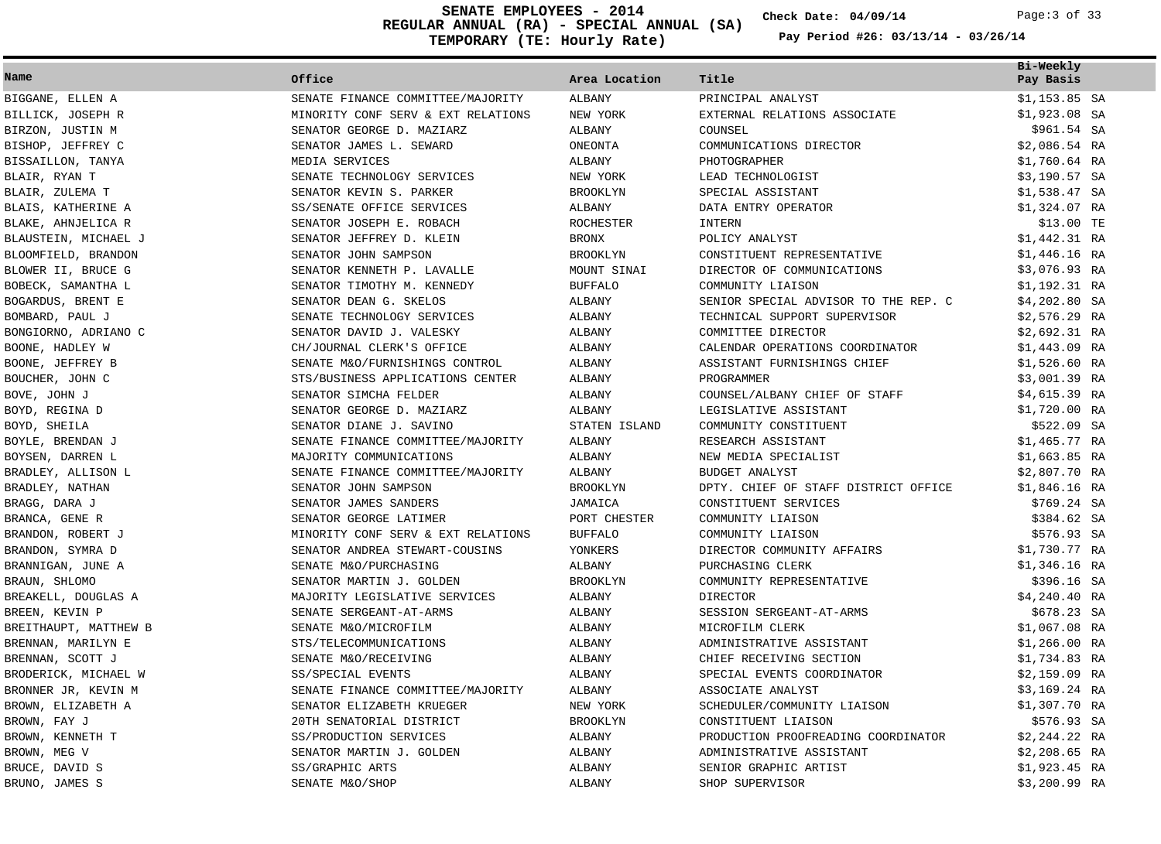**REGULAR ANNUAL (RA) - SPECIAL ANNUAL (SA) TEMPORARY (TE: Hourly Rate) SENATE EMPLOYEES - 2014 Check Date: 04/09/14** Page:3 of 33

**Check Date:**

| Name                  | Office                             | Area Location    | Title                                | Bi-Weekly<br>Pay Basis |
|-----------------------|------------------------------------|------------------|--------------------------------------|------------------------|
| BIGGANE, ELLEN A      | SENATE FINANCE COMMITTEE/MAJORITY  | ALBANY           | PRINCIPAL ANALYST                    | $$1,153.85$ SA         |
| BILLICK, JOSEPH R     | MINORITY CONF SERV & EXT RELATIONS | NEW YORK         | EXTERNAL RELATIONS ASSOCIATE         | $$1,923.08$ SA         |
| BIRZON, JUSTIN M      | SENATOR GEORGE D. MAZIARZ          | <b>ALBANY</b>    | COUNSEL                              | \$961.54 SA            |
| BISHOP, JEFFREY C     | SENATOR JAMES L. SEWARD            | ONEONTA          | COMMUNICATIONS DIRECTOR              | \$2,086.54 RA          |
| BISSAILLON, TANYA     | MEDIA SERVICES                     | ALBANY           | PHOTOGRAPHER                         | $$1,760.64$ RA         |
| BLAIR, RYAN T         | SENATE TECHNOLOGY SERVICES         | NEW YORK         | LEAD TECHNOLOGIST                    | $$3,190.57$ SA         |
| BLAIR, ZULEMA T       | SENATOR KEVIN S. PARKER            | BROOKLYN         | SPECIAL ASSISTANT                    | $$1,538.47$ SA         |
| BLAIS, KATHERINE A    | SS/SENATE OFFICE SERVICES          | ALBANY           | DATA ENTRY OPERATOR                  | \$1,324.07 RA          |
| BLAKE, AHNJELICA R    | SENATOR JOSEPH E. ROBACH           | <b>ROCHESTER</b> | <b>INTERN</b>                        | \$13.00 TE             |
| BLAUSTEIN, MICHAEL J  | SENATOR JEFFREY D. KLEIN           | <b>BRONX</b>     | POLICY ANALYST                       | \$1,442.31 RA          |
| BLOOMFIELD, BRANDON   | SENATOR JOHN SAMPSON               | <b>BROOKLYN</b>  | CONSTITUENT REPRESENTATIVE           | \$1,446.16 RA          |
| BLOWER II, BRUCE G    | SENATOR KENNETH P. LAVALLE         | MOUNT SINAI      | DIRECTOR OF COMMUNICATIONS           | \$3,076.93 RA          |
| BOBECK, SAMANTHA L    | SENATOR TIMOTHY M. KENNEDY         | <b>BUFFALO</b>   | COMMUNITY LIAISON                    | \$1,192.31 RA          |
| BOGARDUS, BRENT E     | SENATOR DEAN G. SKELOS             | ALBANY           | SENIOR SPECIAL ADVISOR TO THE REP. C | $$4,202.80$ SA         |
| BOMBARD, PAUL J       | SENATE TECHNOLOGY SERVICES         | ALBANY           | TECHNICAL SUPPORT SUPERVISOR         | $$2,576.29$ RA         |
| BONGIORNO, ADRIANO C  | SENATOR DAVID J. VALESKY           | ALBANY           | COMMITTEE DIRECTOR                   | $$2,692.31$ RA         |
| BOONE, HADLEY W       | CH/JOURNAL CLERK'S OFFICE          | <b>ALBANY</b>    | CALENDAR OPERATIONS COORDINATOR      | \$1,443.09 RA          |
| BOONE, JEFFREY B      | SENATE M&O/FURNISHINGS CONTROL     | ALBANY           | ASSISTANT FURNISHINGS CHIEF          | $$1,526.60$ RA         |
| BOUCHER, JOHN C       | STS/BUSINESS APPLICATIONS CENTER   | ALBANY           | PROGRAMMER                           | \$3,001.39 RA          |
| BOVE, JOHN J          | SENATOR SIMCHA FELDER              | ALBANY           | COUNSEL/ALBANY CHIEF OF STAFF        | \$4,615.39 RA          |
| BOYD, REGINA D        | SENATOR GEORGE D. MAZIARZ          | ALBANY           | LEGISLATIVE ASSISTANT                | \$1,720.00 RA          |
| BOYD, SHEILA          | SENATOR DIANE J. SAVINO            | STATEN ISLAND    | COMMUNITY CONSTITUENT                | \$522.09 SA            |
| BOYLE, BRENDAN J      | SENATE FINANCE COMMITTEE/MAJORITY  | ALBANY           | RESEARCH ASSISTANT                   | \$1,465.77 RA          |
| BOYSEN, DARREN L      | MAJORITY COMMUNICATIONS            | ALBANY           | NEW MEDIA SPECIALIST                 | $$1,663.85$ RA         |
| BRADLEY, ALLISON L    | SENATE FINANCE COMMITTEE/MAJORITY  | ALBANY           | BUDGET ANALYST                       | \$2,807.70 RA          |
| BRADLEY, NATHAN       | SENATOR JOHN SAMPSON               | <b>BROOKLYN</b>  | DPTY. CHIEF OF STAFF DISTRICT OFFICE | \$1,846.16 RA          |
| BRAGG, DARA J         | SENATOR JAMES SANDERS              | JAMAICA          | CONSTITUENT SERVICES                 | $$769.24$ SA           |
| BRANCA, GENE R        | SENATOR GEORGE LATIMER             | PORT CHESTER     | COMMUNITY LIAISON                    | \$384.62 SA            |
| BRANDON, ROBERT J     | MINORITY CONF SERV & EXT RELATIONS | <b>BUFFALO</b>   | COMMUNITY LIAISON                    | \$576.93 SA            |
| BRANDON, SYMRA D      | SENATOR ANDREA STEWART-COUSINS     | YONKERS          | DIRECTOR COMMUNITY AFFAIRS           | \$1,730.77 RA          |
| BRANNIGAN, JUNE A     | SENATE M&O/PURCHASING              | ALBANY           | PURCHASING CLERK                     | \$1,346.16 RA          |
| BRAUN, SHLOMO         | SENATOR MARTIN J. GOLDEN           | <b>BROOKLYN</b>  | COMMUNITY REPRESENTATIVE             | \$396.16 SA            |
| BREAKELL, DOUGLAS A   | MAJORITY LEGISLATIVE SERVICES      | ALBANY           | <b>DIRECTOR</b>                      | $$4,240.40$ RA         |
| BREEN, KEVIN P        | SENATE SERGEANT-AT-ARMS            | ALBANY           | SESSION SERGEANT-AT-ARMS             | \$678.23 SA            |
| BREITHAUPT, MATTHEW B | SENATE M&O/MICROFILM               | ALBANY           | MICROFILM CLERK                      | \$1,067.08 RA          |
| BRENNAN, MARILYN E    | STS/TELECOMMUNICATIONS             | ALBANY           | ADMINISTRATIVE ASSISTANT             | $$1,266.00$ RA         |
| BRENNAN, SCOTT J      | SENATE M&O/RECEIVING               | ALBANY           | CHIEF RECEIVING SECTION              | \$1,734.83 RA          |
| BRODERICK, MICHAEL W  | SS/SPECIAL EVENTS                  | ALBANY           | SPECIAL EVENTS COORDINATOR           | \$2,159.09 RA          |
| BRONNER JR, KEVIN M   | SENATE FINANCE COMMITTEE/MAJORITY  | ALBANY           | ASSOCIATE ANALYST                    | $$3,169.24$ RA         |
| BROWN, ELIZABETH A    | SENATOR ELIZABETH KRUEGER          | NEW YORK         | SCHEDULER/COMMUNITY LIAISON          | \$1,307.70 RA          |
| BROWN, FAY J          | 20TH SENATORIAL DISTRICT           | <b>BROOKLYN</b>  | CONSTITUENT LIAISON                  | \$576.93 SA            |
| BROWN, KENNETH T      | SS/PRODUCTION SERVICES             | ALBANY           | PRODUCTION PROOFREADING COORDINATOR  | $$2,244.22$ RA         |
| BROWN, MEG V          | SENATOR MARTIN J. GOLDEN           | ALBANY           | ADMINISTRATIVE ASSISTANT             | $$2,208.65$ RA         |
| BRUCE, DAVID S        | SS/GRAPHIC ARTS                    | <b>ALBANY</b>    | SENIOR GRAPHIC ARTIST                | $$1,923.45$ RA         |
| BRUNO, JAMES S        | SENATE M&O/SHOP                    | <b>ALBANY</b>    | SHOP SUPERVISOR                      | $$3,200.99$ RA         |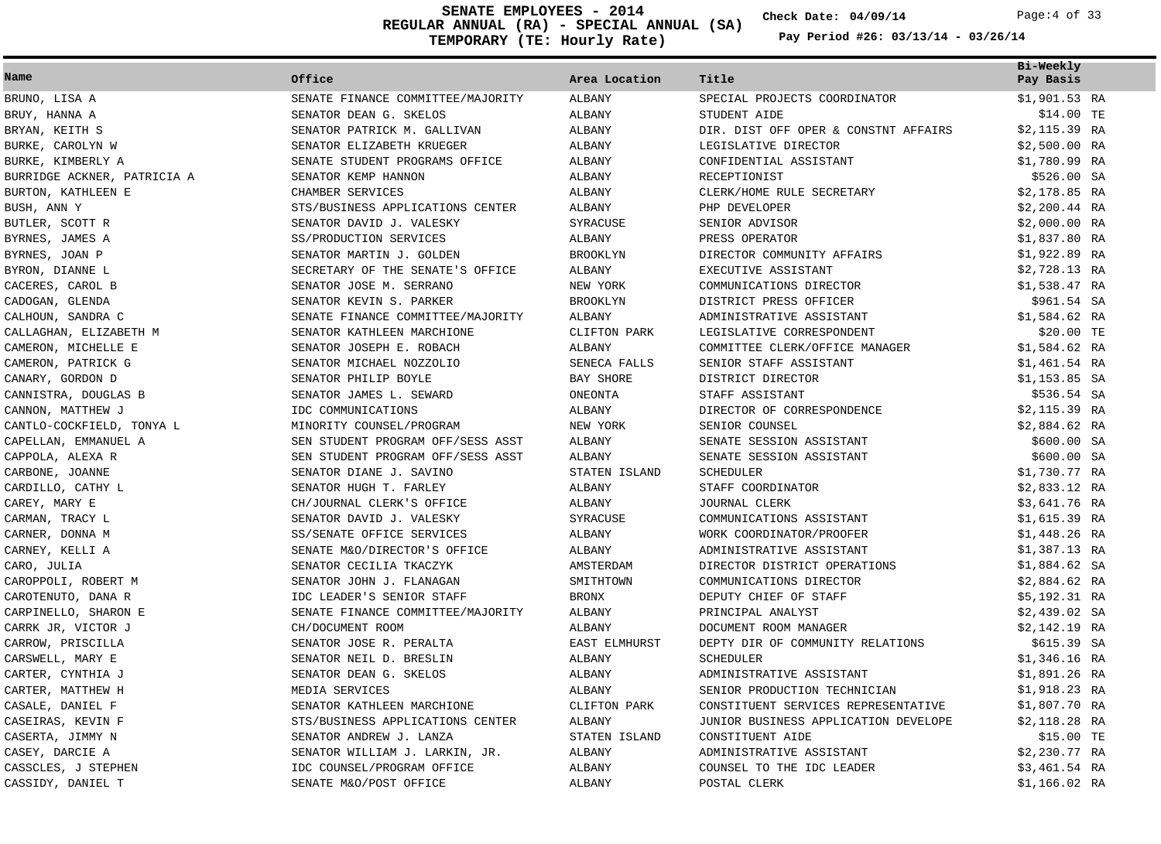**REGULAR ANNUAL (RA) - SPECIAL ANNUAL (SA) TEMPORARY (TE: Hourly Rate) SENATE EMPLOYEES - 2014 Check Date: 04/09/14** Page:4 of 33

**Check Date:**

| Name                        | Office                            | Area Location   | Title                                | Bi-Weekly<br>Pay Basis |
|-----------------------------|-----------------------------------|-----------------|--------------------------------------|------------------------|
| BRUNO, LISA A               | SENATE FINANCE COMMITTEE/MAJORITY | ALBANY          | SPECIAL PROJECTS COORDINATOR         | \$1,901.53 RA          |
| BRUY, HANNA A               | SENATOR DEAN G. SKELOS            | ALBANY          | STUDENT AIDE                         | \$14.00 TE             |
| BRYAN, KEITH S              | SENATOR PATRICK M. GALLIVAN       | ALBANY          | DIR. DIST OFF OPER & CONSTNT AFFAIRS | \$2,115.39 RA          |
| BURKE, CAROLYN W            | SENATOR ELIZABETH KRUEGER         | ALBANY          | LEGISLATIVE DIRECTOR                 | \$2,500.00 RA          |
| BURKE, KIMBERLY A           | SENATE STUDENT PROGRAMS OFFICE    | ALBANY          | CONFIDENTIAL ASSISTANT               | \$1,780.99 RA          |
| BURRIDGE ACKNER, PATRICIA A | SENATOR KEMP HANNON               | ALBANY          | RECEPTIONIST                         | \$526.00 SA            |
| BURTON, KATHLEEN E          | CHAMBER SERVICES                  | ALBANY          | CLERK/HOME RULE SECRETARY            | \$2,178.85 RA          |
| BUSH, ANN Y                 | STS/BUSINESS APPLICATIONS CENTER  | ALBANY          | PHP DEVELOPER                        | $$2,200.44$ RA         |
| BUTLER, SCOTT R             | SENATOR DAVID J. VALESKY          | SYRACUSE        | SENIOR ADVISOR                       | \$2,000.00 RA          |
| BYRNES, JAMES A             | SS/PRODUCTION SERVICES            | ALBANY          | PRESS OPERATOR                       | \$1,837.80 RA          |
| BYRNES, JOAN P              | SENATOR MARTIN J. GOLDEN          | <b>BROOKLYN</b> | DIRECTOR COMMUNITY AFFAIRS           | \$1,922.89 RA          |
| BYRON, DIANNE L             | SECRETARY OF THE SENATE'S OFFICE  | ALBANY          | EXECUTIVE ASSISTANT                  | \$2,728.13 RA          |
| CACERES, CAROL B            | SENATOR JOSE M. SERRANO           | NEW YORK        | COMMUNICATIONS DIRECTOR              | \$1,538.47 RA          |
| CADOGAN, GLENDA             | SENATOR KEVIN S. PARKER           | <b>BROOKLYN</b> | DISTRICT PRESS OFFICER               | \$961.54 SA            |
| CALHOUN, SANDRA C           | SENATE FINANCE COMMITTEE/MAJORITY | ALBANY          | ADMINISTRATIVE ASSISTANT             | \$1,584.62 RA          |
| CALLAGHAN, ELIZABETH M      | SENATOR KATHLEEN MARCHIONE        | CLIFTON PARK    | LEGISLATIVE CORRESPONDENT            | \$20.00 TE             |
| CAMERON, MICHELLE E         | SENATOR JOSEPH E. ROBACH          | ALBANY          | COMMITTEE CLERK/OFFICE MANAGER       | $$1,584.62$ RA         |
| CAMERON, PATRICK G          | SENATOR MICHAEL NOZZOLIO          | SENECA FALLS    | SENIOR STAFF ASSISTANT               | \$1,461.54 RA          |
| CANARY, GORDON D            | SENATOR PHILIP BOYLE              | BAY SHORE       | DISTRICT DIRECTOR                    | \$1,153.85 SA          |
| CANNISTRA, DOUGLAS B        | SENATOR JAMES L. SEWARD           | ONEONTA         | STAFF ASSISTANT                      | \$536.54 SA            |
| CANNON, MATTHEW J           | IDC COMMUNICATIONS                | ALBANY          | DIRECTOR OF CORRESPONDENCE           | \$2,115.39 RA          |
| CANTLO-COCKFIELD, TONYA L   | MINORITY COUNSEL/PROGRAM          | NEW YORK        | SENIOR COUNSEL                       | $$2,884.62$ RA         |
| CAPELLAN, EMMANUEL A        | SEN STUDENT PROGRAM OFF/SESS ASST | ALBANY          | SENATE SESSION ASSISTANT             | \$600.00 SA            |
| CAPPOLA, ALEXA R            | SEN STUDENT PROGRAM OFF/SESS ASST | ALBANY          | SENATE SESSION ASSISTANT             | \$600.00 SA            |
| CARBONE, JOANNE             | SENATOR DIANE J. SAVINO           | STATEN ISLAND   | SCHEDULER                            | \$1,730.77 RA          |
| CARDILLO, CATHY L           | SENATOR HUGH T. FARLEY            | ALBANY          | STAFF COORDINATOR                    | \$2,833.12 RA          |
| CAREY, MARY E               | CH/JOURNAL CLERK'S OFFICE         | ALBANY          | JOURNAL CLERK                        | \$3,641.76 RA          |
| CARMAN, TRACY L             | SENATOR DAVID J. VALESKY          | SYRACUSE        | COMMUNICATIONS ASSISTANT             | \$1,615.39 RA          |
| CARNER, DONNA M             | SS/SENATE OFFICE SERVICES         | ALBANY          | WORK COORDINATOR/PROOFER             | $$1,448.26$ RA         |
| CARNEY, KELLI A             | SENATE M&O/DIRECTOR'S OFFICE      | ALBANY          | ADMINISTRATIVE ASSISTANT             | \$1,387.13 RA          |
| CARO, JULIA                 | SENATOR CECILIA TKACZYK           | AMSTERDAM       | DIRECTOR DISTRICT OPERATIONS         | \$1,884.62 SA          |
| CAROPPOLI, ROBERT M         | SENATOR JOHN J. FLANAGAN          | SMITHTOWN       | COMMUNICATIONS DIRECTOR              | $$2,884.62$ RA         |
| CAROTENUTO, DANA R          | IDC LEADER'S SENIOR STAFF         | <b>BRONX</b>    | DEPUTY CHIEF OF STAFF                | \$5,192.31 RA          |
| CARPINELLO, SHARON E        | SENATE FINANCE COMMITTEE/MAJORITY | ALBANY          | PRINCIPAL ANALYST                    | $$2,439.02$ SA         |
| CARRK JR, VICTOR J          | CH/DOCUMENT ROOM                  | ALBANY          | DOCUMENT ROOM MANAGER                | \$2,142.19 RA          |
| CARROW, PRISCILLA           | SENATOR JOSE R. PERALTA           | EAST ELMHURST   | DEPTY DIR OF COMMUNITY RELATIONS     | \$615.39 SA            |
| CARSWELL, MARY E            | SENATOR NEIL D. BRESLIN           | ALBANY          | SCHEDULER                            | \$1,346.16 RA          |
| CARTER, CYNTHIA J           | SENATOR DEAN G. SKELOS            | ALBANY          | ADMINISTRATIVE ASSISTANT             | \$1,891.26 RA          |
| CARTER, MATTHEW H           | MEDIA SERVICES                    | ALBANY          | SENIOR PRODUCTION TECHNICIAN         | $$1,918.23$ RA         |
| CASALE, DANIEL F            | SENATOR KATHLEEN MARCHIONE        | CLIFTON PARK    | CONSTITUENT SERVICES REPRESENTATIVE  | \$1,807.70 RA          |
| CASEIRAS, KEVIN F           | STS/BUSINESS APPLICATIONS CENTER  | ALBANY          | JUNIOR BUSINESS APPLICATION DEVELOPE | \$2,118.28 RA          |
| CASERTA, JIMMY N            | SENATOR ANDREW J. LANZA           | STATEN ISLAND   | CONSTITUENT AIDE                     | \$15.00 TE             |
| CASEY, DARCIE A             | SENATOR WILLIAM J. LARKIN, JR.    | ALBANY          | ADMINISTRATIVE ASSISTANT             | $$2,230.77$ RA         |
| CASSCLES, J STEPHEN         | IDC COUNSEL/PROGRAM OFFICE        | ALBANY          | COUNSEL TO THE IDC LEADER            | \$3,461.54 RA          |
| CASSIDY, DANIEL T           | SENATE M&O/POST OFFICE            | ALBANY          | POSTAL CLERK                         | \$1,166.02 RA          |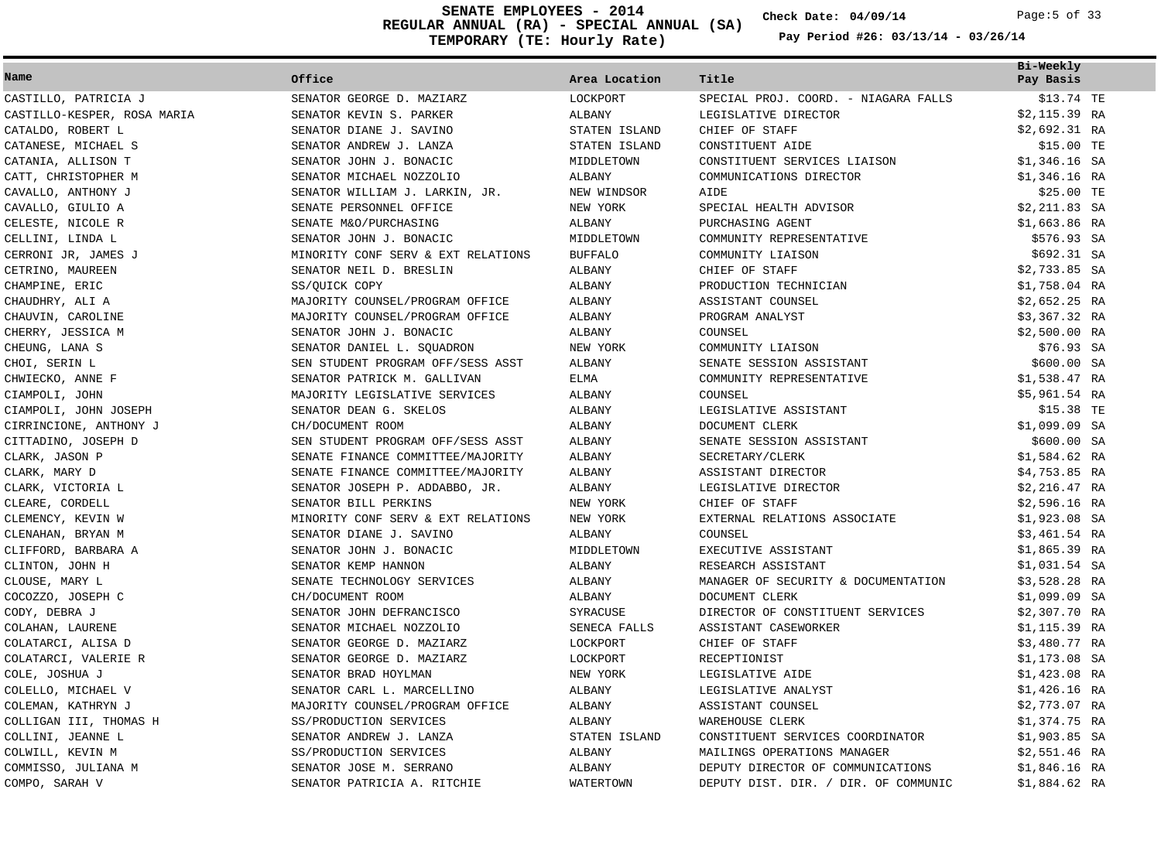**REGULAR ANNUAL (RA) - SPECIAL ANNUAL (SA) 04/09/14 SENATE EMPLOYEES - 2014** Page:5 of 33**TEMPORARY (TE: Hourly Rate)**

**Check Date:**

| Pay Period #26: $03/13/14$ - $03/26/14$ |  |  |
|-----------------------------------------|--|--|
|-----------------------------------------|--|--|

| Name                                        | Office                                            | Area Location           | Title                                               | Bi-Weekly<br>Pay Basis |
|---------------------------------------------|---------------------------------------------------|-------------------------|-----------------------------------------------------|------------------------|
| CASTILLO, PATRICIA J                        | SENATOR GEORGE D. MAZIARZ                         | LOCKPORT                | SPECIAL PROJ. COORD. - NIAGARA FALLS                | \$13.74 TE             |
| CASTILLO-KESPER, ROSA MARIA                 | SENATOR KEVIN S. PARKER                           | ALBANY                  | LEGISLATIVE DIRECTOR                                | \$2,115.39 RA          |
| CATALDO, ROBERT L                           | SENATOR DIANE J. SAVINO                           | STATEN ISLAND           | CHIEF OF STAFF                                      | $$2,692.31$ RA         |
| CATANESE, MICHAEL S                         | SENATOR ANDREW J. LANZA                           | STATEN ISLAND           | CONSTITUENT AIDE                                    | \$15.00 TE             |
| CATANIA, ALLISON T                          | SENATOR JOHN J. BONACIC                           | MIDDLETOWN              | CONSTITUENT SERVICES LIAISON                        | $$1,346.16$ SA         |
| CATT, CHRISTOPHER M                         | SENATOR MICHAEL NOZZOLIO                          | ALBANY                  | COMMUNICATIONS DIRECTOR                             | $$1,346.16$ RA         |
| CAVALLO, ANTHONY J                          | SENATOR WILLIAM J. LARKIN, JR.                    | NEW WINDSOR             | <b>AIDE</b>                                         | \$25.00 TE             |
| CAVALLO, GIULIO A                           | SENATE PERSONNEL OFFICE                           | NEW YORK                | SPECIAL HEALTH ADVISOR                              | $$2,211.83$ SA         |
| CELESTE, NICOLE R                           | SENATE M&O/PURCHASING                             | ALBANY                  | PURCHASING AGENT                                    | \$1,663.86 RA          |
| CELLINI, LINDA L                            | SENATOR JOHN J. BONACIC                           | MIDDLETOWN              | COMMUNITY REPRESENTATIVE                            | \$576.93 SA            |
| CERRONI JR, JAMES J                         | MINORITY CONF SERV & EXT RELATIONS                | <b>BUFFALO</b>          | COMMUNITY LIAISON                                   | \$692.31 SA            |
| CETRINO, MAUREEN                            | SENATOR NEIL D. BRESLIN                           | ALBANY                  | CHIEF OF STAFF                                      | $$2,733.85$ SA         |
| CHAMPINE, ERIC                              | SS/OUICK COPY                                     | ALBANY                  | PRODUCTION TECHNICIAN                               | \$1,758.04 RA          |
| CHAUDHRY, ALI A                             | MAJORITY COUNSEL/PROGRAM OFFICE                   | ALBANY                  | ASSISTANT COUNSEL                                   | $$2,652.25$ RA         |
| CHAUVIN, CAROLINE                           | MAJORITY COUNSEL/PROGRAM OFFICE                   | ALBANY                  | PROGRAM ANALYST                                     | \$3,367.32 RA          |
| CHERRY, JESSICA M                           | SENATOR JOHN J. BONACIC                           | ALBANY                  | COUNSEL                                             | $$2,500.00$ RA         |
| CHEUNG, LANA S                              | SENATOR DANIEL L. SQUADRON                        | NEW YORK                | COMMUNITY LIAISON                                   | \$76.93 SA             |
| CHOI, SERIN L                               | SEN STUDENT PROGRAM OFF/SESS ASST                 | ALBANY                  | SENATE SESSION ASSISTANT                            | \$600.00 SA            |
| CHWIECKO, ANNE F                            | SENATOR PATRICK M. GALLIVAN                       | <b>ELMA</b>             | COMMUNITY REPRESENTATIVE                            | \$1,538.47 RA          |
| CIAMPOLI, JOHN                              | MAJORITY LEGISLATIVE SERVICES                     | ALBANY                  | COUNSEL                                             | \$5,961.54 RA          |
| CIAMPOLI, JOHN JOSEPH                       | SENATOR DEAN G. SKELOS                            | ALBANY                  | LEGISLATIVE ASSISTANT                               | \$15.38 TE             |
| CIRRINCIONE, ANTHONY J                      | CH/DOCUMENT ROOM                                  | ALBANY                  | DOCUMENT CLERK                                      | $$1,099.09$ SA         |
| CITTADINO, JOSEPH D                         | SEN STUDENT PROGRAM OFF/SESS ASST                 | ALBANY                  | SENATE SESSION ASSISTANT                            | \$600.00 SA            |
| CLARK, JASON P                              | SENATE FINANCE COMMITTEE/MAJORITY                 | ALBANY                  | SECRETARY/CLERK                                     | \$1,584.62 RA          |
| CLARK, MARY D                               | SENATE FINANCE COMMITTEE/MAJORITY                 | ALBANY                  | ASSISTANT DIRECTOR                                  | \$4,753.85 RA          |
| CLARK, VICTORIA L                           | SENATOR JOSEPH P. ADDABBO, JR.                    | ALBANY                  | LEGISLATIVE DIRECTOR                                | $$2,216.47$ RA         |
| CLEARE, CORDELL                             | SENATOR BILL PERKINS                              | NEW YORK                | CHIEF OF STAFF                                      | \$2,596.16 RA          |
| CLEMENCY, KEVIN W                           | MINORITY CONF SERV & EXT RELATIONS                | NEW YORK                | EXTERNAL RELATIONS ASSOCIATE                        | $$1,923.08$ SA         |
| CLENAHAN, BRYAN M                           | SENATOR DIANE J. SAVINO                           | ALBANY                  | COUNSEL                                             | $$3,461.54$ RA         |
| CLIFFORD, BARBARA A                         | SENATOR JOHN J. BONACIC                           | MIDDLETOWN              | EXECUTIVE ASSISTANT                                 | $$1,865.39$ RA         |
| CLINTON, JOHN H                             | SENATOR KEMP HANNON                               | <b>ALBANY</b>           | RESEARCH ASSISTANT                                  | $$1,031.54$ SA         |
| CLOUSE, MARY L                              | SENATE TECHNOLOGY SERVICES                        | ALBANY                  | MANAGER OF SECURITY & DOCUMENTATION                 | $$3,528.28$ RA         |
| COCOZZO, JOSEPH C                           | CH/DOCUMENT ROOM                                  | ALBANY                  | DOCUMENT CLERK                                      | $$1,099.09$ SA         |
| CODY, DEBRA J                               | SENATOR JOHN DEFRANCISCO                          | SYRACUSE                | DIRECTOR OF CONSTITUENT SERVICES                    | $$2,307.70$ RA         |
| COLAHAN, LAURENE                            | SENATOR MICHAEL NOZZOLIO                          | SENECA FALLS            | ASSISTANT CASEWORKER                                | $$1,115.39$ RA         |
| COLATARCI, ALISA D                          | SENATOR GEORGE D. MAZIARZ                         | LOCKPORT                | CHIEF OF STAFF                                      | \$3,480.77 RA          |
| COLATARCI, VALERIE R                        | SENATOR GEORGE D. MAZIARZ                         | LOCKPORT                | RECEPTIONIST                                        | $$1,173.08$ SA         |
| COLE, JOSHUA J                              | SENATOR BRAD HOYLMAN                              | NEW YORK                | LEGISLATIVE AIDE                                    | $$1,423.08$ RA         |
| COLELLO, MICHAEL V                          | SENATOR CARL L. MARCELLINO                        | ALBANY                  | LEGISLATIVE ANALYST                                 | $$1,426.16$ RA         |
| COLEMAN, KATHRYN J                          | MAJORITY COUNSEL/PROGRAM OFFICE                   | ALBANY                  | ASSISTANT COUNSEL                                   | $$2,773.07$ RA         |
|                                             |                                                   |                         |                                                     | \$1,374.75 RA          |
| COLLIGAN III, THOMAS H<br>COLLINI, JEANNE L | SS/PRODUCTION SERVICES<br>SENATOR ANDREW J. LANZA | ALBANY<br>STATEN ISLAND | WAREHOUSE CLERK<br>CONSTITUENT SERVICES COORDINATOR | $$1,903.85$ SA         |
| COLWILL, KEVIN M                            | SS/PRODUCTION SERVICES                            | ALBANY                  | MAILINGS OPERATIONS MANAGER                         | $$2,551.46$ RA         |
| COMMISSO, JULIANA M                         | SENATOR JOSE M. SERRANO                           | ALBANY                  | DEPUTY DIRECTOR OF COMMUNICATIONS                   | $$1,846.16$ RA         |
| COMPO, SARAH V                              | SENATOR PATRICIA A. RITCHIE                       | WATERTOWN               | DEPUTY DIST. DIR. / DIR. OF COMMUNIC                | \$1,884.62 RA          |
|                                             |                                                   |                         |                                                     |                        |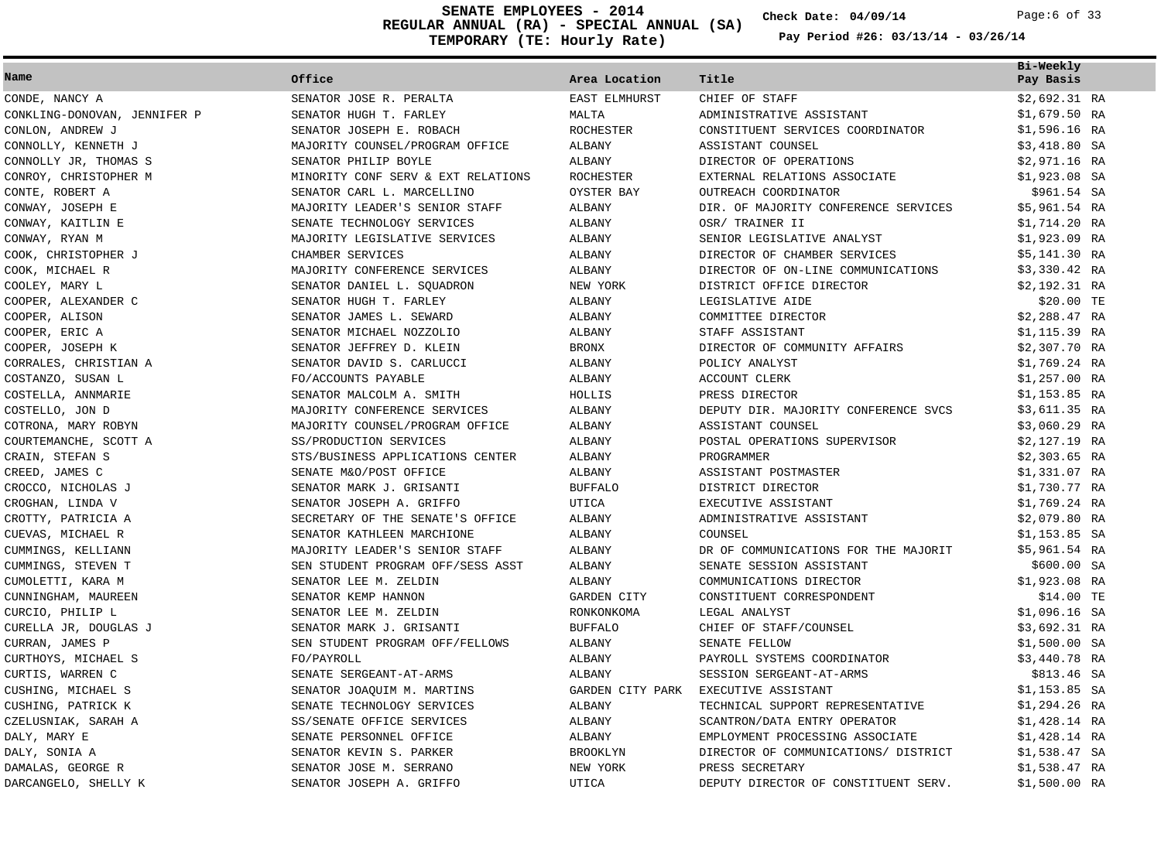**REGULAR ANNUAL (RA) - SPECIAL ANNUAL (SA) TEMPORARY (TE: Hourly Rate) SENATE EMPLOYEES - 2014 Check Date: 04/09/14** Page:6 of 33

**Check Date:**

| Name                         | Office                             | Area Location        | Title                                | Bi-Weekly<br>Pay Basis |
|------------------------------|------------------------------------|----------------------|--------------------------------------|------------------------|
| CONDE, NANCY A               | SENATOR JOSE R. PERALTA            | <b>EAST ELMHURST</b> | CHIEF OF STAFF                       | \$2,692.31 RA          |
| CONKLING-DONOVAN, JENNIFER P | SENATOR HUGH T. FARLEY             | MALTA                | ADMINISTRATIVE ASSISTANT             | \$1,679.50 RA          |
| CONLON, ANDREW J             | SENATOR JOSEPH E. ROBACH           | <b>ROCHESTER</b>     | CONSTITUENT SERVICES COORDINATOR     | \$1,596.16 RA          |
| CONNOLLY, KENNETH J          | MAJORITY COUNSEL/PROGRAM OFFICE    | ALBANY               | ASSISTANT COUNSEL                    | \$3,418.80 SA          |
| CONNOLLY JR, THOMAS S        | SENATOR PHILIP BOYLE               | ALBANY               | DIRECTOR OF OPERATIONS               | \$2,971.16 RA          |
| CONROY, CHRISTOPHER M        | MINORITY CONF SERV & EXT RELATIONS | <b>ROCHESTER</b>     | EXTERNAL RELATIONS ASSOCIATE         | $$1,923.08$ SA         |
| CONTE, ROBERT A              | SENATOR CARL L. MARCELLINO         | OYSTER BAY           | OUTREACH COORDINATOR                 | \$961.54 SA            |
| CONWAY, JOSEPH E             | MAJORITY LEADER'S SENIOR STAFF     | ALBANY               | DIR. OF MAJORITY CONFERENCE SERVICES | \$5,961.54 RA          |
| CONWAY, KAITLIN E            | SENATE TECHNOLOGY SERVICES         | <b>ALBANY</b>        | OSR/ TRAINER II                      | \$1,714.20 RA          |
| CONWAY, RYAN M               | MAJORITY LEGISLATIVE SERVICES      | ALBANY               | SENIOR LEGISLATIVE ANALYST           | \$1,923.09 RA          |
| COOK, CHRISTOPHER J          | CHAMBER SERVICES                   | ALBANY               | DIRECTOR OF CHAMBER SERVICES         | \$5,141.30 RA          |
| COOK, MICHAEL R              | MAJORITY CONFERENCE SERVICES       | ALBANY               | DIRECTOR OF ON-LINE COMMUNICATIONS   | \$3,330.42 RA          |
| COOLEY, MARY L               | SENATOR DANIEL L. SQUADRON         | NEW YORK             | DISTRICT OFFICE DIRECTOR             | \$2,192.31 RA          |
| COOPER, ALEXANDER C          | SENATOR HUGH T. FARLEY             | <b>ALBANY</b>        | LEGISLATIVE AIDE                     | \$20.00 TE             |
| COOPER, ALISON               | SENATOR JAMES L. SEWARD            | ALBANY               | COMMITTEE DIRECTOR                   | $$2,288.47$ RA         |
| COOPER, ERIC A               | SENATOR MICHAEL NOZZOLIO           | ALBANY               | STAFF ASSISTANT                      | \$1,115.39 RA          |
| COOPER, JOSEPH K             | SENATOR JEFFREY D. KLEIN           | <b>BRONX</b>         | DIRECTOR OF COMMUNITY AFFAIRS        | $$2,307.70$ RA         |
| CORRALES, CHRISTIAN A        | SENATOR DAVID S. CARLUCCI          | ALBANY               | POLICY ANALYST                       | \$1,769.24 RA          |
| COSTANZO, SUSAN L            | FO/ACCOUNTS PAYABLE                | <b>ALBANY</b>        | ACCOUNT CLERK                        | \$1,257.00 RA          |
| COSTELLA, ANNMARIE           | SENATOR MALCOLM A. SMITH           | HOLLIS               | PRESS DIRECTOR                       | \$1,153.85 RA          |
| COSTELLO, JON D              | MAJORITY CONFERENCE SERVICES       | ALBANY               | DEPUTY DIR. MAJORITY CONFERENCE SVCS | \$3,611.35 RA          |
| COTRONA, MARY ROBYN          | MAJORITY COUNSEL/PROGRAM OFFICE    | ALBANY               | ASSISTANT COUNSEL                    | \$3,060.29 RA          |
| COURTEMANCHE, SCOTT A        | SS/PRODUCTION SERVICES             | ALBANY               | POSTAL OPERATIONS SUPERVISOR         | \$2,127.19 RA          |
| CRAIN, STEFAN S              | STS/BUSINESS APPLICATIONS CENTER   | ALBANY               | PROGRAMMER                           | $$2,303.65$ RA         |
| CREED, JAMES C               | SENATE M&O/POST OFFICE             | ALBANY               | ASSISTANT POSTMASTER                 | \$1,331.07 RA          |
| CROCCO, NICHOLAS J           | SENATOR MARK J. GRISANTI           | <b>BUFFALO</b>       | DISTRICT DIRECTOR                    | \$1,730.77 RA          |
| CROGHAN, LINDA V             | SENATOR JOSEPH A. GRIFFO           | UTICA                | EXECUTIVE ASSISTANT                  | $$1,769.24$ RA         |
| CROTTY, PATRICIA A           | SECRETARY OF THE SENATE'S OFFICE   | ALBANY               | ADMINISTRATIVE ASSISTANT             | \$2,079.80 RA          |
| CUEVAS, MICHAEL R            | SENATOR KATHLEEN MARCHIONE         | <b>ALBANY</b>        | COUNSEL                              | \$1,153.85 SA          |
| CUMMINGS, KELLIANN           | MAJORITY LEADER'S SENIOR STAFF     | ALBANY               | DR OF COMMUNICATIONS FOR THE MAJORIT | \$5,961.54 RA          |
| CUMMINGS, STEVEN T           | SEN STUDENT PROGRAM OFF/SESS ASST  | ALBANY               | SENATE SESSION ASSISTANT             | \$600.00 SA            |
| CUMOLETTI, KARA M            | SENATOR LEE M. ZELDIN              | ALBANY               | COMMUNICATIONS DIRECTOR              | \$1,923.08 RA          |
| CUNNINGHAM, MAUREEN          | SENATOR KEMP HANNON                | <b>GARDEN CITY</b>   | CONSTITUENT CORRESPONDENT            | \$14.00 TE             |
| CURCIO, PHILIP L             | SENATOR LEE M. ZELDIN              | RONKONKOMA           | LEGAL ANALYST                        | $$1,096.16$ SA         |
| CURELLA JR, DOUGLAS J        | SENATOR MARK J. GRISANTI           | <b>BUFFALO</b>       | CHIEF OF STAFF/COUNSEL               | \$3,692.31 RA          |
| CURRAN, JAMES P              | SEN STUDENT PROGRAM OFF/FELLOWS    | ALBANY               | SENATE FELLOW                        | $$1,500.00$ SA         |
| CURTHOYS, MICHAEL S          | FO/PAYROLL                         | ALBANY               | PAYROLL SYSTEMS COORDINATOR          | $$3,440.78$ RA         |
| CURTIS, WARREN C             | SENATE SERGEANT-AT-ARMS            | ALBANY               | SESSION SERGEANT-AT-ARMS             | \$813.46 SA            |
| CUSHING, MICHAEL S           | SENATOR JOAQUIM M. MARTINS         | GARDEN CITY PARK     | EXECUTIVE ASSISTANT                  | \$1,153.85 SA          |
| CUSHING, PATRICK K           | SENATE TECHNOLOGY SERVICES         | ALBANY               | TECHNICAL SUPPORT REPRESENTATIVE     | \$1,294.26 RA          |
| CZELUSNIAK, SARAH A          | SS/SENATE OFFICE SERVICES          | <b>ALBANY</b>        | SCANTRON/DATA ENTRY OPERATOR         | \$1,428.14 RA          |
| DALY, MARY E                 | SENATE PERSONNEL OFFICE            | ALBANY               | EMPLOYMENT PROCESSING ASSOCIATE      | \$1,428.14 RA          |
| DALY, SONIA A                | SENATOR KEVIN S. PARKER            | <b>BROOKLYN</b>      | DIRECTOR OF COMMUNICATIONS/ DISTRICT | $$1,538.47$ SA         |
| DAMALAS, GEORGE R            | SENATOR JOSE M. SERRANO            | NEW YORK             | PRESS SECRETARY                      | \$1,538.47 RA          |
| DARCANGELO, SHELLY K         | SENATOR JOSEPH A. GRIFFO           | UTICA                | DEPUTY DIRECTOR OF CONSTITUENT SERV. | \$1,500.00 RA          |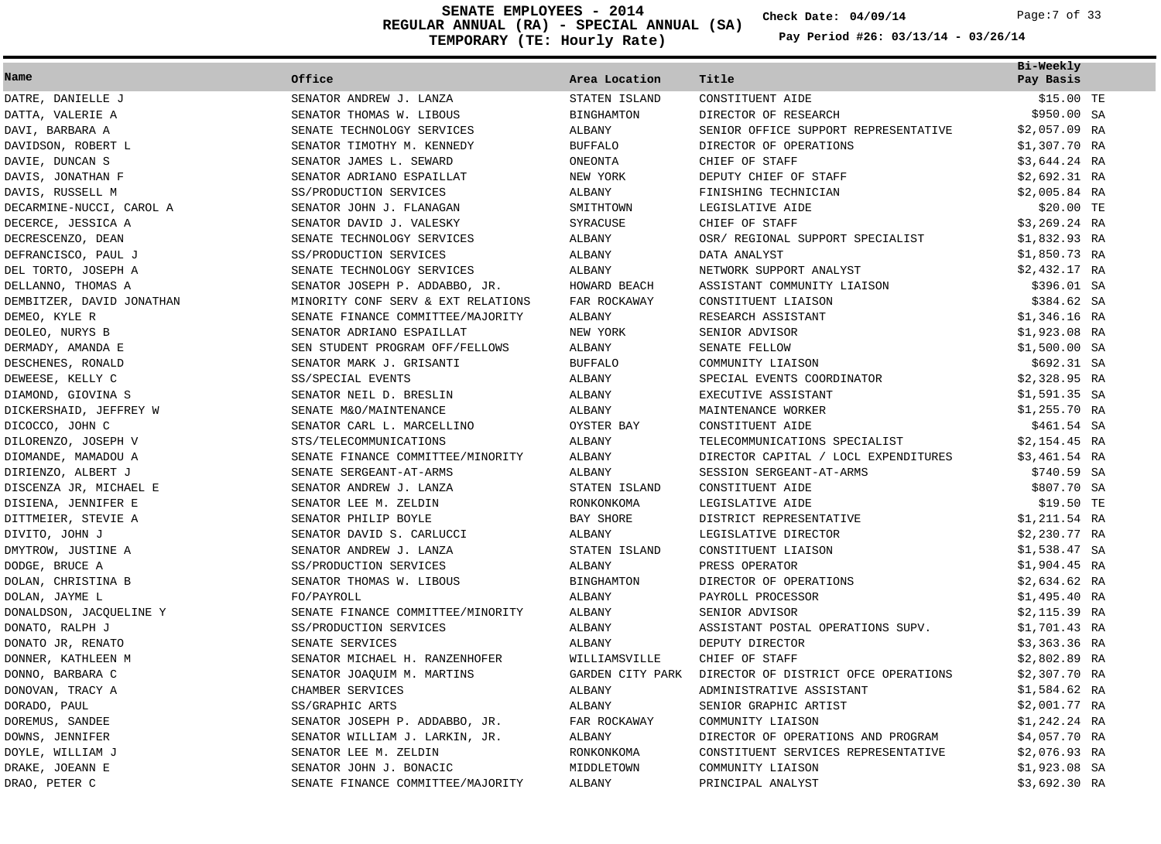**REGULAR ANNUAL (RA) - SPECIAL ANNUAL (SA) TEMPORARY (TE: Hourly Rate) SENATE EMPLOYEES - 2014 Check Date: 04/09/14** Page:7 of 33

**Check Date:**

| Name                      | Office                             | Area Location     | Title                                | Bi-Weekly<br>Pay Basis |
|---------------------------|------------------------------------|-------------------|--------------------------------------|------------------------|
| DATRE, DANIELLE J         | SENATOR ANDREW J. LANZA            | STATEN ISLAND     | CONSTITUENT AIDE                     | \$15.00 TE             |
| DATTA, VALERIE A          | SENATOR THOMAS W. LIBOUS           | <b>BINGHAMTON</b> | DIRECTOR OF RESEARCH                 | \$950.00 SA            |
| DAVI, BARBARA A           | SENATE TECHNOLOGY SERVICES         | <b>ALBANY</b>     | SENIOR OFFICE SUPPORT REPRESENTATIVE | $$2,057.09$ RA         |
| DAVIDSON, ROBERT L        | SENATOR TIMOTHY M. KENNEDY         | <b>BUFFALO</b>    | DIRECTOR OF OPERATIONS               | \$1,307.70 RA          |
| DAVIE, DUNCAN S           | SENATOR JAMES L. SEWARD            | ONEONTA           | CHIEF OF STAFF                       | \$3,644.24 RA          |
| DAVIS, JONATHAN F         | SENATOR ADRIANO ESPAILLAT          | NEW YORK          | DEPUTY CHIEF OF STAFF                | $$2,692.31$ RA         |
| DAVIS, RUSSELL M          | SS/PRODUCTION SERVICES             | ALBANY            | FINISHING TECHNICIAN                 | $$2,005.84$ RA         |
| DECARMINE-NUCCI, CAROL A  | SENATOR JOHN J. FLANAGAN           | SMITHTOWN         | LEGISLATIVE AIDE                     | \$20.00 TE             |
| DECERCE, JESSICA A        | SENATOR DAVID J. VALESKY           | SYRACUSE          | CHIEF OF STAFF                       | $$3,269.24$ RA         |
| DECRESCENZO, DEAN         | SENATE TECHNOLOGY SERVICES         | ALBANY            | OSR/ REGIONAL SUPPORT SPECIALIST     | \$1,832.93 RA          |
| DEFRANCISCO, PAUL J       | SS/PRODUCTION SERVICES             | ALBANY            | DATA ANALYST                         | \$1,850.73 RA          |
| DEL TORTO, JOSEPH A       | SENATE TECHNOLOGY SERVICES         | <b>ALBANY</b>     | NETWORK SUPPORT ANALYST              | \$2,432.17 RA          |
| DELLANNO, THOMAS A        | SENATOR JOSEPH P. ADDABBO, JR.     | HOWARD BEACH      | ASSISTANT COMMUNITY LIAISON          | \$396.01 SA            |
| DEMBITZER, DAVID JONATHAN | MINORITY CONF SERV & EXT RELATIONS | FAR ROCKAWAY      | CONSTITUENT LIAISON                  | \$384.62 SA            |
| DEMEO, KYLE R             | SENATE FINANCE COMMITTEE/MAJORITY  | <b>ALBANY</b>     | RESEARCH ASSISTANT                   | \$1,346.16 RA          |
| DEOLEO, NURYS B           | SENATOR ADRIANO ESPAILLAT          | NEW YORK          | SENIOR ADVISOR                       | \$1,923.08 RA          |
| DERMADY, AMANDA E         | SEN STUDENT PROGRAM OFF/FELLOWS    | ALBANY            | SENATE FELLOW                        | $$1,500.00$ SA         |
| DESCHENES, RONALD         | SENATOR MARK J. GRISANTI           | <b>BUFFALO</b>    | COMMUNITY LIAISON                    | \$692.31 SA            |
| DEWEESE, KELLY C          | SS/SPECIAL EVENTS                  | ALBANY            | SPECIAL EVENTS COORDINATOR           | $$2,328.95$ RA         |
| DIAMOND, GIOVINA S        | SENATOR NEIL D. BRESLIN            | ALBANY            | EXECUTIVE ASSISTANT                  | $$1,591.35$ SA         |
| DICKERSHAID, JEFFREY W    | SENATE M&O/MAINTENANCE             | ALBANY            | MAINTENANCE WORKER                   | $$1,255.70$ RA         |
| DICOCCO, JOHN C           | SENATOR CARL L. MARCELLINO         | OYSTER BAY        | CONSTITUENT AIDE                     | \$461.54 SA            |
| DILORENZO, JOSEPH V       | STS/TELECOMMUNICATIONS             | ALBANY            | TELECOMMUNICATIONS SPECIALIST        | $$2,154.45$ RA         |
| DIOMANDE, MAMADOU A       | SENATE FINANCE COMMITTEE/MINORITY  | ALBANY            | DIRECTOR CAPITAL / LOCL EXPENDITURES | $$3,461.54$ RA         |
| DIRIENZO, ALBERT J        | SENATE SERGEANT-AT-ARMS            | ALBANY            | SESSION SERGEANT-AT-ARMS             | \$740.59 SA            |
| DISCENZA JR, MICHAEL E    | SENATOR ANDREW J. LANZA            | STATEN ISLAND     | CONSTITUENT AIDE                     | \$807.70 SA            |
| DISIENA, JENNIFER E       | SENATOR LEE M. ZELDIN              | RONKONKOMA        | LEGISLATIVE AIDE                     | \$19.50 TE             |
| DITTMEIER, STEVIE A       | SENATOR PHILIP BOYLE               | BAY SHORE         | DISTRICT REPRESENTATIVE              | \$1,211.54 RA          |
| DIVITO, JOHN J            | SENATOR DAVID S. CARLUCCI          | ALBANY            | LEGISLATIVE DIRECTOR                 | \$2,230.77 RA          |
| DMYTROW, JUSTINE A        | SENATOR ANDREW J. LANZA            | STATEN ISLAND     | CONSTITUENT LIAISON                  | $$1,538.47$ SA         |
| DODGE, BRUCE A            | SS/PRODUCTION SERVICES             | ALBANY            | PRESS OPERATOR                       | $$1,904.45$ RA         |
| DOLAN, CHRISTINA B        | SENATOR THOMAS W. LIBOUS           | <b>BINGHAMTON</b> | DIRECTOR OF OPERATIONS               | $$2,634.62$ RA         |
| DOLAN, JAYME L            | FO/PAYROLL                         | ALBANY            | PAYROLL PROCESSOR                    | $$1,495.40$ RA         |
| DONALDSON, JACQUELINE Y   | SENATE FINANCE COMMITTEE/MINORITY  | ALBANY            | SENIOR ADVISOR                       | $$2,115.39$ RA         |
| DONATO, RALPH J           | SS/PRODUCTION SERVICES             | ALBANY            | ASSISTANT POSTAL OPERATIONS SUPV.    | \$1,701.43 RA          |
| DONATO JR, RENATO         | SENATE SERVICES                    | ALBANY            | DEPUTY DIRECTOR                      | $$3,363.36$ RA         |
| DONNER, KATHLEEN M        | SENATOR MICHAEL H. RANZENHOFER     | WILLIAMSVILLE     | CHIEF OF STAFF                       | $$2,802.89$ RA         |
| DONNO, BARBARA C          | SENATOR JOAOUIM M. MARTINS         | GARDEN CITY PARK  | DIRECTOR OF DISTRICT OFCE OPERATIONS | \$2,307.70 RA          |
| DONOVAN, TRACY A          | CHAMBER SERVICES                   | ALBANY            | ADMINISTRATIVE ASSISTANT             | $$1,584.62$ RA         |
| DORADO, PAUL              | SS/GRAPHIC ARTS                    | <b>ALBANY</b>     | SENIOR GRAPHIC ARTIST                | \$2,001.77 RA          |
| DOREMUS, SANDEE           | SENATOR JOSEPH P. ADDABBO, JR.     | FAR ROCKAWAY      | COMMUNITY LIAISON                    | \$1,242.24 RA          |
| DOWNS, JENNIFER           | SENATOR WILLIAM J. LARKIN, JR.     | ALBANY            | DIRECTOR OF OPERATIONS AND PROGRAM   | \$4,057.70 RA          |
| DOYLE, WILLIAM J          | SENATOR LEE M. ZELDIN              | RONKONKOMA        | CONSTITUENT SERVICES REPRESENTATIVE  | $$2,076.93$ RA         |
| DRAKE, JOEANN E           | SENATOR JOHN J. BONACIC            | MIDDLETOWN        | COMMUNITY LIAISON                    | $$1,923.08$ SA         |
| DRAO, PETER C             | SENATE FINANCE COMMITTEE/MAJORITY  | <b>ALBANY</b>     | PRINCIPAL ANALYST                    | \$3,692.30 RA          |
|                           |                                    |                   |                                      |                        |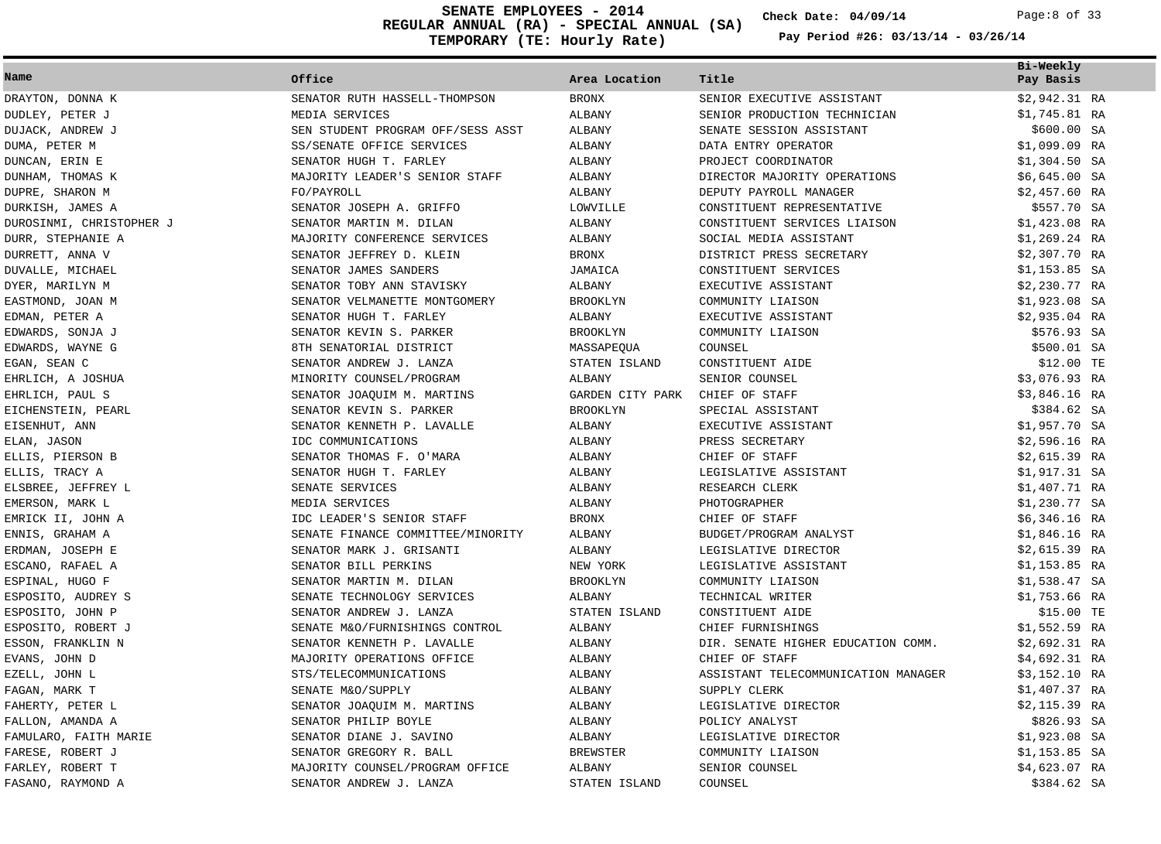**REGULAR ANNUAL (RA) - SPECIAL ANNUAL (SA) TEMPORARY (TE: Hourly Rate) SENATE EMPLOYEES - 2014 Check Date: 04/09/14** Page:8 of 33

**Check Date:**

| Name                     | Office                            | Area Location    | Title                               | Bi-Weekly<br>Pay Basis |
|--------------------------|-----------------------------------|------------------|-------------------------------------|------------------------|
| DRAYTON, DONNA K         | SENATOR RUTH HASSELL-THOMPSON     | <b>BRONX</b>     | SENIOR EXECUTIVE ASSISTANT          | \$2,942.31 RA          |
| DUDLEY, PETER J          | MEDIA SERVICES                    | ALBANY           | SENIOR PRODUCTION TECHNICIAN        | \$1,745.81 RA          |
| DUJACK, ANDREW J         | SEN STUDENT PROGRAM OFF/SESS ASST | <b>ALBANY</b>    | SENATE SESSION ASSISTANT            | \$600.00 SA            |
| DUMA, PETER M            | SS/SENATE OFFICE SERVICES         | <b>ALBANY</b>    | DATA ENTRY OPERATOR                 | \$1,099.09 RA          |
| DUNCAN, ERIN E           | SENATOR HUGH T. FARLEY            | ALBANY           | PROJECT COORDINATOR                 | $$1,304.50$ SA         |
| DUNHAM, THOMAS K         | MAJORITY LEADER'S SENIOR STAFF    | ALBANY           | DIRECTOR MAJORITY OPERATIONS        | $$6,645.00$ SA         |
| DUPRE, SHARON M          | FO/PAYROLL                        | ALBANY           | DEPUTY PAYROLL MANAGER              | $$2,457.60$ RA         |
| DURKISH, JAMES A         | SENATOR JOSEPH A. GRIFFO          | LOWVILLE         | CONSTITUENT REPRESENTATIVE          | \$557.70 SA            |
| DUROSINMI, CHRISTOPHER J | SENATOR MARTIN M. DILAN           | <b>ALBANY</b>    | CONSTITUENT SERVICES LIAISON        | $$1,423.08$ RA         |
| DURR, STEPHANIE A        | MAJORITY CONFERENCE SERVICES      | ALBANY           | SOCIAL MEDIA ASSISTANT              | $$1,269.24$ RA         |
| DURRETT, ANNA V          | SENATOR JEFFREY D. KLEIN          | <b>BRONX</b>     | DISTRICT PRESS SECRETARY            | $$2,307.70$ RA         |
| DUVALLE, MICHAEL         | SENATOR JAMES SANDERS             | JAMAICA          | CONSTITUENT SERVICES                | $$1,153.85$ SA         |
| DYER, MARILYN M          | SENATOR TOBY ANN STAVISKY         | ALBANY           | EXECUTIVE ASSISTANT                 | \$2,230.77 RA          |
| EASTMOND, JOAN M         | SENATOR VELMANETTE MONTGOMERY     | <b>BROOKLYN</b>  | COMMUNITY LIAISON                   | $$1,923.08$ SA         |
| EDMAN, PETER A           | SENATOR HUGH T. FARLEY            | ALBANY           | EXECUTIVE ASSISTANT                 | \$2,935.04 RA          |
| EDWARDS, SONJA J         | SENATOR KEVIN S. PARKER           | <b>BROOKLYN</b>  | COMMUNITY LIAISON                   | \$576.93 SA            |
| EDWARDS, WAYNE G         | 8TH SENATORIAL DISTRICT           | MASSAPEQUA       | COUNSEL                             | \$500.01 SA            |
| EGAN, SEAN C             | SENATOR ANDREW J. LANZA           | STATEN ISLAND    | CONSTITUENT AIDE                    | \$12.00 TE             |
| EHRLICH, A JOSHUA        | MINORITY COUNSEL/PROGRAM          | ALBANY           | SENIOR COUNSEL                      | \$3,076.93 RA          |
| EHRLICH, PAUL S          | SENATOR JOAQUIM M. MARTINS        | GARDEN CITY PARK | CHIEF OF STAFF                      | \$3,846.16 RA          |
| EICHENSTEIN, PEARL       | SENATOR KEVIN S. PARKER           | <b>BROOKLYN</b>  | SPECIAL ASSISTANT                   | \$384.62 SA            |
| EISENHUT, ANN            | SENATOR KENNETH P. LAVALLE        | ALBANY           | EXECUTIVE ASSISTANT                 | \$1,957.70 SA          |
| ELAN, JASON              | IDC COMMUNICATIONS                | ALBANY           | PRESS SECRETARY                     | $$2,596.16$ RA         |
| ELLIS, PIERSON B         | SENATOR THOMAS F. O'MARA          | ALBANY           | CHIEF OF STAFF                      | $$2,615.39$ RA         |
| ELLIS, TRACY A           | SENATOR HUGH T. FARLEY            | ALBANY           | LEGISLATIVE ASSISTANT               | \$1,917.31 SA          |
| ELSBREE, JEFFREY L       | SENATE SERVICES                   | ALBANY           | RESEARCH CLERK                      | \$1,407.71 RA          |
| EMERSON, MARK L          | MEDIA SERVICES                    | ALBANY           | PHOTOGRAPHER                        | \$1,230.77 SA          |
| EMRICK II, JOHN A        | IDC LEADER'S SENIOR STAFF         | <b>BRONX</b>     | CHIEF OF STAFF                      | $$6,346.16$ RA         |
| ENNIS, GRAHAM A          | SENATE FINANCE COMMITTEE/MINORITY | ALBANY           | BUDGET/PROGRAM ANALYST              | \$1,846.16 RA          |
| ERDMAN, JOSEPH E         | SENATOR MARK J. GRISANTI          | ALBANY           | LEGISLATIVE DIRECTOR                | $$2,615.39$ RA         |
| ESCANO, RAFAEL A         | SENATOR BILL PERKINS              | NEW YORK         | LEGISLATIVE ASSISTANT               | \$1,153.85 RA          |
| ESPINAL, HUGO F          | SENATOR MARTIN M. DILAN           | <b>BROOKLYN</b>  | COMMUNITY LIAISON                   | $$1,538.47$ SA         |
| ESPOSITO, AUDREY S       | SENATE TECHNOLOGY SERVICES        | ALBANY           | TECHNICAL WRITER                    | $$1,753.66$ RA         |
| ESPOSITO, JOHN P         | SENATOR ANDREW J. LANZA           | STATEN ISLAND    | CONSTITUENT AIDE                    | \$15.00 TE             |
| ESPOSITO, ROBERT J       | SENATE M&O/FURNISHINGS CONTROL    | ALBANY           | CHIEF FURNISHINGS                   | \$1,552.59 RA          |
| ESSON, FRANKLIN N        | SENATOR KENNETH P. LAVALLE        | ALBANY           | DIR. SENATE HIGHER EDUCATION COMM.  | $$2,692.31$ RA         |
| EVANS, JOHN D            | MAJORITY OPERATIONS OFFICE        | ALBANY           | CHIEF OF STAFF                      | \$4,692.31 RA          |
| EZELL, JOHN L            | STS/TELECOMMUNICATIONS            | ALBANY           | ASSISTANT TELECOMMUNICATION MANAGER | \$3,152.10 RA          |
| FAGAN, MARK T            | SENATE M&O/SUPPLY                 | ALBANY           | SUPPLY CLERK                        | \$1,407.37 RA          |
| FAHERTY, PETER L         | SENATOR JOAQUIM M. MARTINS        | ALBANY           | LEGISLATIVE DIRECTOR                | \$2,115.39 RA          |
| FALLON, AMANDA A         | SENATOR PHILIP BOYLE              | ALBANY           | POLICY ANALYST                      | \$826.93 SA            |
| FAMULARO, FAITH MARIE    | SENATOR DIANE J. SAVINO           | ALBANY           | LEGISLATIVE DIRECTOR                | $$1,923.08$ SA         |
| FARESE, ROBERT J         | SENATOR GREGORY R. BALL           | <b>BREWSTER</b>  | COMMUNITY LIAISON                   | \$1,153.85 SA          |
| FARLEY, ROBERT T         | MAJORITY COUNSEL/PROGRAM OFFICE   | ALBANY           | SENIOR COUNSEL                      | \$4,623.07 RA          |
| FASANO, RAYMOND A        | SENATOR ANDREW J. LANZA           | STATEN ISLAND    | COUNSEL                             | \$384.62 SA            |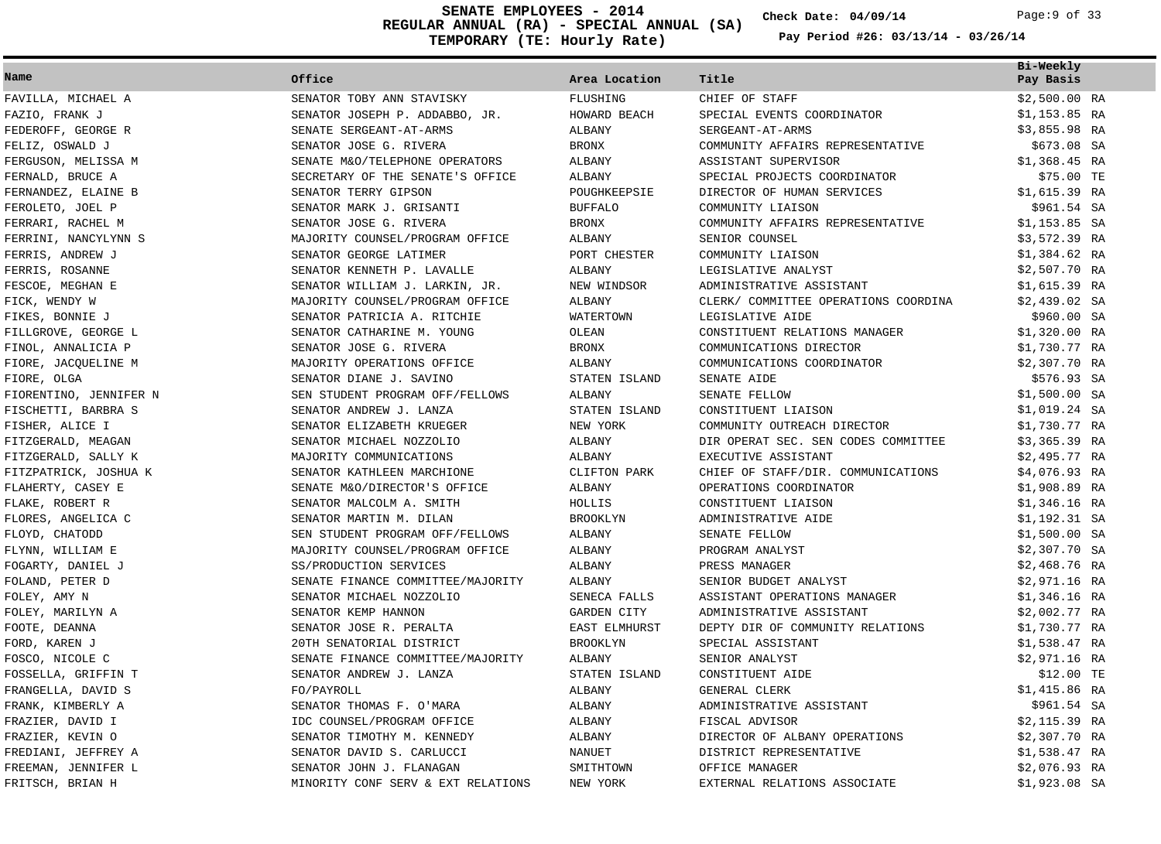**REGULAR ANNUAL (RA) - SPECIAL ANNUAL (SA) TEMPORARY (TE: Hourly Rate) SENATE EMPLOYEES - 2014 Check Date: 04/09/14** Page:9 of 33

**Check Date:**

| Name                   | Office                             | Area Location   | Title                                | Bi-Weekly<br>Pay Basis |
|------------------------|------------------------------------|-----------------|--------------------------------------|------------------------|
| FAVILLA, MICHAEL A     | SENATOR TOBY ANN STAVISKY          | FLUSHING        | CHIEF OF STAFF                       | \$2,500.00 RA          |
| FAZIO, FRANK J         | SENATOR JOSEPH P. ADDABBO, JR.     | HOWARD BEACH    | SPECIAL EVENTS COORDINATOR           | \$1,153.85 RA          |
| FEDEROFF, GEORGE R     | SENATE SERGEANT-AT-ARMS            | ALBANY          | SERGEANT-AT-ARMS                     | $$3,855.98$ RA         |
| FELIZ, OSWALD J        | SENATOR JOSE G. RIVERA             | <b>BRONX</b>    | COMMUNITY AFFAIRS REPRESENTATIVE     | \$673.08 SA            |
| FERGUSON, MELISSA M    | SENATE M&O/TELEPHONE OPERATORS     | ALBANY          | ASSISTANT SUPERVISOR                 | $$1,368.45$ RA         |
| FERNALD, BRUCE A       | SECRETARY OF THE SENATE'S OFFICE   | ALBANY          | SPECIAL PROJECTS COORDINATOR         | \$75.00 TE             |
| FERNANDEZ, ELAINE B    | SENATOR TERRY GIPSON               | POUGHKEEPSIE    | DIRECTOR OF HUMAN SERVICES           | \$1,615.39 RA          |
| FEROLETO, JOEL P       | SENATOR MARK J. GRISANTI           | <b>BUFFALO</b>  | COMMUNITY LIAISON                    | \$961.54 SA            |
| FERRARI, RACHEL M      | SENATOR JOSE G. RIVERA             | <b>BRONX</b>    | COMMUNITY AFFAIRS REPRESENTATIVE     | $$1,153.85$ SA         |
| FERRINI, NANCYLYNN S   | MAJORITY COUNSEL/PROGRAM OFFICE    | ALBANY          | SENIOR COUNSEL                       | \$3,572.39 RA          |
| FERRIS, ANDREW J       | SENATOR GEORGE LATIMER             | PORT CHESTER    | COMMUNITY LIAISON                    | $$1,384.62$ RA         |
| FERRIS, ROSANNE        | SENATOR KENNETH P. LAVALLE         | ALBANY          | LEGISLATIVE ANALYST                  | $$2,507.70$ RA         |
| FESCOE, MEGHAN E       | SENATOR WILLIAM J. LARKIN, JR.     | NEW WINDSOR     | ADMINISTRATIVE ASSISTANT             | $$1,615.39$ RA         |
| FICK, WENDY W          | MAJORITY COUNSEL/PROGRAM OFFICE    | ALBANY          | CLERK/ COMMITTEE OPERATIONS COORDINA | $$2,439.02$ SA         |
| FIKES, BONNIE J        | SENATOR PATRICIA A. RITCHIE        | WATERTOWN       | LEGISLATIVE AIDE                     | \$960.00 SA            |
| FILLGROVE, GEORGE L    | SENATOR CATHARINE M. YOUNG         | OLEAN           | CONSTITUENT RELATIONS MANAGER        | $$1,320.00$ RA         |
| FINOL, ANNALICIA P     | SENATOR JOSE G. RIVERA             | <b>BRONX</b>    | COMMUNICATIONS DIRECTOR              | \$1,730.77 RA          |
| FIORE, JACOUELINE M    | MAJORITY OPERATIONS OFFICE         | ALBANY          | COMMUNICATIONS COORDINATOR           | \$2,307.70 RA          |
| FIORE, OLGA            | SENATOR DIANE J. SAVINO            | STATEN ISLAND   | SENATE AIDE                          | \$576.93 SA            |
| FIORENTINO, JENNIFER N | SEN STUDENT PROGRAM OFF/FELLOWS    | ALBANY          | SENATE FELLOW                        | \$1,500.00 SA          |
| FISCHETTI, BARBRA S    | SENATOR ANDREW J. LANZA            | STATEN ISLAND   | CONSTITUENT LIAISON                  | \$1,019.24 SA          |
| FISHER, ALICE I        | SENATOR ELIZABETH KRUEGER          | NEW YORK        | COMMUNITY OUTREACH DIRECTOR          | \$1,730.77 RA          |
| FITZGERALD, MEAGAN     | SENATOR MICHAEL NOZZOLIO           | ALBANY          | DIR OPERAT SEC. SEN CODES COMMITTEE  | $$3,365.39$ RA         |
| FITZGERALD, SALLY K    | MAJORITY COMMUNICATIONS            | ALBANY          | EXECUTIVE ASSISTANT                  | \$2,495.77 RA          |
| FITZPATRICK, JOSHUA K  | SENATOR KATHLEEN MARCHIONE         | CLIFTON PARK    | CHIEF OF STAFF/DIR. COMMUNICATIONS   | \$4,076.93 RA          |
| FLAHERTY, CASEY E      | SENATE M&O/DIRECTOR'S OFFICE       | ALBANY          | OPERATIONS COORDINATOR               | \$1,908.89 RA          |
| FLAKE, ROBERT R        | SENATOR MALCOLM A. SMITH           | HOLLIS          | CONSTITUENT LIAISON                  | $$1,346.16$ RA         |
| FLORES, ANGELICA C     | SENATOR MARTIN M. DILAN            | <b>BROOKLYN</b> | ADMINISTRATIVE AIDE                  | \$1,192.31 SA          |
| FLOYD, CHATODD         | SEN STUDENT PROGRAM OFF/FELLOWS    | ALBANY          | SENATE FELLOW                        | $$1,500.00$ SA         |
| FLYNN, WILLIAM E       | MAJORITY COUNSEL/PROGRAM OFFICE    | ALBANY          | PROGRAM ANALYST                      | \$2,307.70 SA          |
| FOGARTY, DANIEL J      | SS/PRODUCTION SERVICES             | ALBANY          | PRESS MANAGER                        | \$2,468.76 RA          |
| FOLAND, PETER D        | SENATE FINANCE COMMITTEE/MAJORITY  | ALBANY          | SENIOR BUDGET ANALYST                | \$2,971.16 RA          |
| FOLEY, AMY N           | SENATOR MICHAEL NOZZOLIO           | SENECA FALLS    | ASSISTANT OPERATIONS MANAGER         | $$1,346.16$ RA         |
| FOLEY, MARILYN A       | SENATOR KEMP HANNON                | GARDEN CITY     | ADMINISTRATIVE ASSISTANT             | \$2,002.77 RA          |
| FOOTE, DEANNA          | SENATOR JOSE R. PERALTA            | EAST ELMHURST   | DEPTY DIR OF COMMUNITY RELATIONS     | \$1,730.77 RA          |
| FORD, KAREN J          | 20TH SENATORIAL DISTRICT           | <b>BROOKLYN</b> | SPECIAL ASSISTANT                    | \$1,538.47 RA          |
| FOSCO, NICOLE C        | SENATE FINANCE COMMITTEE/MAJORITY  | ALBANY          | SENIOR ANALYST                       | \$2,971.16 RA          |
| FOSSELLA, GRIFFIN T    | SENATOR ANDREW J. LANZA            | STATEN ISLAND   | CONSTITUENT AIDE                     | \$12.00 TE             |
| FRANGELLA, DAVID S     | FO/PAYROLL                         | ALBANY          | GENERAL CLERK                        | \$1,415.86 RA          |
| FRANK, KIMBERLY A      | SENATOR THOMAS F. O'MARA           | ALBANY          | ADMINISTRATIVE ASSISTANT             | \$961.54 SA            |
| FRAZIER, DAVID I       | IDC COUNSEL/PROGRAM OFFICE         | ALBANY          | FISCAL ADVISOR                       | \$2,115.39 RA          |
| FRAZIER, KEVIN O       | SENATOR TIMOTHY M. KENNEDY         | ALBANY          | DIRECTOR OF ALBANY OPERATIONS        | \$2,307.70 RA          |
| FREDIANI, JEFFREY A    | SENATOR DAVID S. CARLUCCI          | NANUET          | DISTRICT REPRESENTATIVE              | $$1,538.47$ RA         |
| FREEMAN, JENNIFER L    | SENATOR JOHN J. FLANAGAN           | SMITHTOWN       | OFFICE MANAGER                       | $$2,076.93$ RA         |
| FRITSCH, BRIAN H       | MINORITY CONF SERV & EXT RELATIONS | NEW YORK        | EXTERNAL RELATIONS ASSOCIATE         | \$1,923.08 SA          |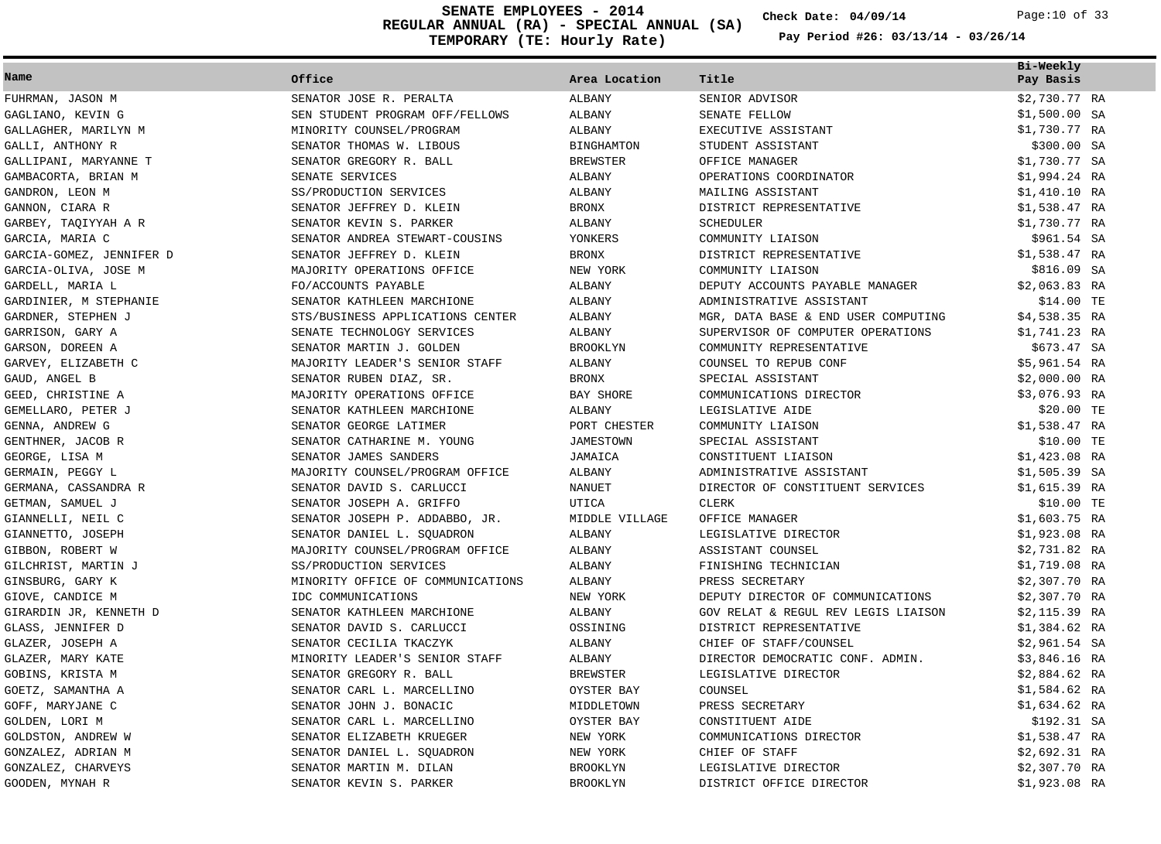**REGULAR ANNUAL (RA) - SPECIAL ANNUAL (SA) TEMPORARY (TE: Hourly Rate) SENATE EMPLOYEES - 2014 Check Date: 04/09/14** Page:10 of 33

**Check Date:**

|                          |                                   |                   |                                     | Bi-Weekly      |
|--------------------------|-----------------------------------|-------------------|-------------------------------------|----------------|
| Name                     | Office                            | Area Location     | Title                               | Pay Basis      |
| FUHRMAN, JASON M         | SENATOR JOSE R. PERALTA           | ALBANY            | SENIOR ADVISOR                      | \$2,730.77 RA  |
| GAGLIANO, KEVIN G        | SEN STUDENT PROGRAM OFF/FELLOWS   | ALBANY            | SENATE FELLOW                       | $$1,500.00$ SA |
| GALLAGHER, MARILYN M     | MINORITY COUNSEL/PROGRAM          | ALBANY            | EXECUTIVE ASSISTANT                 | \$1,730.77 RA  |
| GALLI, ANTHONY R         | SENATOR THOMAS W. LIBOUS          | <b>BINGHAMTON</b> | STUDENT ASSISTANT                   | \$300.00 SA    |
| GALLIPANI, MARYANNE T    | SENATOR GREGORY R. BALL           | <b>BREWSTER</b>   | OFFICE MANAGER                      | \$1,730.77 SA  |
| GAMBACORTA, BRIAN M      | SENATE SERVICES                   | ALBANY            | OPERATIONS COORDINATOR              | \$1,994.24 RA  |
| GANDRON, LEON M          | SS/PRODUCTION SERVICES            | ALBANY            | MAILING ASSISTANT                   | $$1,410.10$ RA |
| GANNON, CIARA R          | SENATOR JEFFREY D. KLEIN          | <b>BRONX</b>      | DISTRICT REPRESENTATIVE             | \$1,538.47 RA  |
| GARBEY, TAQIYYAH A R     | SENATOR KEVIN S. PARKER           | ALBANY            | <b>SCHEDULER</b>                    | \$1,730.77 RA  |
| GARCIA, MARIA C          | SENATOR ANDREA STEWART-COUSINS    | YONKERS           | COMMUNITY LIAISON                   | \$961.54 SA    |
| GARCIA-GOMEZ, JENNIFER D | SENATOR JEFFREY D. KLEIN          | BRONX             | DISTRICT REPRESENTATIVE             | \$1,538.47 RA  |
| GARCIA-OLIVA, JOSE M     | MAJORITY OPERATIONS OFFICE        | NEW YORK          | COMMUNITY LIAISON                   | \$816.09 SA    |
| GARDELL, MARIA L         | FO/ACCOUNTS PAYABLE               | ALBANY            | DEPUTY ACCOUNTS PAYABLE MANAGER     | $$2,063.83$ RA |
| GARDINIER, M STEPHANIE   | SENATOR KATHLEEN MARCHIONE        | ALBANY            | ADMINISTRATIVE ASSISTANT            | \$14.00 TE     |
| GARDNER, STEPHEN J       | STS/BUSINESS APPLICATIONS CENTER  | ALBANY            | MGR, DATA BASE & END USER COMPUTING | $$4,538.35$ RA |
| GARRISON, GARY A         | SENATE TECHNOLOGY SERVICES        | ALBANY            | SUPERVISOR OF COMPUTER OPERATIONS   | \$1,741.23 RA  |
| GARSON, DOREEN A         | SENATOR MARTIN J. GOLDEN          | <b>BROOKLYN</b>   | COMMUNITY REPRESENTATIVE            | \$673.47 SA    |
| GARVEY, ELIZABETH C      | MAJORITY LEADER'S SENIOR STAFF    | ALBANY            | COUNSEL TO REPUB CONF               | \$5,961.54 RA  |
| GAUD, ANGEL B            | SENATOR RUBEN DIAZ, SR.           | <b>BRONX</b>      | SPECIAL ASSISTANT                   | $$2,000.00$ RA |
| GEED, CHRISTINE A        | MAJORITY OPERATIONS OFFICE        | BAY SHORE         | COMMUNICATIONS DIRECTOR             | \$3,076.93 RA  |
| GEMELLARO, PETER J       | SENATOR KATHLEEN MARCHIONE        | ALBANY            | LEGISLATIVE AIDE                    | \$20.00 TE     |
| GENNA, ANDREW G          | SENATOR GEORGE LATIMER            | PORT CHESTER      | COMMUNITY LIAISON                   | \$1,538.47 RA  |
| GENTHNER, JACOB R        | SENATOR CATHARINE M. YOUNG        | <b>JAMESTOWN</b>  | SPECIAL ASSISTANT                   | \$10.00 TE     |
| GEORGE, LISA M           | SENATOR JAMES SANDERS             | JAMAICA           | CONSTITUENT LIAISON                 | $$1,423.08$ RA |
| GERMAIN, PEGGY L         | MAJORITY COUNSEL/PROGRAM OFFICE   | ALBANY            | ADMINISTRATIVE ASSISTANT            | $$1,505.39$ SA |
| GERMANA, CASSANDRA R     | SENATOR DAVID S. CARLUCCI         | NANUET            | DIRECTOR OF CONSTITUENT SERVICES    | $$1,615.39$ RA |
| GETMAN, SAMUEL J         | SENATOR JOSEPH A. GRIFFO          | UTICA             | <b>CLERK</b>                        | \$10.00 TE     |
| GIANNELLI, NEIL C        | SENATOR JOSEPH P. ADDABBO, JR.    | MIDDLE VILLAGE    | OFFICE MANAGER                      | $$1,603.75$ RA |
| GIANNETTO, JOSEPH        | SENATOR DANIEL L. SQUADRON        | ALBANY            | LEGISLATIVE DIRECTOR                | \$1,923.08 RA  |
| GIBBON, ROBERT W         | MAJORITY COUNSEL/PROGRAM OFFICE   | ALBANY            | ASSISTANT COUNSEL                   | \$2,731.82 RA  |
| GILCHRIST, MARTIN J      | SS/PRODUCTION SERVICES            | ALBANY            | FINISHING TECHNICIAN                | \$1,719.08 RA  |
| GINSBURG, GARY K         | MINORITY OFFICE OF COMMUNICATIONS | ALBANY            | PRESS SECRETARY                     | \$2,307.70 RA  |
| GIOVE, CANDICE M         | IDC COMMUNICATIONS                | NEW YORK          | DEPUTY DIRECTOR OF COMMUNICATIONS   | $$2,307.70$ RA |
| GIRARDIN JR, KENNETH D   | SENATOR KATHLEEN MARCHIONE        | ALBANY            | GOV RELAT & REGUL REV LEGIS LIAISON | $$2,115.39$ RA |
| GLASS, JENNIFER D        | SENATOR DAVID S. CARLUCCI         | OSSINING          | DISTRICT REPRESENTATIVE             | $$1,384.62$ RA |
| GLAZER, JOSEPH A         | SENATOR CECILIA TKACZYK           | ALBANY            | CHIEF OF STAFF/COUNSEL              | $$2,961.54$ SA |
| GLAZER, MARY KATE        | MINORITY LEADER'S SENIOR STAFF    | ALBANY            | DIRECTOR DEMOCRATIC CONF. ADMIN.    | \$3,846.16 RA  |
| GOBINS, KRISTA M         | SENATOR GREGORY R. BALL           | <b>BREWSTER</b>   | LEGISLATIVE DIRECTOR                | $$2,884.62$ RA |
| GOETZ, SAMANTHA A        | SENATOR CARL L. MARCELLINO        | OYSTER BAY        | COUNSEL                             | $$1,584.62$ RA |
| GOFF, MARYJANE C         | SENATOR JOHN J. BONACIC           | MIDDLETOWN        | PRESS SECRETARY                     | $$1,634.62$ RA |
| GOLDEN, LORI M           | SENATOR CARL L. MARCELLINO        | OYSTER BAY        | CONSTITUENT AIDE                    | \$192.31 SA    |
| GOLDSTON, ANDREW W       | SENATOR ELIZABETH KRUEGER         | NEW YORK          | COMMUNICATIONS DIRECTOR             | \$1,538.47 RA  |
| GONZALEZ, ADRIAN M       | SENATOR DANIEL L. SQUADRON        | NEW YORK          | CHIEF OF STAFF                      | \$2,692.31 RA  |
| GONZALEZ, CHARVEYS       | SENATOR MARTIN M. DILAN           | <b>BROOKLYN</b>   | LEGISLATIVE DIRECTOR                | $$2,307.70$ RA |
| GOODEN, MYNAH R          | SENATOR KEVIN S. PARKER           | <b>BROOKLYN</b>   | DISTRICT OFFICE DIRECTOR            | \$1,923.08 RA  |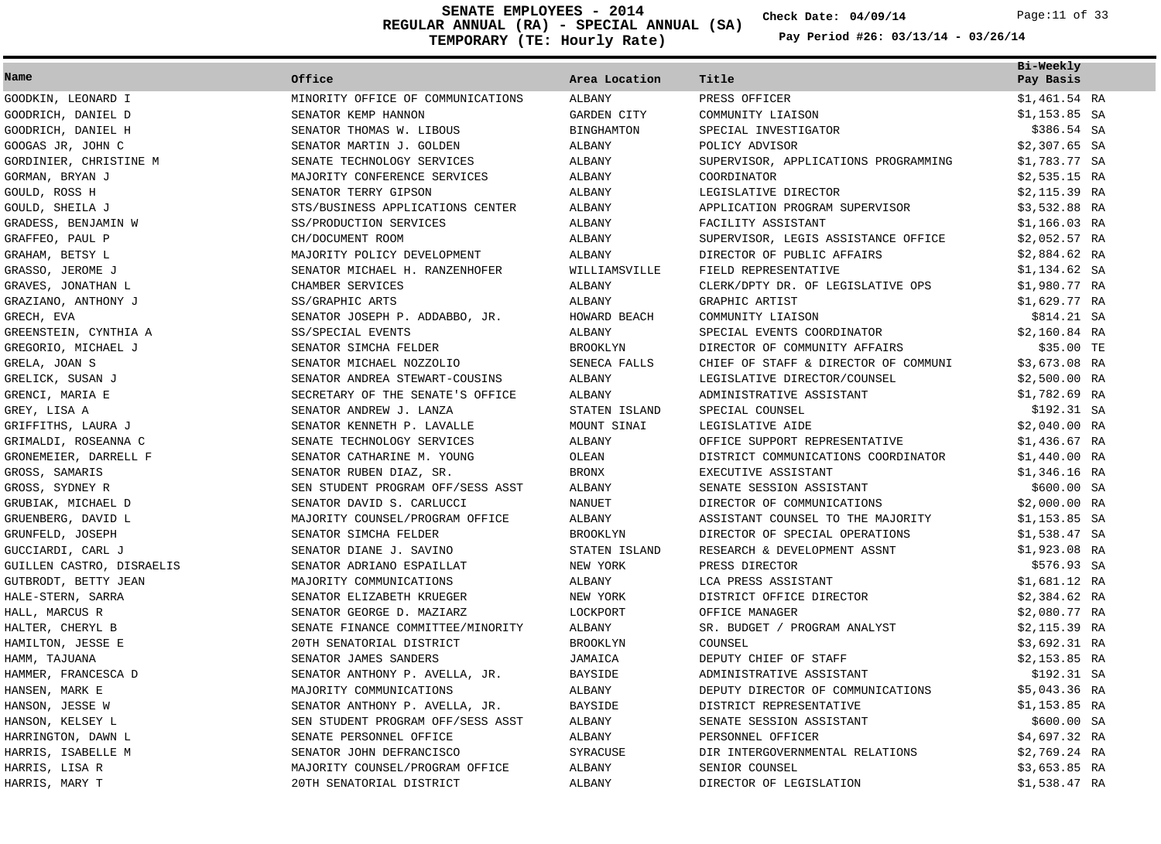**REGULAR ANNUAL (RA) - SPECIAL ANNUAL (SA) TEMPORARY (TE: Hourly Rate) SENATE EMPLOYEES - 2014 Check Date: 04/09/14** Page:11 of 33

**Check Date:**

|                           |                                   |                    |                                      | Bi-Weekly      |
|---------------------------|-----------------------------------|--------------------|--------------------------------------|----------------|
| Name                      | Office                            | Area Location      | Title                                | Pay Basis      |
| GOODKIN, LEONARD I        | MINORITY OFFICE OF COMMUNICATIONS | ALBANY             | PRESS OFFICER                        | $$1,461.54$ RA |
| GOODRICH, DANIEL D        | SENATOR KEMP HANNON               | <b>GARDEN CITY</b> | COMMUNITY LIAISON                    | $$1,153.85$ SA |
| GOODRICH, DANIEL H        | SENATOR THOMAS W. LIBOUS          | <b>BINGHAMTON</b>  | SPECIAL INVESTIGATOR                 | \$386.54 SA    |
| GOOGAS JR, JOHN C         | SENATOR MARTIN J. GOLDEN          | ALBANY             | POLICY ADVISOR                       | $$2,307.65$ SA |
| GORDINIER, CHRISTINE M    | SENATE TECHNOLOGY SERVICES        | ALBANY             | SUPERVISOR, APPLICATIONS PROGRAMMING | \$1,783.77 SA  |
| GORMAN, BRYAN J           | MAJORITY CONFERENCE SERVICES      | ALBANY             | COORDINATOR                          | $$2,535.15$ RA |
| GOULD, ROSS H             | SENATOR TERRY GIPSON              | ALBANY             | LEGISLATIVE DIRECTOR                 | \$2,115.39 RA  |
| GOULD, SHEILA J           | STS/BUSINESS APPLICATIONS CENTER  | ALBANY             | APPLICATION PROGRAM SUPERVISOR       | \$3,532.88 RA  |
| GRADESS, BENJAMIN W       | SS/PRODUCTION SERVICES            | ALBANY             | FACILITY ASSISTANT                   | $$1,166.03$ RA |
| GRAFFEO, PAUL P           | CH/DOCUMENT ROOM                  | ALBANY             | SUPERVISOR, LEGIS ASSISTANCE OFFICE  | $$2,052.57$ RA |
| GRAHAM, BETSY L           | MAJORITY POLICY DEVELOPMENT       | ALBANY             | DIRECTOR OF PUBLIC AFFAIRS           | $$2,884.62$ RA |
| GRASSO, JEROME J          | SENATOR MICHAEL H. RANZENHOFER    | WILLIAMSVILLE      | FIELD REPRESENTATIVE                 | $$1,134.62$ SA |
| GRAVES, JONATHAN L        | CHAMBER SERVICES                  | ALBANY             | CLERK/DPTY DR. OF LEGISLATIVE OPS    | \$1,980.77 RA  |
| GRAZIANO, ANTHONY J       | SS/GRAPHIC ARTS                   | ALBANY             | GRAPHIC ARTIST                       | \$1,629.77 RA  |
| GRECH, EVA                | SENATOR JOSEPH P. ADDABBO, JR.    | HOWARD BEACH       | COMMUNITY LIAISON                    | \$814.21 SA    |
| GREENSTEIN, CYNTHIA A     | SS/SPECIAL EVENTS                 | ALBANY             | SPECIAL EVENTS COORDINATOR           | \$2,160.84 RA  |
| GREGORIO, MICHAEL J       | SENATOR SIMCHA FELDER             | <b>BROOKLYN</b>    | DIRECTOR OF COMMUNITY AFFAIRS        | \$35.00 TE     |
| GRELA, JOAN S             | SENATOR MICHAEL NOZZOLIO          | SENECA FALLS       | CHIEF OF STAFF & DIRECTOR OF COMMUNI | $$3,673.08$ RA |
| GRELICK, SUSAN J          | SENATOR ANDREA STEWART-COUSINS    | ALBANY             | LEGISLATIVE DIRECTOR/COUNSEL         | $$2,500.00$ RA |
| GRENCI, MARIA E           | SECRETARY OF THE SENATE'S OFFICE  | ALBANY             | ADMINISTRATIVE ASSISTANT             | $$1,782.69$ RA |
| GREY, LISA A              | SENATOR ANDREW J. LANZA           | STATEN ISLAND      | SPECIAL COUNSEL                      | \$192.31 SA    |
| GRIFFITHS, LAURA J        | SENATOR KENNETH P. LAVALLE        | MOUNT SINAI        | LEGISLATIVE AIDE                     | $$2,040.00$ RA |
| GRIMALDI, ROSEANNA C      | SENATE TECHNOLOGY SERVICES        | ALBANY             | OFFICE SUPPORT REPRESENTATIVE        | $$1,436.67$ RA |
| GRONEMEIER, DARRELL F     | SENATOR CATHARINE M. YOUNG        | OLEAN              | DISTRICT COMMUNICATIONS COORDINATOR  | $$1,440.00$ RA |
| GROSS, SAMARIS            | SENATOR RUBEN DIAZ, SR.           | BRONX              | EXECUTIVE ASSISTANT                  | $$1,346.16$ RA |
| GROSS, SYDNEY R           | SEN STUDENT PROGRAM OFF/SESS ASST | ALBANY             | SENATE SESSION ASSISTANT             | \$600.00 SA    |
| GRUBIAK, MICHAEL D        | SENATOR DAVID S. CARLUCCI         | <b>NANUET</b>      | DIRECTOR OF COMMUNICATIONS           | $$2,000.00$ RA |
| GRUENBERG, DAVID L        | MAJORITY COUNSEL/PROGRAM OFFICE   | ALBANY             | ASSISTANT COUNSEL TO THE MAJORITY    | $$1,153.85$ SA |
| GRUNFELD, JOSEPH          | SENATOR SIMCHA FELDER             | <b>BROOKLYN</b>    | DIRECTOR OF SPECIAL OPERATIONS       | $$1,538.47$ SA |
| GUCCIARDI, CARL J         | SENATOR DIANE J. SAVINO           | STATEN ISLAND      | RESEARCH & DEVELOPMENT ASSNT         | $$1,923.08$ RA |
| GUILLEN CASTRO, DISRAELIS | SENATOR ADRIANO ESPAILLAT         | NEW YORK           | PRESS DIRECTOR                       | \$576.93 SA    |
| GUTBRODT, BETTY JEAN      | MAJORITY COMMUNICATIONS           | ALBANY             | LCA PRESS ASSISTANT                  | \$1,681.12 RA  |
| HALE-STERN, SARRA         | SENATOR ELIZABETH KRUEGER         | NEW YORK           | DISTRICT OFFICE DIRECTOR             | $$2,384.62$ RA |
| HALL, MARCUS R            | SENATOR GEORGE D. MAZIARZ         | LOCKPORT           | OFFICE MANAGER                       | $$2,080.77$ RA |
| HALTER, CHERYL B          | SENATE FINANCE COMMITTEE/MINORITY | ALBANY             | SR. BUDGET / PROGRAM ANALYST         | $$2,115.39$ RA |
| HAMILTON, JESSE E         | 20TH SENATORIAL DISTRICT          | <b>BROOKLYN</b>    | COUNSEL                              | \$3,692.31 RA  |
| HAMM, TAJUANA             | SENATOR JAMES SANDERS             | JAMAICA            | DEPUTY CHIEF OF STAFF                | $$2,153.85$ RA |
| HAMMER, FRANCESCA D       | SENATOR ANTHONY P. AVELLA, JR.    | <b>BAYSIDE</b>     | ADMINISTRATIVE ASSISTANT             | \$192.31 SA    |
| HANSEN, MARK E            | MAJORITY COMMUNICATIONS           | ALBANY             | DEPUTY DIRECTOR OF COMMUNICATIONS    | $$5,043.36$ RA |
| HANSON, JESSE W           | SENATOR ANTHONY P. AVELLA, JR.    | <b>BAYSIDE</b>     | DISTRICT REPRESENTATIVE              | $$1,153.85$ RA |
| HANSON, KELSEY L          | SEN STUDENT PROGRAM OFF/SESS ASST | ALBANY             | SENATE SESSION ASSISTANT             | \$600.00 SA    |
| HARRINGTON, DAWN L        | SENATE PERSONNEL OFFICE           | ALBANY             | PERSONNEL OFFICER                    | $$4,697.32$ RA |
| HARRIS, ISABELLE M        | SENATOR JOHN DEFRANCISCO          | SYRACUSE           | DIR INTERGOVERNMENTAL RELATIONS      | $$2,769.24$ RA |
| HARRIS, LISA R            | MAJORITY COUNSEL/PROGRAM OFFICE   | <b>ALBANY</b>      | SENIOR COUNSEL                       | $$3,653.85$ RA |
| HARRIS, MARY T            | 20TH SENATORIAL DISTRICT          | ALBANY             | DIRECTOR OF LEGISLATION              | \$1,538.47 RA  |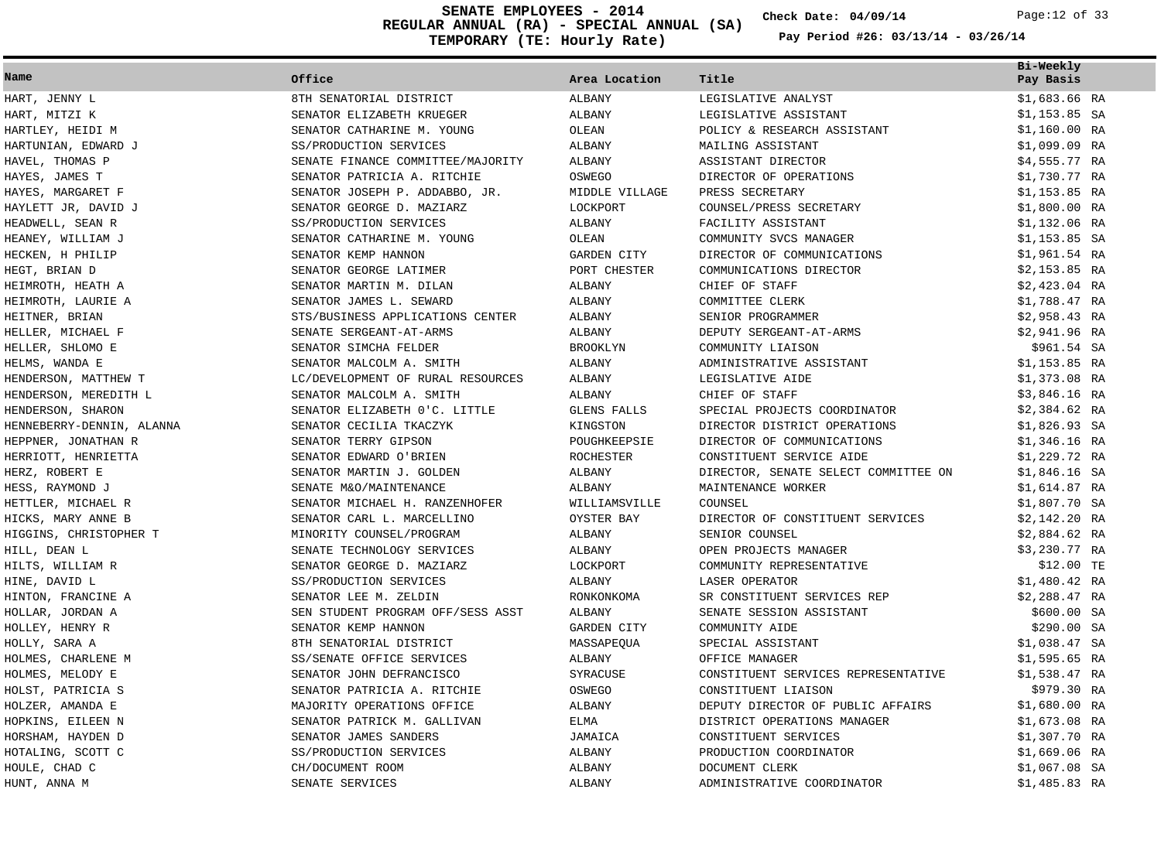**REGULAR ANNUAL (RA) - SPECIAL ANNUAL (SA) TEMPORARY (TE: Hourly Rate) SENATE EMPLOYEES - 2014 Check Date: 04/09/14** Page:12 of 33

**Check Date:**

| Name                      | Office                            | Area Location      | Title                                | Bi-Weekly<br>Pay Basis |
|---------------------------|-----------------------------------|--------------------|--------------------------------------|------------------------|
| HART, JENNY L             | 8TH SENATORIAL DISTRICT           | ALBANY             | LEGISLATIVE ANALYST                  | $$1,683.66$ RA         |
| HART, MITZI K             | SENATOR ELIZABETH KRUEGER         | ALBANY             | LEGISLATIVE ASSISTANT                | $$1,153.85$ SA         |
| HARTLEY, HEIDI M          | SENATOR CATHARINE M. YOUNG        | OLEAN              | POLICY & RESEARCH ASSISTANT          | $$1,160.00$ RA         |
| HARTUNIAN, EDWARD J       | SS/PRODUCTION SERVICES            | ALBANY             | MAILING ASSISTANT                    | $$1,099.09$ RA         |
| HAVEL, THOMAS P           | SENATE FINANCE COMMITTEE/MAJORITY | ALBANY             | ASSISTANT DIRECTOR                   | $$4,555.77$ RA         |
| HAYES, JAMES T            | SENATOR PATRICIA A. RITCHIE       | OSWEGO             | DIRECTOR OF OPERATIONS               | \$1,730.77 RA          |
| HAYES, MARGARET F         | SENATOR JOSEPH P. ADDABBO, JR.    | MIDDLE VILLAGE     | PRESS SECRETARY                      | $$1,153.85$ RA         |
| HAYLETT JR, DAVID J       | SENATOR GEORGE D. MAZIARZ         | LOCKPORT           | COUNSEL/PRESS SECRETARY              | $$1,800.00$ RA         |
| HEADWELL, SEAN R          | SS/PRODUCTION SERVICES            | ALBANY             | FACILITY ASSISTANT                   | $$1,132.06$ RA         |
| HEANEY, WILLIAM J         | SENATOR CATHARINE M. YOUNG        | OLEAN              | COMMUNITY SVCS MANAGER               | $$1,153.85$ SA         |
| HECKEN, H PHILIP          | SENATOR KEMP HANNON               | GARDEN CITY        | DIRECTOR OF COMMUNICATIONS           | $$1,961.54$ RA         |
| HEGT, BRIAN D             | SENATOR GEORGE LATIMER            | PORT CHESTER       | COMMUNICATIONS DIRECTOR              | $$2,153.85$ RA         |
| HEIMROTH, HEATH A         | SENATOR MARTIN M. DILAN           | ALBANY             | CHIEF OF STAFF                       | $$2,423.04$ RA         |
| HEIMROTH, LAURIE A        | SENATOR JAMES L. SEWARD           | ALBANY             | COMMITTEE CLERK                      | \$1,788.47 RA          |
| HEITNER, BRIAN            | STS/BUSINESS APPLICATIONS CENTER  | ALBANY             | SENIOR PROGRAMMER                    | $$2,958.43$ RA         |
| HELLER, MICHAEL F         | SENATE SERGEANT-AT-ARMS           | ALBANY             | DEPUTY SERGEANT-AT-ARMS              | \$2,941.96 RA          |
| HELLER, SHLOMO E          | SENATOR SIMCHA FELDER             | <b>BROOKLYN</b>    | COMMUNITY LIAISON                    | \$961.54 SA            |
| HELMS, WANDA E            | SENATOR MALCOLM A. SMITH          | ALBANY             | ADMINISTRATIVE ASSISTANT             | $$1,153.85$ RA         |
| HENDERSON, MATTHEW T      | LC/DEVELOPMENT OF RURAL RESOURCES | ALBANY             | LEGISLATIVE AIDE                     | $$1,373.08$ RA         |
| HENDERSON, MEREDITH L     | SENATOR MALCOLM A. SMITH          | ALBANY             | CHIEF OF STAFF                       | \$3,846.16 RA          |
| HENDERSON, SHARON         | SENATOR ELIZABETH 0'C. LITTLE     | <b>GLENS FALLS</b> | SPECIAL PROJECTS COORDINATOR         | $$2,384.62$ RA         |
| HENNEBERRY-DENNIN, ALANNA | SENATOR CECILIA TKACZYK           | KINGSTON           | DIRECTOR DISTRICT OPERATIONS         | $$1,826.93$ SA         |
| HEPPNER, JONATHAN R       | SENATOR TERRY GIPSON              | POUGHKEEPSIE       | DIRECTOR OF COMMUNICATIONS           | $$1,346.16$ RA         |
| HERRIOTT, HENRIETTA       | SENATOR EDWARD O'BRIEN            | <b>ROCHESTER</b>   | CONSTITUENT SERVICE AIDE             | \$1,229.72 RA          |
| HERZ, ROBERT E            | SENATOR MARTIN J. GOLDEN          | ALBANY             | DIRECTOR, SENATE SELECT COMMITTEE ON | $$1,846.16$ SA         |
| HESS, RAYMOND J           | SENATE M&O/MAINTENANCE            | ALBANY             | MAINTENANCE WORKER                   | $$1,614.87$ RA         |
| HETTLER, MICHAEL R        | SENATOR MICHAEL H. RANZENHOFER    | WILLIAMSVILLE      | COUNSEL                              | $$1,807.70$ SA         |
| HICKS, MARY ANNE B        | SENATOR CARL L. MARCELLINO        | OYSTER BAY         | DIRECTOR OF CONSTITUENT SERVICES     | \$2,142.20 RA          |
| HIGGINS, CHRISTOPHER T    | MINORITY COUNSEL/PROGRAM          | ALBANY             | SENIOR COUNSEL                       | $$2,884.62$ RA         |
| HILL, DEAN L              | SENATE TECHNOLOGY SERVICES        | ALBANY             | OPEN PROJECTS MANAGER                | \$3,230.77 RA          |
| HILTS, WILLIAM R          | SENATOR GEORGE D. MAZIARZ         | LOCKPORT           | COMMUNITY REPRESENTATIVE             | \$12.00 TE             |
| HINE, DAVID L             | SS/PRODUCTION SERVICES            | ALBANY             | LASER OPERATOR                       | \$1,480.42 RA          |
| HINTON, FRANCINE A        | SENATOR LEE M. ZELDIN             | RONKONKOMA         | SR CONSTITUENT SERVICES REP          | $$2,288.47$ RA         |
| HOLLAR, JORDAN A          | SEN STUDENT PROGRAM OFF/SESS ASST | ALBANY             | SENATE SESSION ASSISTANT             | \$600.00 SA            |
| HOLLEY, HENRY R           | SENATOR KEMP HANNON               | <b>GARDEN CITY</b> | COMMUNITY AIDE                       | \$290.00 SA            |
| HOLLY, SARA A             | 8TH SENATORIAL DISTRICT           | MASSAPEQUA         | SPECIAL ASSISTANT                    | $$1,038.47$ SA         |
| HOLMES, CHARLENE M        | SS/SENATE OFFICE SERVICES         | ALBANY             | OFFICE MANAGER                       | $$1,595.65$ RA         |
| HOLMES, MELODY E          | SENATOR JOHN DEFRANCISCO          | SYRACUSE           | CONSTITUENT SERVICES REPRESENTATIVE  | $$1,538.47$ RA         |
| HOLST, PATRICIA S         | SENATOR PATRICIA A. RITCHIE       | OSWEGO             | CONSTITUENT LIAISON                  | \$979.30 RA            |
| HOLZER, AMANDA E          | MAJORITY OPERATIONS OFFICE        | ALBANY             | DEPUTY DIRECTOR OF PUBLIC AFFAIRS    | $$1,680.00$ RA         |
| HOPKINS, EILEEN N         | SENATOR PATRICK M. GALLIVAN       | <b>ELMA</b>        | DISTRICT OPERATIONS MANAGER          | $$1,673.08$ RA         |
| HORSHAM, HAYDEN D         | SENATOR JAMES SANDERS             | JAMAICA            | CONSTITUENT SERVICES                 | $$1,307.70$ RA         |
| HOTALING, SCOTT C         | SS/PRODUCTION SERVICES            | ALBANY             | PRODUCTION COORDINATOR               | $$1,669.06$ RA         |
| HOULE, CHAD C             | CH/DOCUMENT ROOM                  | ALBANY             | DOCUMENT CLERK                       | $$1,067.08$ SA         |
| HUNT, ANNA M              | SENATE SERVICES                   | <b>ALBANY</b>      | ADMINISTRATIVE COORDINATOR           | \$1,485.83 RA          |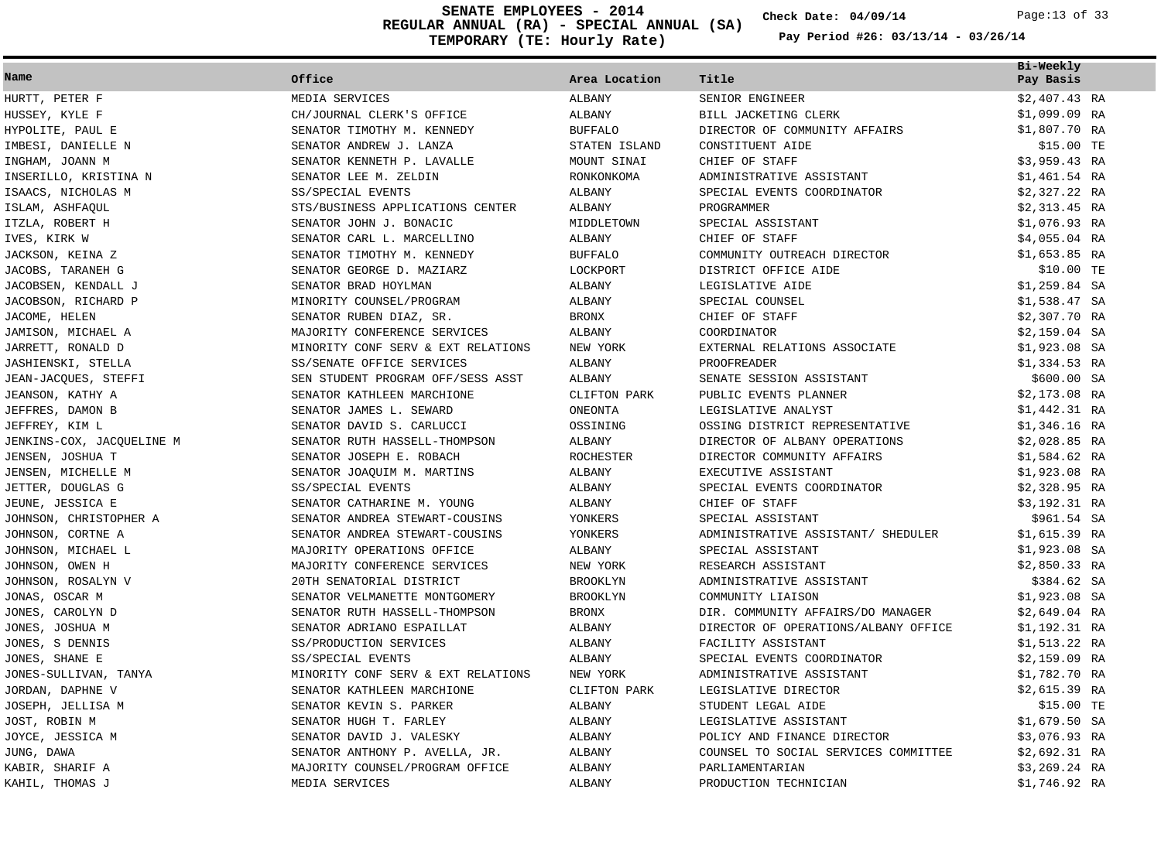**REGULAR ANNUAL (RA) - SPECIAL ANNUAL (SA) 04/09/14 SENATE EMPLOYEES - 2014** Page:13 of 33**TEMPORARY (TE: Hourly Rate)**

**Check Date:**

|  | Pay Period #26: 03/13/14 - 03/26/14 |  |  |
|--|-------------------------------------|--|--|
|  |                                     |  |  |

|                           |                                    |                  |                                      | Bi-Weekly      |  |
|---------------------------|------------------------------------|------------------|--------------------------------------|----------------|--|
| Name                      | Office                             | Area Location    | Title                                | Pay Basis      |  |
| HURTT, PETER F            | MEDIA SERVICES                     | ALBANY           | SENIOR ENGINEER                      | $$2,407.43$ RA |  |
| HUSSEY, KYLE F            | CH/JOURNAL CLERK'S OFFICE          | ALBANY           | BILL JACKETING CLERK                 | $$1,099.09$ RA |  |
| HYPOLITE, PAUL E          | SENATOR TIMOTHY M. KENNEDY         | <b>BUFFALO</b>   | DIRECTOR OF COMMUNITY AFFAIRS        | \$1,807.70 RA  |  |
| IMBESI, DANIELLE N        | SENATOR ANDREW J. LANZA            | STATEN ISLAND    | CONSTITUENT AIDE                     | \$15.00 TE     |  |
| INGHAM, JOANN M           | SENATOR KENNETH P. LAVALLE         | MOUNT SINAI      | CHIEF OF STAFF                       | $$3,959.43$ RA |  |
| INSERILLO, KRISTINA N     | SENATOR LEE M. ZELDIN              | RONKONKOMA       | ADMINISTRATIVE ASSISTANT             | $$1,461.54$ RA |  |
| ISAACS, NICHOLAS M        | SS/SPECIAL EVENTS                  | ALBANY           | SPECIAL EVENTS COORDINATOR           | \$2,327.22 RA  |  |
| ISLAM, ASHFAQUL           | STS/BUSINESS APPLICATIONS CENTER   | ALBANY           | PROGRAMMER                           | $$2,313.45$ RA |  |
| ITZLA, ROBERT H           | SENATOR JOHN J. BONACIC            | MIDDLETOWN       | SPECIAL ASSISTANT                    | \$1,076.93 RA  |  |
| IVES, KIRK W              | SENATOR CARL L. MARCELLINO         | ALBANY           | CHIEF OF STAFF                       | $$4,055.04$ RA |  |
| JACKSON, KEINA Z          | SENATOR TIMOTHY M. KENNEDY         | <b>BUFFALO</b>   | COMMUNITY OUTREACH DIRECTOR          | $$1,653.85$ RA |  |
| JACOBS, TARANEH G         | SENATOR GEORGE D. MAZIARZ          | LOCKPORT         | DISTRICT OFFICE AIDE                 | \$10.00 TE     |  |
| JACOBSEN, KENDALL J       | SENATOR BRAD HOYLMAN               | ALBANY           | LEGISLATIVE AIDE                     | $$1,259.84$ SA |  |
| JACOBSON, RICHARD P       | MINORITY COUNSEL/PROGRAM           | ALBANY           | SPECIAL COUNSEL                      | \$1,538.47 SA  |  |
| JACOME, HELEN             | SENATOR RUBEN DIAZ, SR.            | <b>BRONX</b>     | CHIEF OF STAFF                       | $$2,307.70$ RA |  |
| JAMISON, MICHAEL A        | MAJORITY CONFERENCE SERVICES       | ALBANY           | COORDINATOR                          | $$2,159.04$ SA |  |
| JARRETT, RONALD D         | MINORITY CONF SERV & EXT RELATIONS | NEW YORK         | EXTERNAL RELATIONS ASSOCIATE         | $$1,923.08$ SA |  |
| JASHIENSKI, STELLA        | SS/SENATE OFFICE SERVICES          | ALBANY           | <b>PROOFREADER</b>                   | $$1,334.53$ RA |  |
| JEAN-JACQUES, STEFFI      | SEN STUDENT PROGRAM OFF/SESS ASST  | ALBANY           | SENATE SESSION ASSISTANT             | \$600.00 SA    |  |
| JEANSON, KATHY A          | SENATOR KATHLEEN MARCHIONE         | CLIFTON PARK     | PUBLIC EVENTS PLANNER                | $$2,173.08$ RA |  |
| JEFFRES, DAMON B          | SENATOR JAMES L. SEWARD            | ONEONTA          | LEGISLATIVE ANALYST                  | \$1,442.31 RA  |  |
| JEFFREY, KIM L            | SENATOR DAVID S. CARLUCCI          | OSSINING         | OSSING DISTRICT REPRESENTATIVE       | $$1,346.16$ RA |  |
| JENKINS-COX, JACQUELINE M | SENATOR RUTH HASSELL-THOMPSON      | ALBANY           | DIRECTOR OF ALBANY OPERATIONS        | $$2,028.85$ RA |  |
| JENSEN, JOSHUA T          | SENATOR JOSEPH E. ROBACH           | <b>ROCHESTER</b> | DIRECTOR COMMUNITY AFFAIRS           | \$1,584.62 RA  |  |
| JENSEN, MICHELLE M        | SENATOR JOAQUIM M. MARTINS         | ALBANY           | EXECUTIVE ASSISTANT                  | \$1,923.08 RA  |  |
| JETTER, DOUGLAS G         | SS/SPECIAL EVENTS                  | ALBANY           | SPECIAL EVENTS COORDINATOR           | $$2,328.95$ RA |  |
| JEUNE, JESSICA E          | SENATOR CATHARINE M. YOUNG         | ALBANY           | CHIEF OF STAFF                       | \$3,192.31 RA  |  |
| JOHNSON, CHRISTOPHER A    | SENATOR ANDREA STEWART-COUSINS     | YONKERS          | SPECIAL ASSISTANT                    | \$961.54 SA    |  |
| JOHNSON, CORTNE A         | SENATOR ANDREA STEWART-COUSINS     | YONKERS          | ADMINISTRATIVE ASSISTANT/ SHEDULER   | \$1,615.39 RA  |  |
| JOHNSON, MICHAEL L        | MAJORITY OPERATIONS OFFICE         | ALBANY           | SPECIAL ASSISTANT                    | $$1,923.08$ SA |  |
| JOHNSON, OWEN H           | MAJORITY CONFERENCE SERVICES       | NEW YORK         | RESEARCH ASSISTANT                   | $$2,850.33$ RA |  |
| JOHNSON, ROSALYN V        | 20TH SENATORIAL DISTRICT           | <b>BROOKLYN</b>  | ADMINISTRATIVE ASSISTANT             | \$384.62 SA    |  |
| JONAS, OSCAR M            | SENATOR VELMANETTE MONTGOMERY      | <b>BROOKLYN</b>  | COMMUNITY LIAISON                    | $$1,923.08$ SA |  |
| JONES, CAROLYN D          | SENATOR RUTH HASSELL-THOMPSON      | <b>BRONX</b>     | DIR. COMMUNITY AFFAIRS/DO MANAGER    | $$2,649.04$ RA |  |
| JONES, JOSHUA M           | SENATOR ADRIANO ESPAILLAT          | ALBANY           | DIRECTOR OF OPERATIONS/ALBANY OFFICE | \$1,192.31 RA  |  |
| JONES, S DENNIS           | SS/PRODUCTION SERVICES             | ALBANY           | FACILITY ASSISTANT                   | $$1,513.22$ RA |  |
| JONES, SHANE E            | SS/SPECIAL EVENTS                  | ALBANY           | SPECIAL EVENTS COORDINATOR           | $$2,159.09$ RA |  |
| JONES-SULLIVAN, TANYA     | MINORITY CONF SERV & EXT RELATIONS | NEW YORK         | ADMINISTRATIVE ASSISTANT             | \$1,782.70 RA  |  |
| JORDAN, DAPHNE V          | SENATOR KATHLEEN MARCHIONE         | CLIFTON PARK     | LEGISLATIVE DIRECTOR                 | $$2,615.39$ RA |  |
| JOSEPH, JELLISA M         | SENATOR KEVIN S. PARKER            | ALBANY           | STUDENT LEGAL AIDE                   | \$15.00 TE     |  |
| JOST, ROBIN M             | SENATOR HUGH T. FARLEY             | ALBANY           | LEGISLATIVE ASSISTANT                | $$1,679.50$ SA |  |
| JOYCE, JESSICA M          | SENATOR DAVID J. VALESKY           | ALBANY           | POLICY AND FINANCE DIRECTOR          | \$3,076.93 RA  |  |
| JUNG, DAWA                | SENATOR ANTHONY P. AVELLA, JR.     | ALBANY           | COUNSEL TO SOCIAL SERVICES COMMITTEE | \$2,692.31 RA  |  |
| KABIR, SHARIF A           | MAJORITY COUNSEL/PROGRAM OFFICE    | ALBANY           | PARLIAMENTARIAN                      | $$3,269.24$ RA |  |
| KAHIL, THOMAS J           | MEDIA SERVICES                     | <b>ALBANY</b>    | PRODUCTION TECHNICIAN                | \$1,746.92 RA  |  |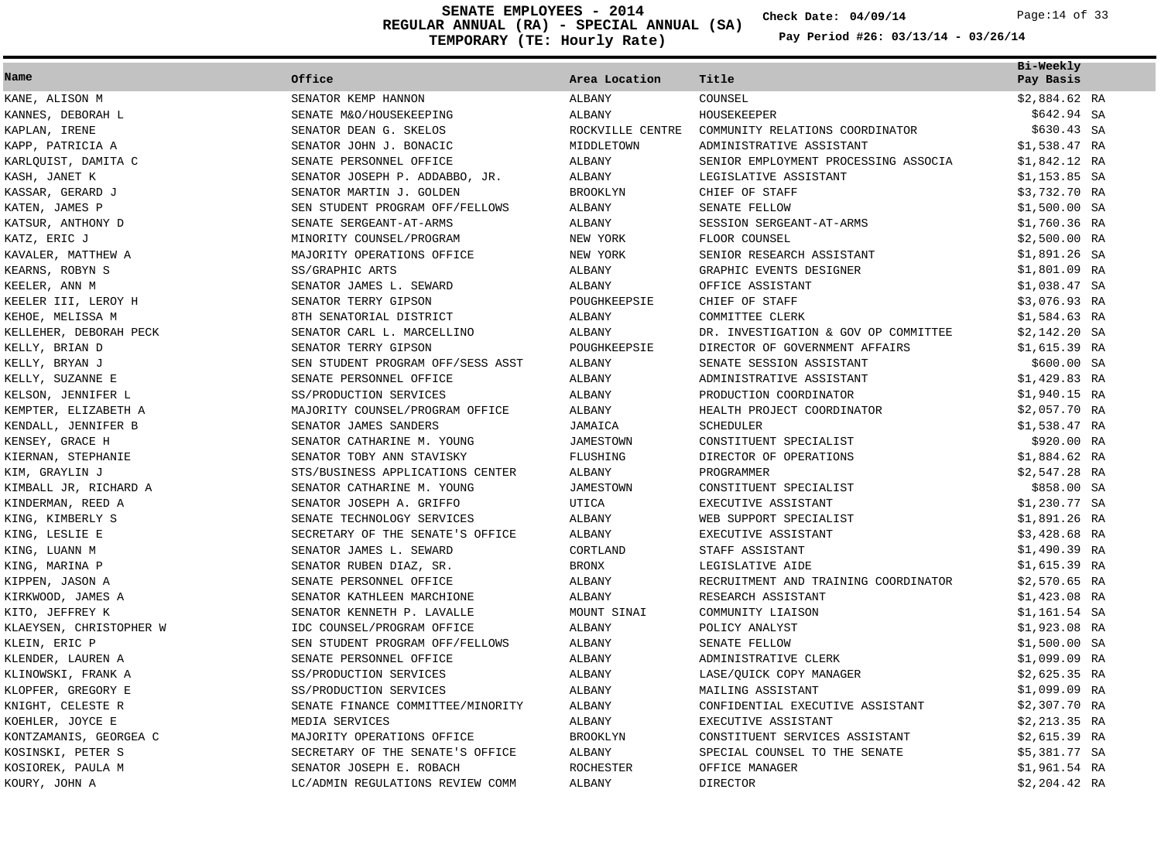**REGULAR ANNUAL (RA) - SPECIAL ANNUAL (SA) TEMPORARY (TE: Hourly Rate) SENATE EMPLOYEES - 2014 Check Date: 04/09/14** Page:14 of 33

**Check Date:**

|                         |                                   |                  |                                      | Bi-Weekly      |
|-------------------------|-----------------------------------|------------------|--------------------------------------|----------------|
| Name                    | Office                            | Area Location    | Title                                | Pay Basis      |
| KANE, ALISON M          | SENATOR KEMP HANNON               | ALBANY           | COUNSEL                              | $$2,884.62$ RA |
| KANNES, DEBORAH L       | SENATE M&O/HOUSEKEEPING           | ALBANY           | HOUSEKEEPER                          | \$642.94 SA    |
| KAPLAN, IRENE           | SENATOR DEAN G. SKELOS            | ROCKVILLE CENTRE | COMMUNITY RELATIONS COORDINATOR      | \$630.43 SA    |
| KAPP, PATRICIA A        | SENATOR JOHN J. BONACIC           | MIDDLETOWN       | ADMINISTRATIVE ASSISTANT             | $$1,538.47$ RA |
| KARLQUIST, DAMITA C     | SENATE PERSONNEL OFFICE           | ALBANY           | SENIOR EMPLOYMENT PROCESSING ASSOCIA | \$1,842.12 RA  |
| KASH, JANET K           | SENATOR JOSEPH P. ADDABBO, JR.    | ALBANY           | LEGISLATIVE ASSISTANT                | $$1,153.85$ SA |
| KASSAR, GERARD J        | SENATOR MARTIN J. GOLDEN          | <b>BROOKLYN</b>  | CHIEF OF STAFF                       | \$3,732.70 RA  |
| KATEN, JAMES P          | SEN STUDENT PROGRAM OFF/FELLOWS   | ALBANY           | SENATE FELLOW                        | $$1,500.00$ SA |
| KATSUR, ANTHONY D       | SENATE SERGEANT-AT-ARMS           | ALBANY           | SESSION SERGEANT-AT-ARMS             | $$1,760.36$ RA |
| KATZ, ERIC J            | MINORITY COUNSEL/PROGRAM          | NEW YORK         | FLOOR COUNSEL                        | $$2,500.00$ RA |
| KAVALER, MATTHEW A      | MAJORITY OPERATIONS OFFICE        | NEW YORK         | SENIOR RESEARCH ASSISTANT            | $$1,891.26$ SA |
| KEARNS, ROBYN S         | SS/GRAPHIC ARTS                   | ALBANY           | GRAPHIC EVENTS DESIGNER              | $$1,801.09$ RA |
| KEELER, ANN M           | SENATOR JAMES L. SEWARD           | ALBANY           | OFFICE ASSISTANT                     | $$1,038.47$ SA |
| KEELER III, LEROY H     | SENATOR TERRY GIPSON              | POUGHKEEPSIE     | CHIEF OF STAFF                       | $$3,076.93$ RA |
| KEHOE, MELISSA M        | 8TH SENATORIAL DISTRICT           | ALBANY           | COMMITTEE CLERK                      | $$1,584.63$ RA |
| KELLEHER, DEBORAH PECK  | SENATOR CARL L. MARCELLINO        | ALBANY           | DR. INVESTIGATION & GOV OP COMMITTEE | $$2,142.20$ SA |
| KELLY, BRIAN D          | SENATOR TERRY GIPSON              | POUGHKEEPSIE     | DIRECTOR OF GOVERNMENT AFFAIRS       | $$1,615.39$ RA |
| KELLY, BRYAN J          | SEN STUDENT PROGRAM OFF/SESS ASST | ALBANY           | SENATE SESSION ASSISTANT             | \$600.00 SA    |
| KELLY, SUZANNE E        | SENATE PERSONNEL OFFICE           | ALBANY           | ADMINISTRATIVE ASSISTANT             | $$1,429.83$ RA |
| KELSON, JENNIFER L      | SS/PRODUCTION SERVICES            | ALBANY           | PRODUCTION COORDINATOR               | $$1,940.15$ RA |
| KEMPTER, ELIZABETH A    | MAJORITY COUNSEL/PROGRAM OFFICE   | ALBANY           | HEALTH PROJECT COORDINATOR           | \$2,057.70 RA  |
| KENDALL, JENNIFER B     | SENATOR JAMES SANDERS             | JAMAICA          | <b>SCHEDULER</b>                     | \$1,538.47 RA  |
| KENSEY, GRACE H         | SENATOR CATHARINE M. YOUNG        | <b>JAMESTOWN</b> | CONSTITUENT SPECIALIST               | \$920.00 RA    |
| KIERNAN, STEPHANIE      | SENATOR TOBY ANN STAVISKY         | FLUSHING         | DIRECTOR OF OPERATIONS               | $$1,884.62$ RA |
| KIM, GRAYLIN J          | STS/BUSINESS APPLICATIONS CENTER  | ALBANY           | PROGRAMMER                           | $$2,547.28$ RA |
| KIMBALL JR, RICHARD A   | SENATOR CATHARINE M. YOUNG        | JAMESTOWN        | CONSTITUENT SPECIALIST               | \$858.00 SA    |
| KINDERMAN, REED A       | SENATOR JOSEPH A. GRIFFO          | UTICA            | EXECUTIVE ASSISTANT                  | $$1,230.77$ SA |
| KING, KIMBERLY S        | SENATE TECHNOLOGY SERVICES        | ALBANY           | WEB SUPPORT SPECIALIST               | \$1,891.26 RA  |
| KING, LESLIE E          | SECRETARY OF THE SENATE'S OFFICE  | ALBANY           | EXECUTIVE ASSISTANT                  | $$3,428.68$ RA |
| KING, LUANN M           | SENATOR JAMES L. SEWARD           | CORTLAND         | STAFF ASSISTANT                      | \$1,490.39 RA  |
| KING, MARINA P          | SENATOR RUBEN DIAZ, SR.           | <b>BRONX</b>     | LEGISLATIVE AIDE                     | $$1,615.39$ RA |
| KIPPEN, JASON A         | SENATE PERSONNEL OFFICE           | ALBANY           | RECRUITMENT AND TRAINING COORDINATOR | $$2,570.65$ RA |
| KIRKWOOD, JAMES A       | SENATOR KATHLEEN MARCHIONE        | <b>ALBANY</b>    | RESEARCH ASSISTANT                   | $$1,423.08$ RA |
| KITO, JEFFREY K         | SENATOR KENNETH P. LAVALLE        | MOUNT SINAI      | COMMUNITY LIAISON                    | $$1,161.54$ SA |
| KLAEYSEN, CHRISTOPHER W | IDC COUNSEL/PROGRAM OFFICE        | ALBANY           | POLICY ANALYST                       | $$1,923.08$ RA |
| KLEIN, ERIC P           | SEN STUDENT PROGRAM OFF/FELLOWS   | ALBANY           | SENATE FELLOW                        | $$1,500.00$ SA |
| KLENDER, LAUREN A       | SENATE PERSONNEL OFFICE           | ALBANY           | ADMINISTRATIVE CLERK                 | \$1,099.09 RA  |
| KLINOWSKI, FRANK A      | SS/PRODUCTION SERVICES            | ALBANY           | LASE/OUICK COPY MANAGER              | $$2,625.35$ RA |
| KLOPFER, GREGORY E      | SS/PRODUCTION SERVICES            | ALBANY           | MAILING ASSISTANT                    | $$1,099.09$ RA |
| KNIGHT, CELESTE R       | SENATE FINANCE COMMITTEE/MINORITY | ALBANY           | CONFIDENTIAL EXECUTIVE ASSISTANT     | $$2,307.70$ RA |
| KOEHLER, JOYCE E        | MEDIA SERVICES                    | ALBANY           | EXECUTIVE ASSISTANT                  | $$2,213.35$ RA |
| KONTZAMANIS, GEORGEA C  | MAJORITY OPERATIONS OFFICE        | <b>BROOKLYN</b>  | CONSTITUENT SERVICES ASSISTANT       | $$2,615.39$ RA |
| KOSINSKI, PETER S       | SECRETARY OF THE SENATE'S OFFICE  | ALBANY           | SPECIAL COUNSEL TO THE SENATE        | \$5,381.77 SA  |
| KOSIOREK, PAULA M       | SENATOR JOSEPH E. ROBACH          | <b>ROCHESTER</b> | OFFICE MANAGER                       | \$1,961.54 RA  |
| KOURY, JOHN A           | LC/ADMIN REGULATIONS REVIEW COMM  | ALBANY           | <b>DIRECTOR</b>                      | \$2,204.42 RA  |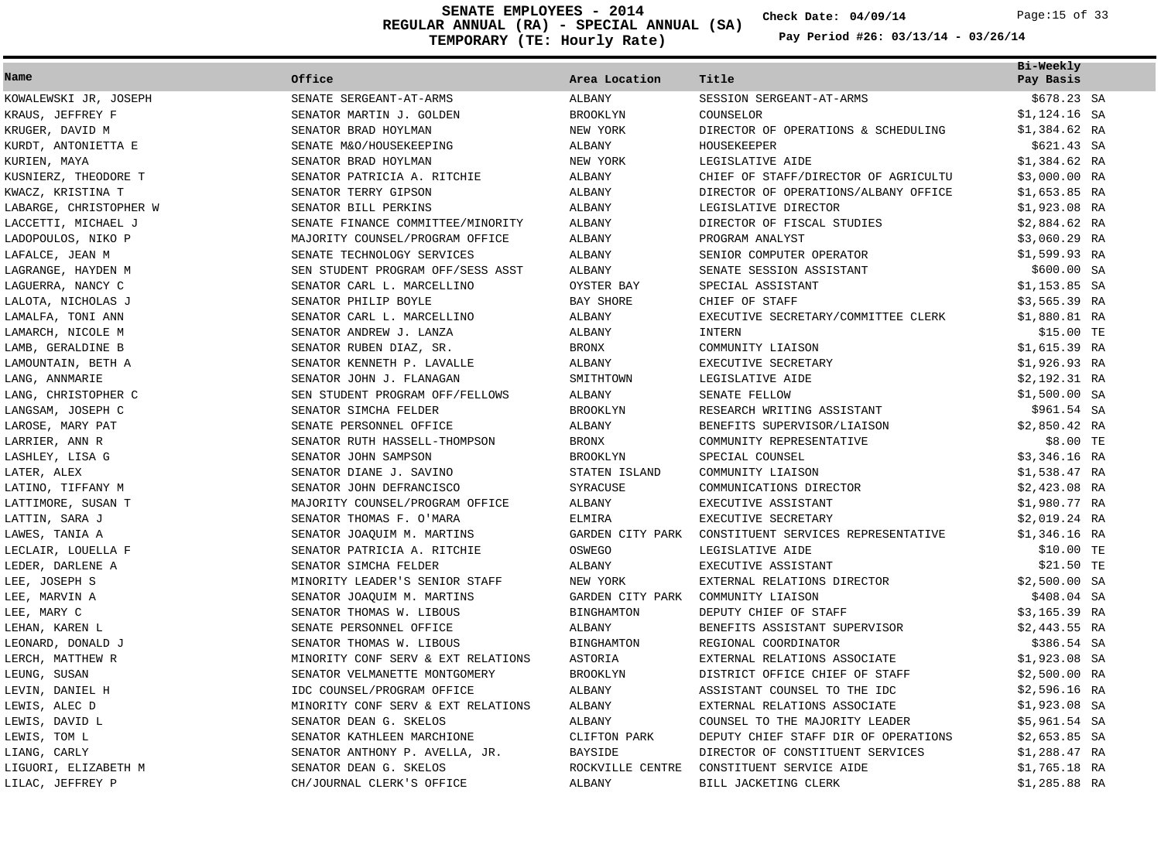**REGULAR ANNUAL (RA) - SPECIAL ANNUAL (SA) TEMPORARY (TE: Hourly Rate) SENATE EMPLOYEES - 2014 Check Date: 04/09/14** Page:15 of 33

**Check Date:**

|                        |                                    |                   |                                      | Bi-Weekly      |  |
|------------------------|------------------------------------|-------------------|--------------------------------------|----------------|--|
| Name                   | Office                             | Area Location     | Title                                | Pay Basis      |  |
| KOWALEWSKI JR, JOSEPH  | SENATE SERGEANT-AT-ARMS            | ALBANY            | SESSION SERGEANT-AT-ARMS             | \$678.23 SA    |  |
| KRAUS, JEFFREY F       | SENATOR MARTIN J. GOLDEN           | <b>BROOKLYN</b>   | COUNSELOR                            | $$1,124.16$ SA |  |
| KRUGER, DAVID M        | SENATOR BRAD HOYLMAN               | NEW YORK          | DIRECTOR OF OPERATIONS & SCHEDULING  | $$1,384.62$ RA |  |
| KURDT, ANTONIETTA E    | SENATE M&O/HOUSEKEEPING            | ALBANY            | HOUSEKEEPER                          | \$621.43 SA    |  |
| KURIEN, MAYA           | SENATOR BRAD HOYLMAN               | NEW YORK          | LEGISLATIVE AIDE                     | $$1,384.62$ RA |  |
| KUSNIERZ, THEODORE T   | SENATOR PATRICIA A. RITCHIE        | ALBANY            | CHIEF OF STAFF/DIRECTOR OF AGRICULTU | $$3,000.00$ RA |  |
| KWACZ, KRISTINA T      | SENATOR TERRY GIPSON               | ALBANY            | DIRECTOR OF OPERATIONS/ALBANY OFFICE | $$1,653.85$ RA |  |
| LABARGE, CHRISTOPHER W | SENATOR BILL PERKINS               | ALBANY            | LEGISLATIVE DIRECTOR                 | $$1,923.08$ RA |  |
| LACCETTI, MICHAEL J    | SENATE FINANCE COMMITTEE/MINORITY  | ALBANY            | DIRECTOR OF FISCAL STUDIES           | $$2,884.62$ RA |  |
| LADOPOULOS, NIKO P     | MAJORITY COUNSEL/PROGRAM OFFICE    | <b>ALBANY</b>     | PROGRAM ANALYST                      | \$3,060.29 RA  |  |
| LAFALCE, JEAN M        | SENATE TECHNOLOGY SERVICES         | ALBANY            | SENIOR COMPUTER OPERATOR             | \$1,599.93 RA  |  |
| LAGRANGE, HAYDEN M     | SEN STUDENT PROGRAM OFF/SESS ASST  | ALBANY            | SENATE SESSION ASSISTANT             | \$600.00 SA    |  |
| LAGUERRA, NANCY C      | SENATOR CARL L. MARCELLINO         | OYSTER BAY        | SPECIAL ASSISTANT                    | $$1,153.85$ SA |  |
| LALOTA, NICHOLAS J     | SENATOR PHILIP BOYLE               | BAY SHORE         | CHIEF OF STAFF                       | \$3,565.39 RA  |  |
| LAMALFA, TONI ANN      | SENATOR CARL L. MARCELLINO         | ALBANY            | EXECUTIVE SECRETARY/COMMITTEE CLERK  | $$1,880.81$ RA |  |
| LAMARCH, NICOLE M      | SENATOR ANDREW J. LANZA            | ALBANY            | INTERN                               | \$15.00 TE     |  |
| LAMB, GERALDINE B      | SENATOR RUBEN DIAZ, SR.            | <b>BRONX</b>      | COMMUNITY LIAISON                    | \$1,615.39 RA  |  |
| LAMOUNTAIN, BETH A     | SENATOR KENNETH P. LAVALLE         | ALBANY            | EXECUTIVE SECRETARY                  | $$1,926.93$ RA |  |
| LANG, ANNMARIE         | SENATOR JOHN J. FLANAGAN           | SMITHTOWN         | LEGISLATIVE AIDE                     | \$2,192.31 RA  |  |
| LANG, CHRISTOPHER C    | SEN STUDENT PROGRAM OFF/FELLOWS    | ALBANY            | SENATE FELLOW                        | $$1,500.00$ SA |  |
| LANGSAM, JOSEPH C      | SENATOR SIMCHA FELDER              | <b>BROOKLYN</b>   | RESEARCH WRITING ASSISTANT           | \$961.54 SA    |  |
| LAROSE, MARY PAT       | SENATE PERSONNEL OFFICE            | ALBANY            | BENEFITS SUPERVISOR/LIAISON          | $$2,850.42$ RA |  |
| LARRIER, ANN R         | SENATOR RUTH HASSELL-THOMPSON      | <b>BRONX</b>      | COMMUNITY REPRESENTATIVE             | \$8.00 TE      |  |
| LASHLEY, LISA G        | SENATOR JOHN SAMPSON               | <b>BROOKLYN</b>   | SPECIAL COUNSEL                      | $$3,346.16$ RA |  |
| LATER, ALEX            | SENATOR DIANE J. SAVINO            | STATEN ISLAND     | COMMUNITY LIAISON                    | $$1,538.47$ RA |  |
| LATINO, TIFFANY M      | SENATOR JOHN DEFRANCISCO           | SYRACUSE          | COMMUNICATIONS DIRECTOR              | $$2,423.08$ RA |  |
| LATTIMORE, SUSAN T     | MAJORITY COUNSEL/PROGRAM OFFICE    | ALBANY            | EXECUTIVE ASSISTANT                  | \$1,980.77 RA  |  |
| LATTIN, SARA J         | SENATOR THOMAS F. O'MARA           | <b>ELMIRA</b>     | EXECUTIVE SECRETARY                  | $$2,019.24$ RA |  |
| LAWES, TANIA A         | SENATOR JOAQUIM M. MARTINS         | GARDEN CITY PARK  | CONSTITUENT SERVICES REPRESENTATIVE  | $$1,346.16$ RA |  |
| LECLAIR, LOUELLA F     | SENATOR PATRICIA A. RITCHIE        | OSWEGO            | LEGISLATIVE AIDE                     | \$10.00 TE     |  |
| LEDER, DARLENE A       | SENATOR SIMCHA FELDER              | ALBANY            | EXECUTIVE ASSISTANT                  | $$21.50$ TE    |  |
| LEE, JOSEPH S          | MINORITY LEADER'S SENIOR STAFF     | NEW YORK          | EXTERNAL RELATIONS DIRECTOR          | $$2,500.00$ SA |  |
| LEE, MARVIN A          | SENATOR JOAQUIM M. MARTINS         | GARDEN CITY PARK  | COMMUNITY LIAISON                    | \$408.04 SA    |  |
| LEE, MARY C            | SENATOR THOMAS W. LIBOUS           | <b>BINGHAMTON</b> | DEPUTY CHIEF OF STAFF                | \$3,165.39 RA  |  |
| LEHAN, KAREN L         | SENATE PERSONNEL OFFICE            | ALBANY            | BENEFITS ASSISTANT SUPERVISOR        | $$2,443.55$ RA |  |
| LEONARD, DONALD J      | SENATOR THOMAS W. LIBOUS           | <b>BINGHAMTON</b> | REGIONAL COORDINATOR                 | \$386.54 SA    |  |
| LERCH, MATTHEW R       | MINORITY CONF SERV & EXT RELATIONS | ASTORIA           | EXTERNAL RELATIONS ASSOCIATE         | $$1,923.08$ SA |  |
| LEUNG, SUSAN           | SENATOR VELMANETTE MONTGOMERY      | <b>BROOKLYN</b>   | DISTRICT OFFICE CHIEF OF STAFF       | $$2,500.00$ RA |  |
| LEVIN, DANIEL H        | IDC COUNSEL/PROGRAM OFFICE         | ALBANY            | ASSISTANT COUNSEL TO THE IDC         | $$2,596.16$ RA |  |
| LEWIS, ALEC D          | MINORITY CONF SERV & EXT RELATIONS | ALBANY            | EXTERNAL RELATIONS ASSOCIATE         | $$1,923.08$ SA |  |
| LEWIS, DAVID L         | SENATOR DEAN G. SKELOS             | ALBANY            | COUNSEL TO THE MAJORITY LEADER       | $$5,961.54$ SA |  |
| LEWIS, TOM L           | SENATOR KATHLEEN MARCHIONE         | CLIFTON PARK      | DEPUTY CHIEF STAFF DIR OF OPERATIONS | $$2,653.85$ SA |  |
| LIANG, CARLY           | SENATOR ANTHONY P. AVELLA, JR.     | <b>BAYSIDE</b>    | DIRECTOR OF CONSTITUENT SERVICES     | \$1,288.47 RA  |  |
| LIGUORI, ELIZABETH M   | SENATOR DEAN G. SKELOS             | ROCKVILLE CENTRE  | CONSTITUENT SERVICE AIDE             | $$1,765.18$ RA |  |
| LILAC, JEFFREY P       | CH/JOURNAL CLERK'S OFFICE          | ALBANY            | BILL JACKETING CLERK                 | $$1,285.88$ RA |  |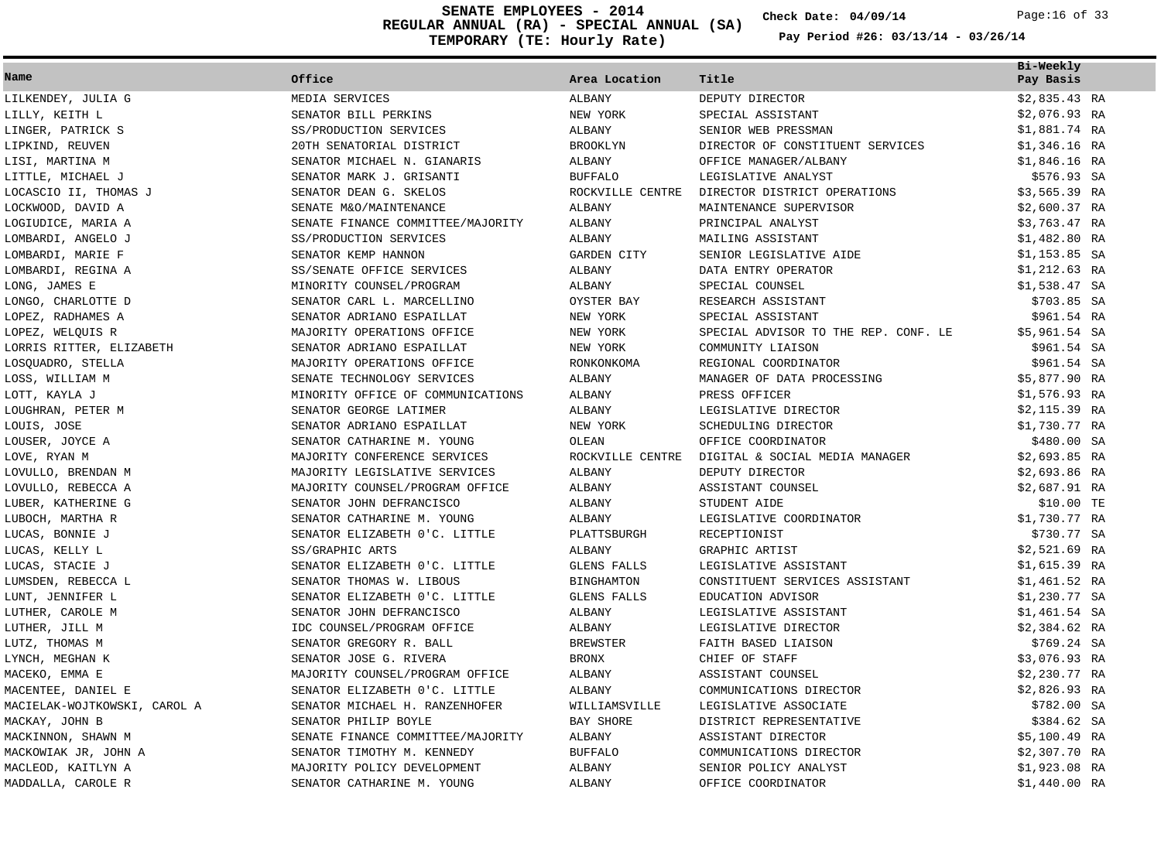**REGULAR ANNUAL (RA) - SPECIAL ANNUAL (SA) TEMPORARY (TE: Hourly Rate) SENATE EMPLOYEES - 2014 Check Date: 04/09/14** Page:16 of 33

**Check Date:**

| Name                         | Office                            | Area Location      | Title                                | Bi-Weekly<br>Pay Basis |
|------------------------------|-----------------------------------|--------------------|--------------------------------------|------------------------|
| LILKENDEY, JULIA G           | MEDIA SERVICES                    | ALBANY             | DEPUTY DIRECTOR                      | $$2,835.43$ RA         |
| LILLY, KEITH L               | SENATOR BILL PERKINS              | NEW YORK           | SPECIAL ASSISTANT                    | \$2,076.93 RA          |
| LINGER, PATRICK S            | SS/PRODUCTION SERVICES            | ALBANY             | SENIOR WEB PRESSMAN                  | \$1,881.74 RA          |
| LIPKIND, REUVEN              | 20TH SENATORIAL DISTRICT          | <b>BROOKLYN</b>    | DIRECTOR OF CONSTITUENT SERVICES     | \$1,346.16 RA          |
| LISI, MARTINA M              | SENATOR MICHAEL N. GIANARIS       | ALBANY             | OFFICE MANAGER/ALBANY                | \$1,846.16 RA          |
| LITTLE, MICHAEL J            | SENATOR MARK J. GRISANTI          | <b>BUFFALO</b>     | LEGISLATIVE ANALYST                  | \$576.93 SA            |
| LOCASCIO II, THOMAS J        | SENATOR DEAN G. SKELOS            | ROCKVILLE CENTRE   | DIRECTOR DISTRICT OPERATIONS         | \$3,565.39 RA          |
| LOCKWOOD, DAVID A            | SENATE M&O/MAINTENANCE            | ALBANY             | MAINTENANCE SUPERVISOR               | $$2,600.37$ RA         |
| LOGIUDICE, MARIA A           | SENATE FINANCE COMMITTEE/MAJORITY | ALBANY             | PRINCIPAL ANALYST                    | \$3,763.47 RA          |
| LOMBARDI, ANGELO J           | SS/PRODUCTION SERVICES            | ALBANY             | MAILING ASSISTANT                    | \$1,482.80 RA          |
| LOMBARDI, MARIE F            | SENATOR KEMP HANNON               | GARDEN CITY        | SENIOR LEGISLATIVE AIDE              | $$1,153.85$ SA         |
| LOMBARDI, REGINA A           | SS/SENATE OFFICE SERVICES         | ALBANY             | DATA ENTRY OPERATOR                  | \$1,212.63 RA          |
| LONG, JAMES E                | MINORITY COUNSEL/PROGRAM          | ALBANY             | SPECIAL COUNSEL                      | \$1,538.47 SA          |
| LONGO, CHARLOTTE D           | SENATOR CARL L. MARCELLINO        | OYSTER BAY         | RESEARCH ASSISTANT                   | \$703.85 SA            |
| LOPEZ, RADHAMES A            | SENATOR ADRIANO ESPAILLAT         | NEW YORK           | SPECIAL ASSISTANT                    | \$961.54 RA            |
| LOPEZ, WELQUIS R             | MAJORITY OPERATIONS OFFICE        | NEW YORK           | SPECIAL ADVISOR TO THE REP. CONF. LE | \$5,961.54 SA          |
| LORRIS RITTER, ELIZABETH     | SENATOR ADRIANO ESPAILLAT         | NEW YORK           | COMMUNITY LIAISON                    | \$961.54 SA            |
| LOSQUADRO, STELLA            | MAJORITY OPERATIONS OFFICE        | RONKONKOMA         | REGIONAL COORDINATOR                 | \$961.54 SA            |
| LOSS, WILLIAM M              | SENATE TECHNOLOGY SERVICES        | ALBANY             | MANAGER OF DATA PROCESSING           | \$5,877.90 RA          |
| LOTT, KAYLA J                | MINORITY OFFICE OF COMMUNICATIONS | ALBANY             | PRESS OFFICER                        | $$1,576.93$ RA         |
| LOUGHRAN, PETER M            | SENATOR GEORGE LATIMER            | ALBANY             | LEGISLATIVE DIRECTOR                 | $$2,115.39$ RA         |
| LOUIS, JOSE                  | SENATOR ADRIANO ESPAILLAT         | NEW YORK           | SCHEDULING DIRECTOR                  | \$1,730.77 RA          |
| LOUSER, JOYCE A              | SENATOR CATHARINE M. YOUNG        | OLEAN              | OFFICE COORDINATOR                   | \$480.00 SA            |
| LOVE, RYAN M                 | MAJORITY CONFERENCE SERVICES      | ROCKVILLE CENTRE   | DIGITAL & SOCIAL MEDIA MANAGER       | $$2,693.85$ RA         |
| LOVULLO, BRENDAN M           | MAJORITY LEGISLATIVE SERVICES     | ALBANY             | DEPUTY DIRECTOR                      | \$2,693.86 RA          |
| LOVULLO, REBECCA A           | MAJORITY COUNSEL/PROGRAM OFFICE   | ALBANY             | ASSISTANT COUNSEL                    | \$2,687.91 RA          |
| LUBER, KATHERINE G           | SENATOR JOHN DEFRANCISCO          | ALBANY             | STUDENT AIDE                         | \$10.00 TE             |
| LUBOCH, MARTHA R             | SENATOR CATHARINE M. YOUNG        | ALBANY             | LEGISLATIVE COORDINATOR              | \$1,730.77 RA          |
| LUCAS, BONNIE J              | SENATOR ELIZABETH 0'C. LITTLE     | PLATTSBURGH        | RECEPTIONIST                         | \$730.77 SA            |
| LUCAS, KELLY L               | SS/GRAPHIC ARTS                   | ALBANY             | GRAPHIC ARTIST                       | \$2,521.69 RA          |
| LUCAS, STACIE J              | SENATOR ELIZABETH 0'C. LITTLE     | GLENS FALLS        | LEGISLATIVE ASSISTANT                | $$1,615.39$ RA         |
| LUMSDEN, REBECCA L           | SENATOR THOMAS W. LIBOUS          | <b>BINGHAMTON</b>  | CONSTITUENT SERVICES ASSISTANT       | $$1,461.52$ RA         |
| LUNT, JENNIFER L             | SENATOR ELIZABETH 0'C. LITTLE     | <b>GLENS FALLS</b> | EDUCATION ADVISOR                    | \$1,230.77 SA          |
| LUTHER, CAROLE M             | SENATOR JOHN DEFRANCISCO          | ALBANY             | LEGISLATIVE ASSISTANT                | \$1,461.54 SA          |
| LUTHER, JILL M               | IDC COUNSEL/PROGRAM OFFICE        | ALBANY             | LEGISLATIVE DIRECTOR                 | \$2,384.62 RA          |
| LUTZ, THOMAS M               | SENATOR GREGORY R. BALL           | <b>BREWSTER</b>    | FAITH BASED LIAISON                  | \$769.24 SA            |
| LYNCH, MEGHAN K              | SENATOR JOSE G. RIVERA            | <b>BRONX</b>       | CHIEF OF STAFF                       | \$3,076.93 RA          |
| MACEKO, EMMA E               | MAJORITY COUNSEL/PROGRAM OFFICE   | ALBANY             | ASSISTANT COUNSEL                    | \$2,230.77 RA          |
| MACENTEE, DANIEL E           | SENATOR ELIZABETH 0'C. LITTLE     | ALBANY             | COMMUNICATIONS DIRECTOR              | $$2,826.93$ RA         |
| MACIELAK-WOJTKOWSKI, CAROL A | SENATOR MICHAEL H. RANZENHOFER    | WILLIAMSVILLE      | LEGISLATIVE ASSOCIATE                | \$782.00 SA            |
| MACKAY, JOHN B               | SENATOR PHILIP BOYLE              | BAY SHORE          | DISTRICT REPRESENTATIVE              | \$384.62 SA            |
| MACKINNON, SHAWN M           | SENATE FINANCE COMMITTEE/MAJORITY | ALBANY             | ASSISTANT DIRECTOR                   | $$5,100.49$ RA         |
| MACKOWIAK JR, JOHN A         | SENATOR TIMOTHY M. KENNEDY        | <b>BUFFALO</b>     | COMMUNICATIONS DIRECTOR              | \$2,307.70 RA          |
| MACLEOD, KAITLYN A           | MAJORITY POLICY DEVELOPMENT       | ALBANY             | SENIOR POLICY ANALYST                | \$1,923.08 RA          |
| MADDALLA, CAROLE R           | SENATOR CATHARINE M. YOUNG        | ALBANY             | OFFICE COORDINATOR                   | \$1,440.00 RA          |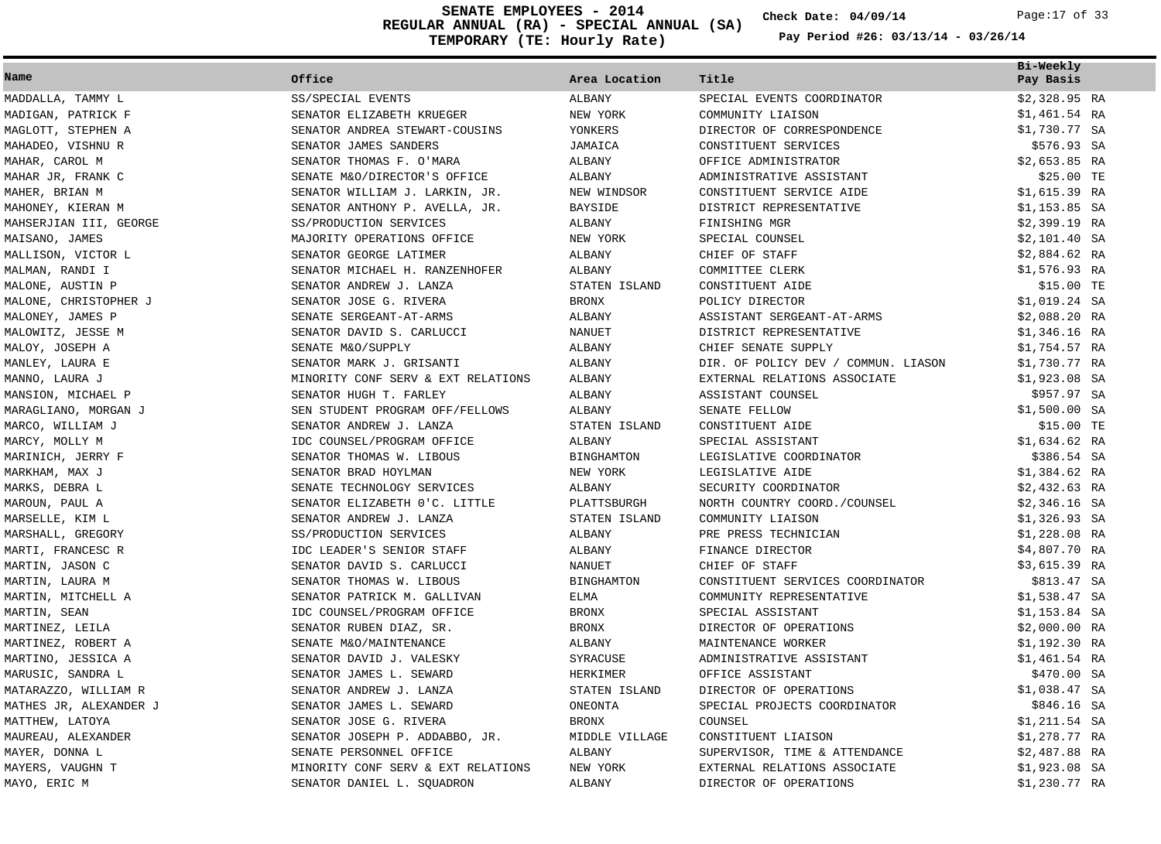**REGULAR ANNUAL (RA) - SPECIAL ANNUAL (SA) TEMPORARY (TE: Hourly Rate) SENATE EMPLOYEES - 2014 Check Date: 04/09/14** Page:17 of 33

**Check Date:**

| Name                   | Office                             | Area Location     | Title                               | Bi-Weekly<br>Pay Basis |  |
|------------------------|------------------------------------|-------------------|-------------------------------------|------------------------|--|
| MADDALLA, TAMMY L      | SS/SPECIAL EVENTS                  | ALBANY            | SPECIAL EVENTS COORDINATOR          | $$2,328.95$ RA         |  |
| MADIGAN, PATRICK F     | SENATOR ELIZABETH KRUEGER          | NEW YORK          | COMMUNITY LIAISON                   | $$1,461.54$ RA         |  |
| MAGLOTT, STEPHEN A     | SENATOR ANDREA STEWART-COUSINS     | YONKERS           | DIRECTOR OF CORRESPONDENCE          | \$1,730.77 SA          |  |
| MAHADEO, VISHNU R      | SENATOR JAMES SANDERS              | JAMAICA           | CONSTITUENT SERVICES                | \$576.93 SA            |  |
| MAHAR, CAROL M         | SENATOR THOMAS F. O'MARA           | ALBANY            | OFFICE ADMINISTRATOR                | $$2,653.85$ RA         |  |
| MAHAR JR, FRANK C      | SENATE M&O/DIRECTOR'S OFFICE       | ALBANY            | ADMINISTRATIVE ASSISTANT            | \$25.00 TE             |  |
| MAHER, BRIAN M         | SENATOR WILLIAM J. LARKIN, JR.     | NEW WINDSOR       | CONSTITUENT SERVICE AIDE            | \$1,615.39 RA          |  |
| MAHONEY, KIERAN M      | SENATOR ANTHONY P. AVELLA, JR.     | <b>BAYSIDE</b>    | DISTRICT REPRESENTATIVE             | $$1,153.85$ SA         |  |
| MAHSERJIAN III, GEORGE | SS/PRODUCTION SERVICES             | ALBANY            | FINISHING MGR                       | $$2,399.19$ RA         |  |
| MAISANO, JAMES         | MAJORITY OPERATIONS OFFICE         | NEW YORK          | SPECIAL COUNSEL                     | $$2,101.40$ SA         |  |
| MALLISON, VICTOR L     | SENATOR GEORGE LATIMER             | <b>ALBANY</b>     | CHIEF OF STAFF                      | \$2,884.62 RA          |  |
| MALMAN, RANDI I        | SENATOR MICHAEL H. RANZENHOFER     | <b>ALBANY</b>     | COMMITTEE CLERK                     | \$1,576.93 RA          |  |
| MALONE, AUSTIN P       | SENATOR ANDREW J. LANZA            | STATEN ISLAND     | CONSTITUENT AIDE                    | \$15.00 TE             |  |
| MALONE, CHRISTOPHER J  | SENATOR JOSE G. RIVERA             | <b>BRONX</b>      | POLICY DIRECTOR                     | \$1,019.24 SA          |  |
| MALONEY, JAMES P       | SENATE SERGEANT-AT-ARMS            | ALBANY            | ASSISTANT SERGEANT-AT-ARMS          | $$2,088.20$ RA         |  |
| MALOWITZ, JESSE M      | SENATOR DAVID S. CARLUCCI          | <b>NANUET</b>     | DISTRICT REPRESENTATIVE             | \$1,346.16 RA          |  |
| MALOY, JOSEPH A        | SENATE M&O/SUPPLY                  | ALBANY            | CHIEF SENATE SUPPLY                 | \$1,754.57 RA          |  |
| MANLEY, LAURA E        | SENATOR MARK J. GRISANTI           | <b>ALBANY</b>     | DIR. OF POLICY DEV / COMMUN. LIASON | \$1,730.77 RA          |  |
| MANNO, LAURA J         | MINORITY CONF SERV & EXT RELATIONS | ALBANY            | EXTERNAL RELATIONS ASSOCIATE        | \$1,923.08 SA          |  |
| MANSION, MICHAEL P     | SENATOR HUGH T. FARLEY             | ALBANY            | ASSISTANT COUNSEL                   | \$957.97 SA            |  |
| MARAGLIANO, MORGAN J   | SEN STUDENT PROGRAM OFF/FELLOWS    | ALBANY            | SENATE FELLOW                       | $$1,500.00$ SA         |  |
| MARCO, WILLIAM J       | SENATOR ANDREW J. LANZA            | STATEN ISLAND     | CONSTITUENT AIDE                    | \$15.00 TE             |  |
| MARCY, MOLLY M         | IDC COUNSEL/PROGRAM OFFICE         | ALBANY            | SPECIAL ASSISTANT                   | \$1,634.62 RA          |  |
| MARINICH, JERRY F      | SENATOR THOMAS W. LIBOUS           | <b>BINGHAMTON</b> | LEGISLATIVE COORDINATOR             | \$386.54 SA            |  |
| MARKHAM, MAX J         | SENATOR BRAD HOYLMAN               | NEW YORK          | LEGISLATIVE AIDE                    | \$1,384.62 RA          |  |
| MARKS, DEBRA L         | SENATE TECHNOLOGY SERVICES         | ALBANY            | SECURITY COORDINATOR                | $$2,432.63$ RA         |  |
| MAROUN, PAUL A         | SENATOR ELIZABETH 0'C. LITTLE      | PLATTSBURGH       | NORTH COUNTRY COORD./COUNSEL        | $$2,346.16$ SA         |  |
| MARSELLE, KIM L        | SENATOR ANDREW J. LANZA            | STATEN ISLAND     | COMMUNITY LIAISON                   | $$1,326.93$ SA         |  |
| MARSHALL, GREGORY      | SS/PRODUCTION SERVICES             | <b>ALBANY</b>     | PRE PRESS TECHNICIAN                | \$1,228.08 RA          |  |
| MARTI, FRANCESC R      | IDC LEADER'S SENIOR STAFF          | ALBANY            | FINANCE DIRECTOR                    | \$4,807.70 RA          |  |
| MARTIN, JASON C        | SENATOR DAVID S. CARLUCCI          | <b>NANUET</b>     | CHIEF OF STAFF                      | \$3,615.39 RA          |  |
| MARTIN, LAURA M        | SENATOR THOMAS W. LIBOUS           | <b>BINGHAMTON</b> | CONSTITUENT SERVICES COORDINATOR    | \$813.47 SA            |  |
| MARTIN, MITCHELL A     | SENATOR PATRICK M. GALLIVAN        | ELMA              | COMMUNITY REPRESENTATIVE            | \$1,538.47 SA          |  |
| MARTIN, SEAN           | IDC COUNSEL/PROGRAM OFFICE         | <b>BRONX</b>      | SPECIAL ASSISTANT                   | $$1,153.84$ SA         |  |
| MARTINEZ, LEILA        | SENATOR RUBEN DIAZ, SR.            | <b>BRONX</b>      | DIRECTOR OF OPERATIONS              | $$2,000.00$ RA         |  |
| MARTINEZ, ROBERT A     | SENATE M&O/MAINTENANCE             | ALBANY            | MAINTENANCE WORKER                  | \$1,192.30 RA          |  |
| MARTINO, JESSICA A     | SENATOR DAVID J. VALESKY           | SYRACUSE          | ADMINISTRATIVE ASSISTANT            | $$1,461.54$ RA         |  |
| MARUSIC, SANDRA L      | SENATOR JAMES L. SEWARD            | HERKIMER          | OFFICE ASSISTANT                    | \$470.00 SA            |  |
| MATARAZZO, WILLIAM R   | SENATOR ANDREW J. LANZA            | STATEN ISLAND     | DIRECTOR OF OPERATIONS              | \$1,038.47 SA          |  |
| MATHES JR, ALEXANDER J | SENATOR JAMES L. SEWARD            | ONEONTA           | SPECIAL PROJECTS COORDINATOR        | \$846.16 SA            |  |
| MATTHEW, LATOYA        | SENATOR JOSE G. RIVERA             | <b>BRONX</b>      | COUNSEL                             | \$1,211.54 SA          |  |
| MAUREAU, ALEXANDER     | SENATOR JOSEPH P. ADDABBO, JR.     | MIDDLE VILLAGE    | CONSTITUENT LIAISON                 | \$1,278.77 RA          |  |
| MAYER, DONNA L         | SENATE PERSONNEL OFFICE            | ALBANY            | SUPERVISOR, TIME & ATTENDANCE       | $$2,487.88$ RA         |  |
| MAYERS, VAUGHN T       | MINORITY CONF SERV & EXT RELATIONS | NEW YORK          | EXTERNAL RELATIONS ASSOCIATE        | $$1,923.08$ SA         |  |
| MAYO, ERIC M           | SENATOR DANIEL L. SOUADRON         | ALBANY            | DIRECTOR OF OPERATIONS              | \$1,230.77 RA          |  |
|                        |                                    |                   |                                     |                        |  |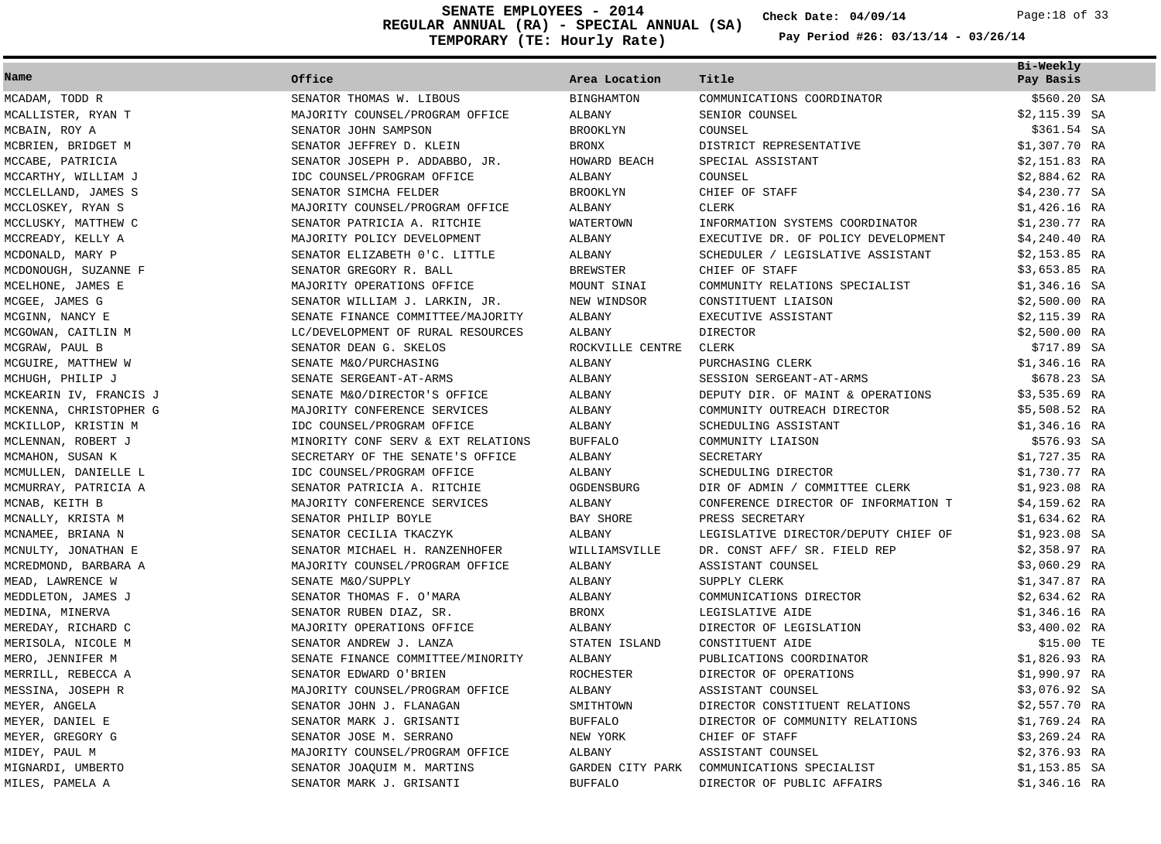**REGULAR ANNUAL (RA) - SPECIAL ANNUAL (SA) TEMPORARY (TE: Hourly Rate) SENATE EMPLOYEES - 2014 Check Date: 04/09/14** Page:18 of 33

**Check Date:**

|                        |                                    |                   |                                      | Bi-Weekly      |
|------------------------|------------------------------------|-------------------|--------------------------------------|----------------|
| Name                   | Office                             | Area Location     | Title                                | Pay Basis      |
| MCADAM, TODD R         | SENATOR THOMAS W. LIBOUS           | <b>BINGHAMTON</b> | COMMUNICATIONS COORDINATOR           | $$560.20$ SA   |
| MCALLISTER, RYAN T     | MAJORITY COUNSEL/PROGRAM OFFICE    | ALBANY            | SENIOR COUNSEL                       | $$2,115.39$ SA |
| MCBAIN, ROY A          | SENATOR JOHN SAMPSON               | <b>BROOKLYN</b>   | COUNSEL                              | \$361.54 SA    |
| MCBRIEN, BRIDGET M     | SENATOR JEFFREY D. KLEIN           | <b>BRONX</b>      | DISTRICT REPRESENTATIVE              | $$1,307.70$ RA |
| MCCABE, PATRICIA       | SENATOR JOSEPH P. ADDABBO, JR.     | HOWARD BEACH      | SPECIAL ASSISTANT                    | $$2,151.83$ RA |
| MCCARTHY, WILLIAM J    | IDC COUNSEL/PROGRAM OFFICE         | ALBANY            | COUNSEL                              | $$2,884.62$ RA |
| MCCLELLAND, JAMES S    | SENATOR SIMCHA FELDER              | <b>BROOKLYN</b>   | CHIEF OF STAFF                       | \$4,230.77 SA  |
| MCCLOSKEY, RYAN S      | MAJORITY COUNSEL/PROGRAM OFFICE    | ALBANY            | <b>CLERK</b>                         | $$1,426.16$ RA |
| MCCLUSKY, MATTHEW C    | SENATOR PATRICIA A. RITCHIE        | WATERTOWN         | INFORMATION SYSTEMS COORDINATOR      | \$1,230.77 RA  |
| MCCREADY, KELLY A      | MAJORITY POLICY DEVELOPMENT        | ALBANY            | EXECUTIVE DR. OF POLICY DEVELOPMENT  | $$4,240.40$ RA |
| MCDONALD, MARY P       | SENATOR ELIZABETH 0'C. LITTLE      | ALBANY            | SCHEDULER / LEGISLATIVE ASSISTANT    | $$2,153.85$ RA |
| MCDONOUGH, SUZANNE F   | SENATOR GREGORY R. BALL            | <b>BREWSTER</b>   | CHIEF OF STAFF                       | $$3,653.85$ RA |
| MCELHONE, JAMES E      | MAJORITY OPERATIONS OFFICE         | MOUNT SINAI       | COMMUNITY RELATIONS SPECIALIST       | $$1,346.16$ SA |
| MCGEE, JAMES G         | SENATOR WILLIAM J. LARKIN, JR.     | NEW WINDSOR       | CONSTITUENT LIAISON                  | $$2,500.00$ RA |
| MCGINN, NANCY E        | SENATE FINANCE COMMITTEE/MAJORITY  | ALBANY            | EXECUTIVE ASSISTANT                  | $$2,115.39$ RA |
| MCGOWAN, CAITLIN M     | LC/DEVELOPMENT OF RURAL RESOURCES  | ALBANY            | <b>DIRECTOR</b>                      | $$2,500.00$ RA |
| MCGRAW, PAUL B         | SENATOR DEAN G. SKELOS             | ROCKVILLE CENTRE  | CLERK                                | \$717.89 SA    |
| MCGUIRE, MATTHEW W     | SENATE M&O/PURCHASING              | ALBANY            | PURCHASING CLERK                     | \$1,346.16 RA  |
| MCHUGH, PHILIP J       | SENATE SERGEANT-AT-ARMS            | ALBANY            | SESSION SERGEANT-AT-ARMS             | \$678.23 SA    |
| MCKEARIN IV, FRANCIS J | SENATE M&O/DIRECTOR'S OFFICE       | ALBANY            | DEPUTY DIR. OF MAINT & OPERATIONS    | $$3,535.69$ RA |
| MCKENNA, CHRISTOPHER G | MAJORITY CONFERENCE SERVICES       | ALBANY            | COMMUNITY OUTREACH DIRECTOR          | \$5,508.52 RA  |
| MCKILLOP, KRISTIN M    | IDC COUNSEL/PROGRAM OFFICE         | ALBANY            | SCHEDULING ASSISTANT                 | $$1,346.16$ RA |
| MCLENNAN, ROBERT J     | MINORITY CONF SERV & EXT RELATIONS | <b>BUFFALO</b>    | COMMUNITY LIAISON                    | \$576.93 SA    |
| MCMAHON, SUSAN K       | SECRETARY OF THE SENATE'S OFFICE   | ALBANY            | SECRETARY                            | \$1,727.35 RA  |
| MCMULLEN, DANIELLE L   | IDC COUNSEL/PROGRAM OFFICE         | ALBANY            | SCHEDULING DIRECTOR                  | \$1,730.77 RA  |
| MCMURRAY, PATRICIA A   | SENATOR PATRICIA A. RITCHIE        | OGDENSBURG        | DIR OF ADMIN / COMMITTEE CLERK       | \$1,923.08 RA  |
| MCNAB, KEITH B         | MAJORITY CONFERENCE SERVICES       | <b>ALBANY</b>     | CONFERENCE DIRECTOR OF INFORMATION T | \$4,159.62 RA  |
| MCNALLY, KRISTA M      | SENATOR PHILIP BOYLE               | BAY SHORE         | PRESS SECRETARY                      | \$1,634.62 RA  |
| MCNAMEE, BRIANA N      | SENATOR CECILIA TKACZYK            | ALBANY            | LEGISLATIVE DIRECTOR/DEPUTY CHIEF OF | $$1,923.08$ SA |
| MCNULTY, JONATHAN E    | SENATOR MICHAEL H. RANZENHOFER     | WILLIAMSVILLE     | DR. CONST AFF/ SR. FIELD REP         | $$2,358.97$ RA |
| MCREDMOND, BARBARA A   | MAJORITY COUNSEL/PROGRAM OFFICE    | ALBANY            | ASSISTANT COUNSEL                    | \$3,060.29 RA  |
| MEAD, LAWRENCE W       | SENATE M&O/SUPPLY                  | ALBANY            | SUPPLY CLERK                         | $$1,347.87$ RA |
| MEDDLETON, JAMES J     | SENATOR THOMAS F. O'MARA           | ALBANY            | COMMUNICATIONS DIRECTOR              | $$2,634.62$ RA |
| MEDINA, MINERVA        | SENATOR RUBEN DIAZ, SR.            | <b>BRONX</b>      | LEGISLATIVE AIDE                     | $$1,346.16$ RA |
| MEREDAY, RICHARD C     | MAJORITY OPERATIONS OFFICE         | ALBANY            | DIRECTOR OF LEGISLATION              | $$3,400.02$ RA |
| MERISOLA, NICOLE M     | SENATOR ANDREW J. LANZA            | STATEN ISLAND     | CONSTITUENT AIDE                     | \$15.00 TE     |
| MERO, JENNIFER M       | SENATE FINANCE COMMITTEE/MINORITY  | ALBANY            | PUBLICATIONS COORDINATOR             | \$1,826.93 RA  |
| MERRILL, REBECCA A     | SENATOR EDWARD O'BRIEN             | ROCHESTER         | DIRECTOR OF OPERATIONS               | \$1,990.97 RA  |
| MESSINA, JOSEPH R      | MAJORITY COUNSEL/PROGRAM OFFICE    | <b>ALBANY</b>     | ASSISTANT COUNSEL                    | \$3,076.92 SA  |
| MEYER, ANGELA          | SENATOR JOHN J. FLANAGAN           | SMITHTOWN         | DIRECTOR CONSTITUENT RELATIONS       | \$2,557.70 RA  |
| MEYER, DANIEL E        | SENATOR MARK J. GRISANTI           | <b>BUFFALO</b>    | DIRECTOR OF COMMUNITY RELATIONS      | $$1,769.24$ RA |
| MEYER, GREGORY G       | SENATOR JOSE M. SERRANO            | NEW YORK          | CHIEF OF STAFF                       | \$3,269.24 RA  |
| MIDEY, PAUL M          | MAJORITY COUNSEL/PROGRAM OFFICE    | <b>ALBANY</b>     | ASSISTANT COUNSEL                    | $$2,376.93$ RA |
| MIGNARDI, UMBERTO      |                                    |                   |                                      |                |
|                        | SENATOR JOAQUIM M. MARTINS         | GARDEN CITY PARK  | COMMUNICATIONS SPECIALIST            | $$1,153.85$ SA |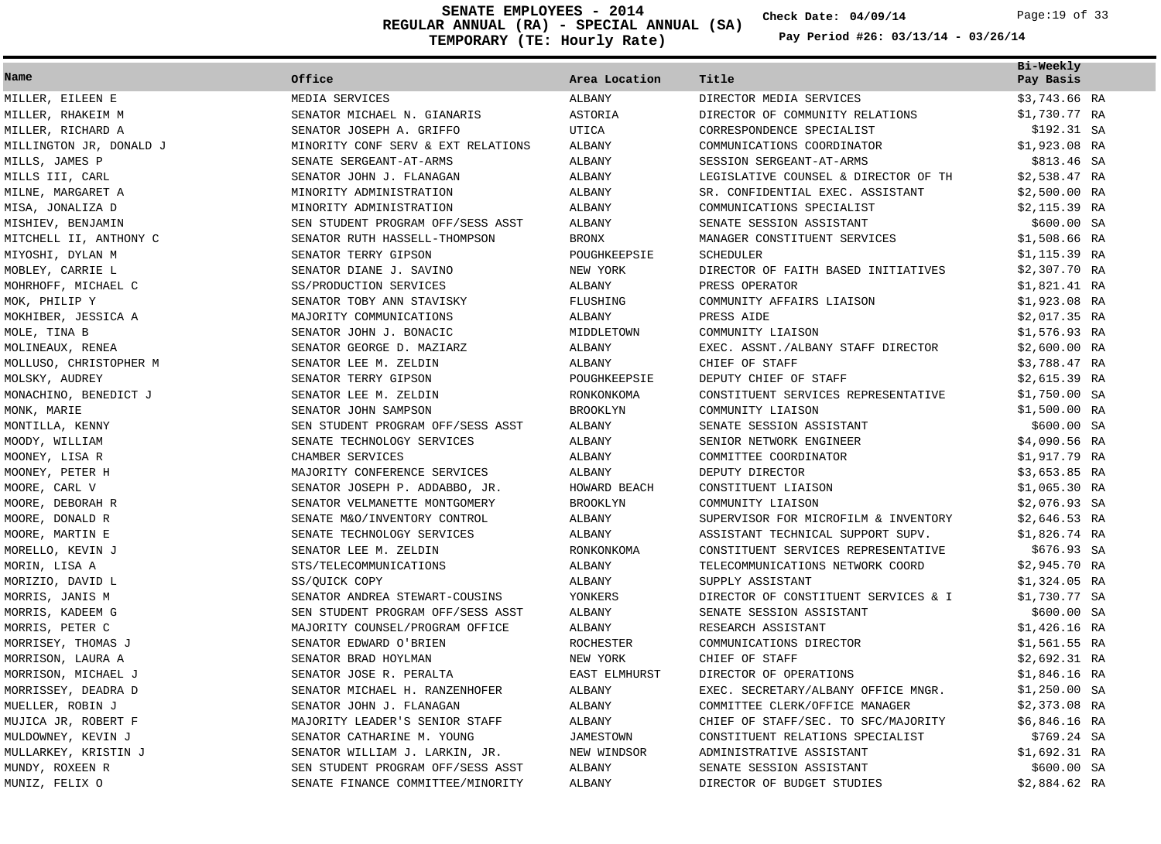**REGULAR ANNUAL (RA) - SPECIAL ANNUAL (SA) TEMPORARY (TE: Hourly Rate) SENATE EMPLOYEES - 2014 Check Date: 04/09/14** Page:19 of 33

**Check Date:**

| Name                    | Office                             | Area Location    | Title                                | Bi-Weekly      |
|-------------------------|------------------------------------|------------------|--------------------------------------|----------------|
|                         |                                    |                  |                                      | Pay Basis      |
| MILLER, EILEEN E        | MEDIA SERVICES                     | ALBANY           | DIRECTOR MEDIA SERVICES              | \$3,743.66 RA  |
| MILLER, RHAKEIM M       | SENATOR MICHAEL N. GIANARIS        | ASTORIA          | DIRECTOR OF COMMUNITY RELATIONS      | \$1,730.77 RA  |
| MILLER, RICHARD A       | SENATOR JOSEPH A. GRIFFO           | <b>UTICA</b>     | CORRESPONDENCE SPECIALIST            | \$192.31 SA    |
| MILLINGTON JR, DONALD J | MINORITY CONF SERV & EXT RELATIONS | ALBANY           | COMMUNICATIONS COORDINATOR           | $$1,923.08$ RA |
| MILLS, JAMES P          | SENATE SERGEANT-AT-ARMS            | ALBANY           | SESSION SERGEANT-AT-ARMS             | \$813.46 SA    |
| MILLS III, CARL         | SENATOR JOHN J. FLANAGAN           | ALBANY           | LEGISLATIVE COUNSEL & DIRECTOR OF TH | $$2,538.47$ RA |
| MILNE, MARGARET A       | MINORITY ADMINISTRATION            | ALBANY           | SR. CONFIDENTIAL EXEC. ASSISTANT     | $$2,500.00$ RA |
| MISA, JONALIZA D        | MINORITY ADMINISTRATION            | ALBANY           | COMMUNICATIONS SPECIALIST            | $$2,115.39$ RA |
| MISHIEV, BENJAMIN       | SEN STUDENT PROGRAM OFF/SESS ASST  | ALBANY           | SENATE SESSION ASSISTANT             | \$600.00 SA    |
| MITCHELL II, ANTHONY C  | SENATOR RUTH HASSELL-THOMPSON      | <b>BRONX</b>     | MANAGER CONSTITUENT SERVICES         | $$1,508.66$ RA |
| MIYOSHI, DYLAN M        | SENATOR TERRY GIPSON               | POUGHKEEPSIE     | <b>SCHEDULER</b>                     | $$1,115.39$ RA |
| MOBLEY, CARRIE L        | SENATOR DIANE J. SAVINO            | NEW YORK         | DIRECTOR OF FAITH BASED INITIATIVES  | $$2,307.70$ RA |
| MOHRHOFF, MICHAEL C     | SS/PRODUCTION SERVICES             | ALBANY           | PRESS OPERATOR                       | \$1,821.41 RA  |
| MOK, PHILIP Y           | SENATOR TOBY ANN STAVISKY          | FLUSHING         | COMMUNITY AFFAIRS LIAISON            | $$1,923.08$ RA |
| MOKHIBER, JESSICA A     | MAJORITY COMMUNICATIONS            | ALBANY           | PRESS AIDE                           | $$2,017.35$ RA |
| MOLE, TINA B            | SENATOR JOHN J. BONACIC            | MIDDLETOWN       | COMMUNITY LIAISON                    | $$1,576.93$ RA |
| MOLINEAUX, RENEA        | SENATOR GEORGE D. MAZIARZ          | ALBANY           | EXEC. ASSNT./ALBANY STAFF DIRECTOR   | $$2,600.00$ RA |
| MOLLUSO, CHRISTOPHER M  | SENATOR LEE M. ZELDIN              | ALBANY           | CHIEF OF STAFF                       | \$3,788.47 RA  |
| MOLSKY, AUDREY          | SENATOR TERRY GIPSON               | POUGHKEEPSIE     | DEPUTY CHIEF OF STAFF                | $$2,615.39$ RA |
| MONACHINO, BENEDICT J   | SENATOR LEE M. ZELDIN              | RONKONKOMA       | CONSTITUENT SERVICES REPRESENTATIVE  | $$1,750.00$ SA |
| MONK, MARIE             | SENATOR JOHN SAMPSON               | <b>BROOKLYN</b>  | COMMUNITY LIAISON                    | $$1,500.00$ RA |
| MONTILLA, KENNY         | SEN STUDENT PROGRAM OFF/SESS ASST  | ALBANY           | SENATE SESSION ASSISTANT             | \$600.00 SA    |
| MOODY, WILLIAM          | SENATE TECHNOLOGY SERVICES         | ALBANY           | SENIOR NETWORK ENGINEER              | $$4,090.56$ RA |
| MOONEY, LISA R          | CHAMBER SERVICES                   | ALBANY           | COMMITTEE COORDINATOR                | \$1,917.79 RA  |
| MOONEY, PETER H         | MAJORITY CONFERENCE SERVICES       | ALBANY           | DEPUTY DIRECTOR                      | \$3,653.85 RA  |
| MOORE, CARL V           | SENATOR JOSEPH P. ADDABBO, JR.     | HOWARD BEACH     | CONSTITUENT LIAISON                  | $$1,065.30$ RA |
| MOORE, DEBORAH R        | SENATOR VELMANETTE MONTGOMERY      | <b>BROOKLYN</b>  | COMMUNITY LIAISON                    | $$2,076.93$ SA |
| MOORE, DONALD R         | SENATE M&O/INVENTORY CONTROL       | ALBANY           | SUPERVISOR FOR MICROFILM & INVENTORY | $$2,646.53$ RA |
| MOORE, MARTIN E         | SENATE TECHNOLOGY SERVICES         | ALBANY           | ASSISTANT TECHNICAL SUPPORT SUPV.    | \$1,826.74 RA  |
| MORELLO, KEVIN J        | SENATOR LEE M. ZELDIN              | RONKONKOMA       | CONSTITUENT SERVICES REPRESENTATIVE  | \$676.93 SA    |
| MORIN, LISA A           | STS/TELECOMMUNICATIONS             | ALBANY           | TELECOMMUNICATIONS NETWORK COORD     | \$2,945.70 RA  |
| MORIZIO, DAVID L        | SS/OUICK COPY                      | ALBANY           | SUPPLY ASSISTANT                     | $$1,324.05$ RA |
| MORRIS, JANIS M         | SENATOR ANDREA STEWART-COUSINS     | YONKERS          | DIRECTOR OF CONSTITUENT SERVICES & I | \$1,730.77 SA  |
| MORRIS, KADEEM G        | SEN STUDENT PROGRAM OFF/SESS ASST  | ALBANY           | SENATE SESSION ASSISTANT             | \$600.00 SA    |
| MORRIS, PETER C         | MAJORITY COUNSEL/PROGRAM OFFICE    | ALBANY           | RESEARCH ASSISTANT                   | $$1,426.16$ RA |
| MORRISEY, THOMAS J      | SENATOR EDWARD O'BRIEN             | ROCHESTER        | COMMUNICATIONS DIRECTOR              | $$1,561.55$ RA |
| MORRISON, LAURA A       | SENATOR BRAD HOYLMAN               | NEW YORK         | CHIEF OF STAFF                       | \$2,692.31 RA  |
| MORRISON, MICHAEL J     | SENATOR JOSE R. PERALTA            | EAST ELMHURST    | DIRECTOR OF OPERATIONS               | $$1,846.16$ RA |
| MORRISSEY, DEADRA D     | SENATOR MICHAEL H. RANZENHOFER     | ALBANY           | EXEC. SECRETARY/ALBANY OFFICE MNGR.  | $$1,250.00$ SA |
| MUELLER, ROBIN J        | SENATOR JOHN J. FLANAGAN           | ALBANY           | COMMITTEE CLERK/OFFICE MANAGER       | $$2,373.08$ RA |
| MUJICA JR, ROBERT F     | MAJORITY LEADER'S SENIOR STAFF     | ALBANY           | CHIEF OF STAFF/SEC. TO SFC/MAJORITY  | \$6,846.16 RA  |
| MULDOWNEY, KEVIN J      | SENATOR CATHARINE M. YOUNG         | <b>JAMESTOWN</b> | CONSTITUENT RELATIONS SPECIALIST     | $$769.24$ SA   |
| MULLARKEY, KRISTIN J    | SENATOR WILLIAM J. LARKIN, JR.     | NEW WINDSOR      | ADMINISTRATIVE ASSISTANT             | $$1,692.31$ RA |
| MUNDY, ROXEEN R         | SEN STUDENT PROGRAM OFF/SESS ASST  | <b>ALBANY</b>    | SENATE SESSION ASSISTANT             | \$600.00 SA    |
| MUNIZ, FELIX O          | SENATE FINANCE COMMITTEE/MINORITY  | <b>ALBANY</b>    | DIRECTOR OF BUDGET STUDIES           | \$2,884.62 RA  |
|                         |                                    |                  |                                      |                |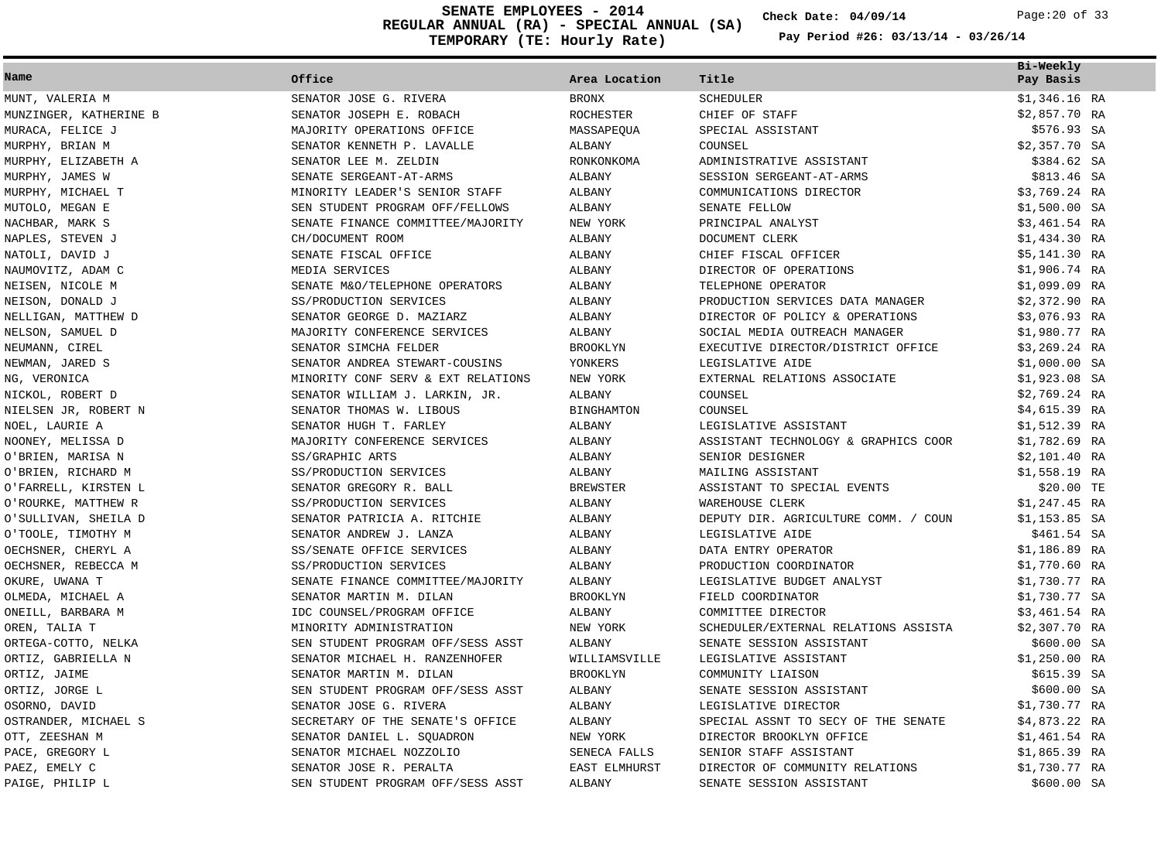**REGULAR ANNUAL (RA) - SPECIAL ANNUAL (SA) TEMPORARY (TE: Hourly Rate) SENATE EMPLOYEES - 2014 Check Date: 04/09/14** Page:20 of 33

**Check Date:**

| Name                   | Office                             | Area Location        | Title                                | Bi-Weekly<br>Pay Basis |
|------------------------|------------------------------------|----------------------|--------------------------------------|------------------------|
| MUNT, VALERIA M        | SENATOR JOSE G. RIVERA             | <b>BRONX</b>         | SCHEDULER                            | $$1,346.16$ RA         |
| MUNZINGER, KATHERINE B | SENATOR JOSEPH E. ROBACH           | ROCHESTER            | CHIEF OF STAFF                       | $$2,857.70$ RA         |
| MURACA, FELICE J       | MAJORITY OPERATIONS OFFICE         | MASSAPEOUA           | SPECIAL ASSISTANT                    | \$576.93 SA            |
| MURPHY, BRIAN M        | SENATOR KENNETH P. LAVALLE         | ALBANY               | COUNSEL                              | $$2,357.70$ SA         |
| MURPHY, ELIZABETH A    | SENATOR LEE M. ZELDIN              | RONKONKOMA           | ADMINISTRATIVE ASSISTANT             | \$384.62 SA            |
| MURPHY, JAMES W        | SENATE SERGEANT-AT-ARMS            | ALBANY               | SESSION SERGEANT-AT-ARMS             | \$813.46 SA            |
| MURPHY, MICHAEL T      | MINORITY LEADER'S SENIOR STAFF     | ALBANY               | COMMUNICATIONS DIRECTOR              | \$3,769.24 RA          |
| MUTOLO, MEGAN E        | SEN STUDENT PROGRAM OFF/FELLOWS    | ALBANY               | SENATE FELLOW                        | $$1,500.00$ SA         |
| NACHBAR, MARK S        | SENATE FINANCE COMMITTEE/MAJORITY  | NEW YORK             | PRINCIPAL ANALYST                    | \$3,461.54 RA          |
| NAPLES, STEVEN J       | CH/DOCUMENT ROOM                   | ALBANY               | DOCUMENT CLERK                       | \$1,434.30 RA          |
| NATOLI, DAVID J        | SENATE FISCAL OFFICE               | ALBANY               | CHIEF FISCAL OFFICER                 | $$5,141.30$ RA         |
| NAUMOVITZ, ADAM C      | MEDIA SERVICES                     | ALBANY               | DIRECTOR OF OPERATIONS               | $$1,906.74$ RA         |
| NEISEN, NICOLE M       | SENATE M&O/TELEPHONE OPERATORS     | ALBANY               | TELEPHONE OPERATOR                   | \$1,099.09 RA          |
| NEISON, DONALD J       | SS/PRODUCTION SERVICES             | ALBANY               | PRODUCTION SERVICES DATA MANAGER     | \$2,372.90 RA          |
| NELLIGAN, MATTHEW D    | SENATOR GEORGE D. MAZIARZ          | ALBANY               | DIRECTOR OF POLICY & OPERATIONS      | \$3,076.93 RA          |
| NELSON, SAMUEL D       | MAJORITY CONFERENCE SERVICES       | ALBANY               | SOCIAL MEDIA OUTREACH MANAGER        | \$1,980.77 RA          |
| NEUMANN, CIREL         | SENATOR SIMCHA FELDER              | <b>BROOKLYN</b>      | EXECUTIVE DIRECTOR/DISTRICT OFFICE   | $$3,269.24$ RA         |
| NEWMAN, JARED S        | SENATOR ANDREA STEWART-COUSINS     | YONKERS              | LEGISLATIVE AIDE                     | $$1,000.00$ SA         |
| NG, VERONICA           | MINORITY CONF SERV & EXT RELATIONS | NEW YORK             | EXTERNAL RELATIONS ASSOCIATE         | $$1,923.08$ SA         |
| NICKOL, ROBERT D       | SENATOR WILLIAM J. LARKIN, JR.     | ALBANY               | COUNSEL                              | \$2,769.24 RA          |
| NIELSEN JR, ROBERT N   | SENATOR THOMAS W. LIBOUS           | <b>BINGHAMTON</b>    | COUNSEL                              | \$4,615.39 RA          |
| NOEL, LAURIE A         | SENATOR HUGH T. FARLEY             | ALBANY               | LEGISLATIVE ASSISTANT                | \$1,512.39 RA          |
| NOONEY, MELISSA D      | MAJORITY CONFERENCE SERVICES       | ALBANY               | ASSISTANT TECHNOLOGY & GRAPHICS COOR | \$1,782.69 RA          |
| O'BRIEN, MARISA N      | SS/GRAPHIC ARTS                    | ALBANY               | SENIOR DESIGNER                      | $$2,101.40$ RA         |
| O'BRIEN, RICHARD M     | SS/PRODUCTION SERVICES             | ALBANY               | MAILING ASSISTANT                    | \$1,558.19 RA          |
| O'FARRELL, KIRSTEN L   | SENATOR GREGORY R. BALL            | <b>BREWSTER</b>      | ASSISTANT TO SPECIAL EVENTS          | \$20.00 TE             |
| O'ROURKE, MATTHEW R    | SS/PRODUCTION SERVICES             | ALBANY               | WAREHOUSE CLERK                      | $$1,247.45$ RA         |
| O'SULLIVAN, SHEILA D   | SENATOR PATRICIA A. RITCHIE        | ALBANY               | DEPUTY DIR. AGRICULTURE COMM. / COUN | $$1,153.85$ SA         |
| O'TOOLE, TIMOTHY M     | SENATOR ANDREW J. LANZA            | ALBANY               | LEGISLATIVE AIDE                     | \$461.54 SA            |
| OECHSNER, CHERYL A     | SS/SENATE OFFICE SERVICES          | ALBANY               | DATA ENTRY OPERATOR                  | \$1,186.89 RA          |
| OECHSNER, REBECCA M    | SS/PRODUCTION SERVICES             | ALBANY               | PRODUCTION COORDINATOR               | \$1,770.60 RA          |
| OKURE, UWANA T         | SENATE FINANCE COMMITTEE/MAJORITY  | ALBANY               | LEGISLATIVE BUDGET ANALYST           | \$1,730.77 RA          |
| OLMEDA, MICHAEL A      | SENATOR MARTIN M. DILAN            | <b>BROOKLYN</b>      | FIELD COORDINATOR                    | \$1,730.77 SA          |
| ONEILL, BARBARA M      | IDC COUNSEL/PROGRAM OFFICE         | ALBANY               | COMMITTEE DIRECTOR                   | \$3,461.54 RA          |
| OREN, TALIA T          | MINORITY ADMINISTRATION            | NEW YORK             | SCHEDULER/EXTERNAL RELATIONS ASSISTA | \$2,307.70 RA          |
| ORTEGA-COTTO, NELKA    | SEN STUDENT PROGRAM OFF/SESS ASST  | ALBANY               | SENATE SESSION ASSISTANT             | \$600.00 SA            |
| ORTIZ, GABRIELLA N     | SENATOR MICHAEL H. RANZENHOFER     | WILLIAMSVILLE        | LEGISLATIVE ASSISTANT                | \$1,250.00 RA          |
| ORTIZ, JAIME           | SENATOR MARTIN M. DILAN            | <b>BROOKLYN</b>      | COMMUNITY LIAISON                    | \$615.39 SA            |
| ORTIZ, JORGE L         | SEN STUDENT PROGRAM OFF/SESS ASST  | ALBANY               | SENATE SESSION ASSISTANT             | \$600.00 SA            |
| OSORNO, DAVID          | SENATOR JOSE G. RIVERA             | ALBANY               | LEGISLATIVE DIRECTOR                 | \$1,730.77 RA          |
| OSTRANDER, MICHAEL S   | SECRETARY OF THE SENATE'S OFFICE   | ALBANY               | SPECIAL ASSNT TO SECY OF THE SENATE  | $$4,873.22$ RA         |
| OTT, ZEESHAN M         | SENATOR DANIEL L. SQUADRON         | NEW YORK             | DIRECTOR BROOKLYN OFFICE             | \$1,461.54 RA          |
| PACE, GREGORY L        | SENATOR MICHAEL NOZZOLIO           | SENECA FALLS         | SENIOR STAFF ASSISTANT               | $$1,865.39$ RA         |
| PAEZ, EMELY C          | SENATOR JOSE R. PERALTA            | <b>EAST ELMHURST</b> | DIRECTOR OF COMMUNITY RELATIONS      | \$1,730.77 RA          |
| PAIGE, PHILIP L        | SEN STUDENT PROGRAM OFF/SESS ASST  | ALBANY               | SENATE SESSION ASSISTANT             | \$600.00 SA            |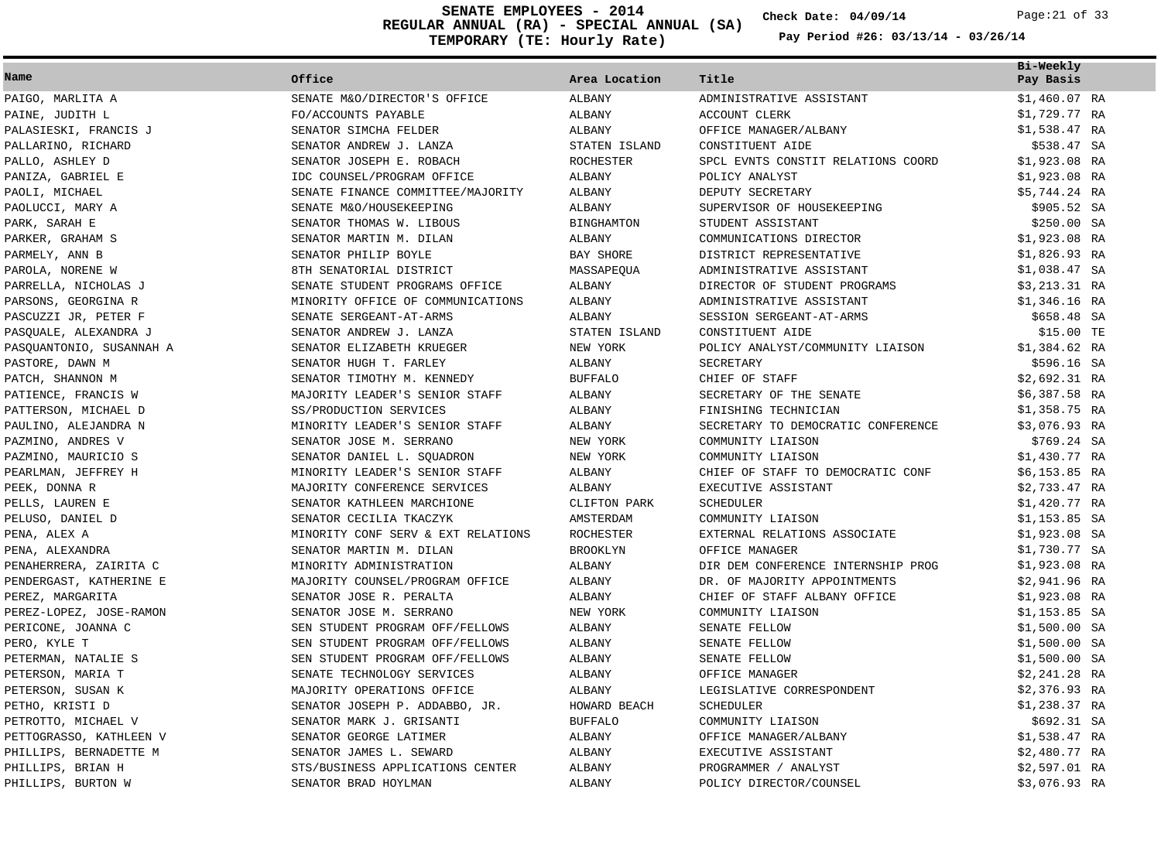**REGULAR ANNUAL (RA) - SPECIAL ANNUAL (SA) TEMPORARY (TE: Hourly Rate) SENATE EMPLOYEES - 2014 Check Date: 04/09/14** Page:21 of 33

**Check Date:**

|                          |                                    |                   |                                    | Bi-Weekly      |  |
|--------------------------|------------------------------------|-------------------|------------------------------------|----------------|--|
| Name                     | Office                             | Area Location     | Title                              | Pay Basis      |  |
| PAIGO, MARLITA A         | SENATE M&O/DIRECTOR'S OFFICE       | ALBANY            | ADMINISTRATIVE ASSISTANT           | $$1,460.07$ RA |  |
| PAINE, JUDITH L          | FO/ACCOUNTS PAYABLE                | ALBANY            | <b>ACCOUNT CLERK</b>               | \$1,729.77 RA  |  |
| PALASIESKI, FRANCIS J    | SENATOR SIMCHA FELDER              | ALBANY            | OFFICE MANAGER/ALBANY              | \$1,538.47 RA  |  |
| PALLARINO, RICHARD       | SENATOR ANDREW J. LANZA            | STATEN ISLAND     | CONSTITUENT AIDE                   | \$538.47 SA    |  |
| PALLO, ASHLEY D          | SENATOR JOSEPH E. ROBACH           | ROCHESTER         | SPCL EVNTS CONSTIT RELATIONS COORD | $$1,923.08$ RA |  |
| PANIZA, GABRIEL E        | IDC COUNSEL/PROGRAM OFFICE         | ALBANY            | POLICY ANALYST                     | $$1,923.08$ RA |  |
| PAOLI, MICHAEL           | SENATE FINANCE COMMITTEE/MAJORITY  | ALBANY            | DEPUTY SECRETARY                   | $$5,744.24$ RA |  |
| PAOLUCCI, MARY A         | SENATE M&O/HOUSEKEEPING            | ALBANY            | SUPERVISOR OF HOUSEKEEPING         | \$905.52 SA    |  |
| PARK, SARAH E            | SENATOR THOMAS W. LIBOUS           | <b>BINGHAMTON</b> | STUDENT ASSISTANT                  | \$250.00 SA    |  |
| PARKER, GRAHAM S         | SENATOR MARTIN M. DILAN            | ALBANY            | COMMUNICATIONS DIRECTOR            | \$1,923.08 RA  |  |
| PARMELY, ANN B           | SENATOR PHILIP BOYLE               | BAY SHORE         | DISTRICT REPRESENTATIVE            | \$1,826.93 RA  |  |
| PAROLA, NORENE W         | 8TH SENATORIAL DISTRICT            | MASSAPEQUA        | ADMINISTRATIVE ASSISTANT           | $$1,038.47$ SA |  |
| PARRELLA, NICHOLAS J     | SENATE STUDENT PROGRAMS OFFICE     | ALBANY            | DIRECTOR OF STUDENT PROGRAMS       | \$3,213.31 RA  |  |
| PARSONS, GEORGINA R      | MINORITY OFFICE OF COMMUNICATIONS  | ALBANY            | ADMINISTRATIVE ASSISTANT           | $$1,346.16$ RA |  |
| PASCUZZI JR, PETER F     | SENATE SERGEANT-AT-ARMS            | <b>ALBANY</b>     | SESSION SERGEANT-AT-ARMS           | \$658.48 SA    |  |
| PASOUALE, ALEXANDRA J    | SENATOR ANDREW J. LANZA            | STATEN ISLAND     | CONSTITUENT AIDE                   | \$15.00 TE     |  |
| PASQUANTONIO, SUSANNAH A | SENATOR ELIZABETH KRUEGER          | NEW YORK          | POLICY ANALYST/COMMUNITY LIAISON   | $$1,384.62$ RA |  |
| PASTORE, DAWN M          | SENATOR HUGH T. FARLEY             | ALBANY            | SECRETARY                          | \$596.16 SA    |  |
| PATCH, SHANNON M         | SENATOR TIMOTHY M. KENNEDY         | <b>BUFFALO</b>    | CHIEF OF STAFF                     | \$2,692.31 RA  |  |
| PATIENCE, FRANCIS W      | MAJORITY LEADER'S SENIOR STAFF     | ALBANY            | SECRETARY OF THE SENATE            | $$6,387.58$ RA |  |
| PATTERSON, MICHAEL D     | SS/PRODUCTION SERVICES             | ALBANY            | FINISHING TECHNICIAN               | $$1,358.75$ RA |  |
| PAULINO, ALEJANDRA N     | MINORITY LEADER'S SENIOR STAFF     | ALBANY            | SECRETARY TO DEMOCRATIC CONFERENCE | \$3,076.93 RA  |  |
| PAZMINO, ANDRES V        | SENATOR JOSE M. SERRANO            | NEW YORK          | COMMUNITY LIAISON                  | \$769.24 SA    |  |
| PAZMINO, MAURICIO S      | SENATOR DANIEL L. SQUADRON         | NEW YORK          | COMMUNITY LIAISON                  | \$1,430.77 RA  |  |
| PEARLMAN, JEFFREY H      | MINORITY LEADER'S SENIOR STAFF     | ALBANY            | CHIEF OF STAFF TO DEMOCRATIC CONF  | $$6,153.85$ RA |  |
| PEEK, DONNA R            | MAJORITY CONFERENCE SERVICES       | ALBANY            | EXECUTIVE ASSISTANT                | \$2,733.47 RA  |  |
| PELLS, LAUREN E          | SENATOR KATHLEEN MARCHIONE         | CLIFTON PARK      | SCHEDULER                          | $$1,420.77$ RA |  |
| PELUSO, DANIEL D         | SENATOR CECILIA TKACZYK            | AMSTERDAM         | COMMUNITY LIAISON                  | $$1,153.85$ SA |  |
| PENA, ALEX A             | MINORITY CONF SERV & EXT RELATIONS | ROCHESTER         | EXTERNAL RELATIONS ASSOCIATE       | $$1,923.08$ SA |  |
| PENA, ALEXANDRA          | SENATOR MARTIN M. DILAN            | <b>BROOKLYN</b>   | OFFICE MANAGER                     | \$1,730.77 SA  |  |
| PENAHERRERA, ZAIRITA C   | MINORITY ADMINISTRATION            | ALBANY            | DIR DEM CONFERENCE INTERNSHIP PROG | $$1,923.08$ RA |  |
| PENDERGAST, KATHERINE E  | MAJORITY COUNSEL/PROGRAM OFFICE    | ALBANY            | DR. OF MAJORITY APPOINTMENTS       | $$2,941.96$ RA |  |
| PEREZ, MARGARITA         | SENATOR JOSE R. PERALTA            | ALBANY            | CHIEF OF STAFF ALBANY OFFICE       | $$1,923.08$ RA |  |
| PEREZ-LOPEZ, JOSE-RAMON  | SENATOR JOSE M. SERRANO            | NEW YORK          | COMMUNITY LIAISON                  | $$1,153.85$ SA |  |
| PERICONE, JOANNA C       | SEN STUDENT PROGRAM OFF/FELLOWS    | ALBANY            | SENATE FELLOW                      | $$1,500.00$ SA |  |
| PERO, KYLE T             | SEN STUDENT PROGRAM OFF/FELLOWS    | ALBANY            | SENATE FELLOW                      | $$1,500.00$ SA |  |
| PETERMAN, NATALIE S      | SEN STUDENT PROGRAM OFF/FELLOWS    | ALBANY            | SENATE FELLOW                      | $$1,500.00$ SA |  |
| PETERSON, MARIA T        | SENATE TECHNOLOGY SERVICES         | ALBANY            | OFFICE MANAGER                     | $$2,241.28$ RA |  |
| PETERSON, SUSAN K        | MAJORITY OPERATIONS OFFICE         | <b>ALBANY</b>     | LEGISLATIVE CORRESPONDENT          | $$2,376.93$ RA |  |
| PETHO, KRISTI D          | SENATOR JOSEPH P. ADDABBO, JR.     | HOWARD BEACH      | SCHEDULER                          | \$1,238.37 RA  |  |
| PETROTTO, MICHAEL V      | SENATOR MARK J. GRISANTI           | <b>BUFFALO</b>    | COMMUNITY LIAISON                  | \$692.31 SA    |  |
| PETTOGRASSO, KATHLEEN V  | SENATOR GEORGE LATIMER             | ALBANY            | OFFICE MANAGER/ALBANY              | \$1,538.47 RA  |  |
| PHILLIPS, BERNADETTE M   | SENATOR JAMES L. SEWARD            | ALBANY            | EXECUTIVE ASSISTANT                | $$2,480.77$ RA |  |
| PHILLIPS, BRIAN H        | STS/BUSINESS APPLICATIONS CENTER   | <b>ALBANY</b>     | PROGRAMMER / ANALYST               | \$2,597.01 RA  |  |
| PHILLIPS, BURTON W       | SENATOR BRAD HOYLMAN               | <b>ALBANY</b>     | POLICY DIRECTOR/COUNSEL            | \$3,076.93 RA  |  |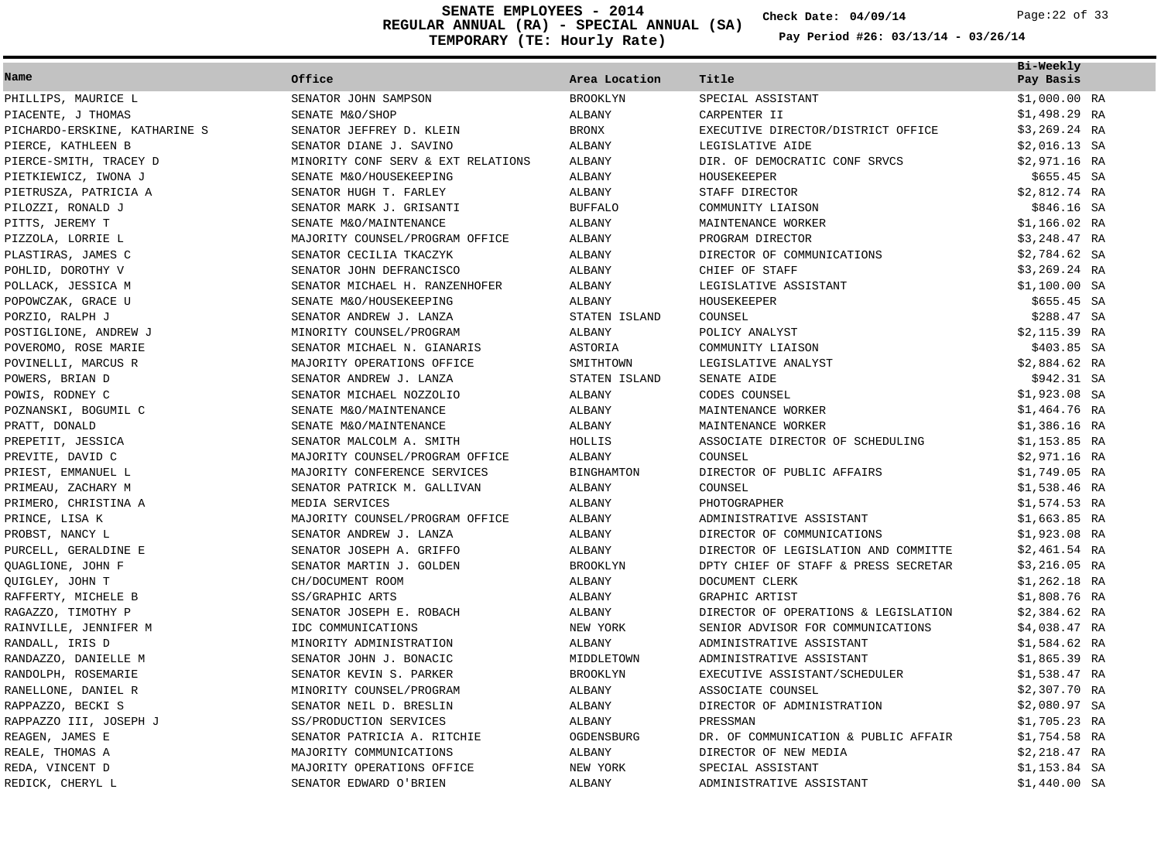**REGULAR ANNUAL (RA) - SPECIAL ANNUAL (SA) TEMPORARY (TE: Hourly Rate) SENATE EMPLOYEES - 2014 Check Date: 04/09/14** Page:22 of 33

**Check Date:**

|                               |                                    |                   |                                      | Bi-Weekly      |  |
|-------------------------------|------------------------------------|-------------------|--------------------------------------|----------------|--|
| Name                          | Office                             | Area Location     | Title                                | Pay Basis      |  |
| PHILLIPS, MAURICE L           | SENATOR JOHN SAMPSON               | <b>BROOKLYN</b>   | SPECIAL ASSISTANT                    | $$1,000.00$ RA |  |
| PIACENTE, J THOMAS            | SENATE M&O/SHOP                    | ALBANY            | CARPENTER II                         | $$1,498.29$ RA |  |
| PICHARDO-ERSKINE, KATHARINE S | SENATOR JEFFREY D. KLEIN           | <b>BRONX</b>      | EXECUTIVE DIRECTOR/DISTRICT OFFICE   | $$3,269.24$ RA |  |
| PIERCE, KATHLEEN B            | SENATOR DIANE J. SAVINO            | <b>ALBANY</b>     | LEGISLATIVE AIDE                     | $$2,016.13$ SA |  |
| PIERCE-SMITH, TRACEY D        | MINORITY CONF SERV & EXT RELATIONS | ALBANY            | DIR. OF DEMOCRATIC CONF SRVCS        | \$2,971.16 RA  |  |
| PIETKIEWICZ, IWONA J          | SENATE M&O/HOUSEKEEPING            | ALBANY            | HOUSEKEEPER                          | $$655.45$ SA   |  |
| PIETRUSZA, PATRICIA A         | SENATOR HUGH T. FARLEY             | ALBANY            | STAFF DIRECTOR                       | \$2,812.74 RA  |  |
| PILOZZI, RONALD J             | SENATOR MARK J. GRISANTI           | <b>BUFFALO</b>    | COMMUNITY LIAISON                    | \$846.16 SA    |  |
| PITTS, JEREMY T               | SENATE M&O/MAINTENANCE             | ALBANY            | MAINTENANCE WORKER                   | $$1,166.02$ RA |  |
| PIZZOLA, LORRIE L             | MAJORITY COUNSEL/PROGRAM OFFICE    | <b>ALBANY</b>     | PROGRAM DIRECTOR                     | \$3,248.47 RA  |  |
| PLASTIRAS, JAMES C            | SENATOR CECILIA TKACZYK            | ALBANY            | DIRECTOR OF COMMUNICATIONS           | $$2,784.62$ SA |  |
| POHLID, DOROTHY V             | SENATOR JOHN DEFRANCISCO           | ALBANY            | CHIEF OF STAFF                       | $$3,269.24$ RA |  |
| POLLACK, JESSICA M            | SENATOR MICHAEL H. RANZENHOFER     | ALBANY            | LEGISLATIVE ASSISTANT                | $$1,100.00$ SA |  |
| POPOWCZAK, GRACE U            | SENATE M&O/HOUSEKEEPING            | ALBANY            | HOUSEKEEPER                          | \$655.45 SA    |  |
| PORZIO, RALPH J               | SENATOR ANDREW J. LANZA            | STATEN ISLAND     | COUNSEL                              | \$288.47 SA    |  |
| POSTIGLIONE, ANDREW J         | MINORITY COUNSEL/PROGRAM           | ALBANY            | POLICY ANALYST                       | \$2,115.39 RA  |  |
| POVEROMO, ROSE MARIE          | SENATOR MICHAEL N. GIANARIS        | ASTORIA           | COMMUNITY LIAISON                    | \$403.85 SA    |  |
| POVINELLI, MARCUS R           | MAJORITY OPERATIONS OFFICE         | SMITHTOWN         | LEGISLATIVE ANALYST                  | \$2,884.62 RA  |  |
| POWERS, BRIAN D               | SENATOR ANDREW J. LANZA            | STATEN ISLAND     | SENATE AIDE                          | \$942.31 SA    |  |
| POWIS, RODNEY C               | SENATOR MICHAEL NOZZOLIO           | ALBANY            | CODES COUNSEL                        | $$1,923.08$ SA |  |
| POZNANSKI, BOGUMIL C          | SENATE M&O/MAINTENANCE             | <b>ALBANY</b>     | MAINTENANCE WORKER                   | $$1,464.76$ RA |  |
| PRATT, DONALD                 | SENATE M&O/MAINTENANCE             | ALBANY            | MAINTENANCE WORKER                   | $$1,386.16$ RA |  |
| PREPETIT, JESSICA             | SENATOR MALCOLM A. SMITH           | HOLLIS            | ASSOCIATE DIRECTOR OF SCHEDULING     | $$1,153.85$ RA |  |
| PREVITE, DAVID C              | MAJORITY COUNSEL/PROGRAM OFFICE    | ALBANY            | COUNSEL                              | $$2,971.16$ RA |  |
| PRIEST, EMMANUEL L            | MAJORITY CONFERENCE SERVICES       | <b>BINGHAMTON</b> | DIRECTOR OF PUBLIC AFFAIRS           | $$1,749.05$ RA |  |
| PRIMEAU, ZACHARY M            | SENATOR PATRICK M. GALLIVAN        | ALBANY            | COUNSEL                              | $$1,538.46$ RA |  |
| PRIMERO, CHRISTINA A          | MEDIA SERVICES                     | ALBANY            | PHOTOGRAPHER                         | $$1,574.53$ RA |  |
| PRINCE, LISA K                | MAJORITY COUNSEL/PROGRAM OFFICE    | <b>ALBANY</b>     | ADMINISTRATIVE ASSISTANT             | $$1,663.85$ RA |  |
| PROBST, NANCY L               | SENATOR ANDREW J. LANZA            | <b>ALBANY</b>     | DIRECTOR OF COMMUNICATIONS           | $$1,923.08$ RA |  |
| PURCELL, GERALDINE E          | SENATOR JOSEPH A. GRIFFO           | ALBANY            | DIRECTOR OF LEGISLATION AND COMMITTE | $$2,461.54$ RA |  |
| QUAGLIONE, JOHN F             | SENATOR MARTIN J. GOLDEN           | <b>BROOKLYN</b>   | DPTY CHIEF OF STAFF & PRESS SECRETAR | $$3,216.05$ RA |  |
| QUIGLEY, JOHN T               | CH/DOCUMENT ROOM                   | ALBANY            | DOCUMENT CLERK                       | $$1,262.18$ RA |  |
| RAFFERTY, MICHELE B           | SS/GRAPHIC ARTS                    | ALBANY            | GRAPHIC ARTIST                       | \$1,808.76 RA  |  |
| RAGAZZO, TIMOTHY P            | SENATOR JOSEPH E. ROBACH           | <b>ALBANY</b>     | DIRECTOR OF OPERATIONS & LEGISLATION | $$2,384.62$ RA |  |
| RAINVILLE, JENNIFER M         | IDC COMMUNICATIONS                 | NEW YORK          | SENIOR ADVISOR FOR COMMUNICATIONS    | $$4,038.47$ RA |  |
| RANDALL, IRIS D               | MINORITY ADMINISTRATION            | ALBANY            | ADMINISTRATIVE ASSISTANT             | $$1,584.62$ RA |  |
| RANDAZZO, DANIELLE M          | SENATOR JOHN J. BONACIC            | MIDDLETOWN        | ADMINISTRATIVE ASSISTANT             | $$1,865.39$ RA |  |
| RANDOLPH, ROSEMARIE           | SENATOR KEVIN S. PARKER            | <b>BROOKLYN</b>   | EXECUTIVE ASSISTANT/SCHEDULER        | $$1,538.47$ RA |  |
| RANELLONE, DANIEL R           | MINORITY COUNSEL/PROGRAM           | ALBANY            | ASSOCIATE COUNSEL                    | $$2,307.70$ RA |  |
| RAPPAZZO, BECKI S             | SENATOR NEIL D. BRESLIN            | ALBANY            | DIRECTOR OF ADMINISTRATION           | $$2,080.97$ SA |  |
| RAPPAZZO III, JOSEPH J        | SS/PRODUCTION SERVICES             | ALBANY            | PRESSMAN                             | $$1,705.23$ RA |  |
| REAGEN, JAMES E               | SENATOR PATRICIA A. RITCHIE        | OGDENSBURG        | DR. OF COMMUNICATION & PUBLIC AFFAIR | $$1,754.58$ RA |  |
| REALE, THOMAS A               | MAJORITY COMMUNICATIONS            | ALBANY            | DIRECTOR OF NEW MEDIA                | $$2,218.47$ RA |  |
| REDA, VINCENT D               | MAJORITY OPERATIONS OFFICE         | NEW YORK          | SPECIAL ASSISTANT                    | $$1,153.84$ SA |  |
| REDICK, CHERYL L              | SENATOR EDWARD O'BRIEN             | <b>ALBANY</b>     | ADMINISTRATIVE ASSISTANT             | $$1,440.00$ SA |  |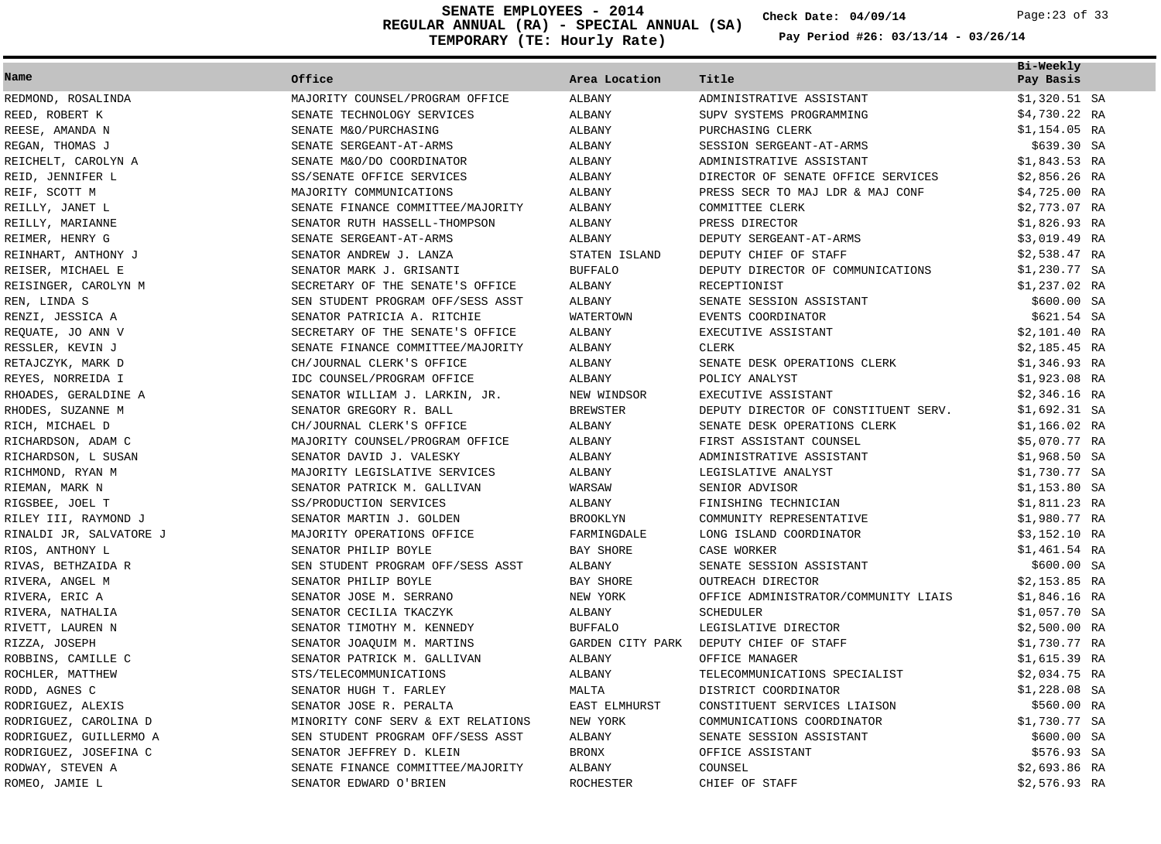**REGULAR ANNUAL (RA) - SPECIAL ANNUAL (SA) TEMPORARY (TE: Hourly Rate) SENATE EMPLOYEES - 2014 Check Date: 04/09/14** Page:23 of 33

**Check Date:**

| Name                    | Office                             | Area Location        | Title                                | Bi-Weekly<br>Pay Basis |  |
|-------------------------|------------------------------------|----------------------|--------------------------------------|------------------------|--|
| REDMOND, ROSALINDA      | MAJORITY COUNSEL/PROGRAM OFFICE    | ALBANY               | ADMINISTRATIVE ASSISTANT             | $$1,320.51$ SA         |  |
| REED, ROBERT K          | SENATE TECHNOLOGY SERVICES         | ALBANY               | SUPV SYSTEMS PROGRAMMING             | $$4,730.22$ RA         |  |
| REESE, AMANDA N         | SENATE M&O/PURCHASING              | ALBANY               | PURCHASING CLERK                     | \$1,154.05 RA          |  |
| REGAN, THOMAS J         | SENATE SERGEANT-AT-ARMS            | ALBANY               | SESSION SERGEANT-AT-ARMS             | \$639.30 SA            |  |
| REICHELT, CAROLYN A     | SENATE M&O/DO COORDINATOR          | ALBANY               | ADMINISTRATIVE ASSISTANT             | $$1,843.53$ RA         |  |
| REID, JENNIFER L        | SS/SENATE OFFICE SERVICES          | ALBANY               | DIRECTOR OF SENATE OFFICE SERVICES   | $$2,856.26$ RA         |  |
| REIF, SCOTT M           | MAJORITY COMMUNICATIONS            | ALBANY               | PRESS SECR TO MAJ LDR & MAJ CONF     | $$4,725.00$ RA         |  |
| REILLY, JANET L         | SENATE FINANCE COMMITTEE/MAJORITY  | <b>ALBANY</b>        | COMMITTEE CLERK                      | \$2,773.07 RA          |  |
| REILLY, MARIANNE        | SENATOR RUTH HASSELL-THOMPSON      | ALBANY               | PRESS DIRECTOR                       | $$1,826.93$ RA         |  |
| REIMER, HENRY G         | SENATE SERGEANT-AT-ARMS            | ALBANY               | DEPUTY SERGEANT-AT-ARMS              | \$3,019.49 RA          |  |
| REINHART, ANTHONY J     | SENATOR ANDREW J. LANZA            | STATEN ISLAND        | DEPUTY CHIEF OF STAFF                | $$2,538.47$ RA         |  |
| REISER, MICHAEL E       | SENATOR MARK J. GRISANTI           | <b>BUFFALO</b>       | DEPUTY DIRECTOR OF COMMUNICATIONS    | $$1,230.77$ SA         |  |
| REISINGER, CAROLYN M    | SECRETARY OF THE SENATE'S OFFICE   | ALBANY               | RECEPTIONIST                         | $$1,237.02$ RA         |  |
| REN, LINDA S            | SEN STUDENT PROGRAM OFF/SESS ASST  | ALBANY               | SENATE SESSION ASSISTANT             | \$600.00 SA            |  |
| RENZI, JESSICA A        | SENATOR PATRICIA A. RITCHIE        | WATERTOWN            | EVENTS COORDINATOR                   | \$621.54 SA            |  |
| REQUATE, JO ANN V       | SECRETARY OF THE SENATE'S OFFICE   | ALBANY               | EXECUTIVE ASSISTANT                  | \$2,101.40 RA          |  |
| RESSLER, KEVIN J        | SENATE FINANCE COMMITTEE/MAJORITY  | ALBANY               | CLERK                                | $$2,185.45$ RA         |  |
| RETAJCZYK, MARK D       | CH/JOURNAL CLERK'S OFFICE          | ALBANY               | SENATE DESK OPERATIONS CLERK         | $$1,346.93$ RA         |  |
| REYES, NORREIDA I       | IDC COUNSEL/PROGRAM OFFICE         | ALBANY               | POLICY ANALYST                       | $$1,923.08$ RA         |  |
| RHOADES, GERALDINE A    | SENATOR WILLIAM J. LARKIN, JR.     | NEW WINDSOR          | EXECUTIVE ASSISTANT                  | $$2,346.16$ RA         |  |
| RHODES, SUZANNE M       | SENATOR GREGORY R. BALL            | <b>BREWSTER</b>      | DEPUTY DIRECTOR OF CONSTITUENT SERV. | $$1,692.31$ SA         |  |
| RICH, MICHAEL D         | CH/JOURNAL CLERK'S OFFICE          | ALBANY               | SENATE DESK OPERATIONS CLERK         | $$1,166.02$ RA         |  |
| RICHARDSON, ADAM C      | MAJORITY COUNSEL/PROGRAM OFFICE    | ALBANY               | FIRST ASSISTANT COUNSEL              | \$5,070.77 RA          |  |
| RICHARDSON, L SUSAN     | SENATOR DAVID J. VALESKY           | ALBANY               | ADMINISTRATIVE ASSISTANT             | $$1,968.50$ SA         |  |
| RICHMOND, RYAN M        | MAJORITY LEGISLATIVE SERVICES      | ALBANY               | LEGISLATIVE ANALYST                  | \$1,730.77 SA          |  |
| RIEMAN, MARK N          | SENATOR PATRICK M. GALLIVAN        | WARSAW               | SENIOR ADVISOR                       | $$1,153.80$ SA         |  |
| RIGSBEE, JOEL T         | SS/PRODUCTION SERVICES             | ALBANY               | FINISHING TECHNICIAN                 | $$1,811.23$ RA         |  |
| RILEY III, RAYMOND J    | SENATOR MARTIN J. GOLDEN           | <b>BROOKLYN</b>      | COMMUNITY REPRESENTATIVE             | \$1,980.77 RA          |  |
| RINALDI JR, SALVATORE J | MAJORITY OPERATIONS OFFICE         | FARMINGDALE          | LONG ISLAND COORDINATOR              | \$3,152.10 RA          |  |
| RIOS, ANTHONY L         | SENATOR PHILIP BOYLE               | BAY SHORE            | CASE WORKER                          | \$1,461.54 RA          |  |
| RIVAS, BETHZAIDA R      | SEN STUDENT PROGRAM OFF/SESS ASST  | ALBANY               | SENATE SESSION ASSISTANT             | \$600.00 SA            |  |
| RIVERA, ANGEL M         | SENATOR PHILIP BOYLE               | BAY SHORE            | OUTREACH DIRECTOR                    | $$2,153.85$ RA         |  |
| RIVERA, ERIC A          | SENATOR JOSE M. SERRANO            | NEW YORK             | OFFICE ADMINISTRATOR/COMMUNITY LIAIS | \$1,846.16 RA          |  |
| RIVERA, NATHALIA        | SENATOR CECILIA TKACZYK            | ALBANY               | SCHEDULER                            | $$1,057.70$ SA         |  |
| RIVETT, LAUREN N        | SENATOR TIMOTHY M. KENNEDY         | <b>BUFFALO</b>       | LEGISLATIVE DIRECTOR                 | \$2,500.00 RA          |  |
| RIZZA, JOSEPH           | SENATOR JOAQUIM M. MARTINS         | GARDEN CITY PARK     | DEPUTY CHIEF OF STAFF                | \$1,730.77 RA          |  |
| ROBBINS, CAMILLE C      | SENATOR PATRICK M. GALLIVAN        | ALBANY               | OFFICE MANAGER                       | $$1,615.39$ RA         |  |
| ROCHLER, MATTHEW        | STS/TELECOMMUNICATIONS             | ALBANY               | TELECOMMUNICATIONS SPECIALIST        | $$2,034.75$ RA         |  |
| RODD, AGNES C           | SENATOR HUGH T. FARLEY             | MALTA                | DISTRICT COORDINATOR                 | $$1,228.08$ SA         |  |
| RODRIGUEZ, ALEXIS       | SENATOR JOSE R. PERALTA            | <b>EAST ELMHURST</b> | CONSTITUENT SERVICES LIAISON         | \$560.00 RA            |  |
| RODRIGUEZ, CAROLINA D   | MINORITY CONF SERV & EXT RELATIONS | NEW YORK             | COMMUNICATIONS COORDINATOR           | \$1,730.77 SA          |  |
| RODRIGUEZ, GUILLERMO A  | SEN STUDENT PROGRAM OFF/SESS ASST  | ALBANY               | SENATE SESSION ASSISTANT             | \$600.00 SA            |  |
| RODRIGUEZ, JOSEFINA C   | SENATOR JEFFREY D. KLEIN           | <b>BRONX</b>         | OFFICE ASSISTANT                     | \$576.93 SA            |  |
| RODWAY, STEVEN A        | SENATE FINANCE COMMITTEE/MAJORITY  | ALBANY               | COUNSEL                              | \$2,693.86 RA          |  |
| ROMEO, JAMIE L          | SENATOR EDWARD O'BRIEN             | <b>ROCHESTER</b>     | CHIEF OF STAFF                       | \$2,576.93 RA          |  |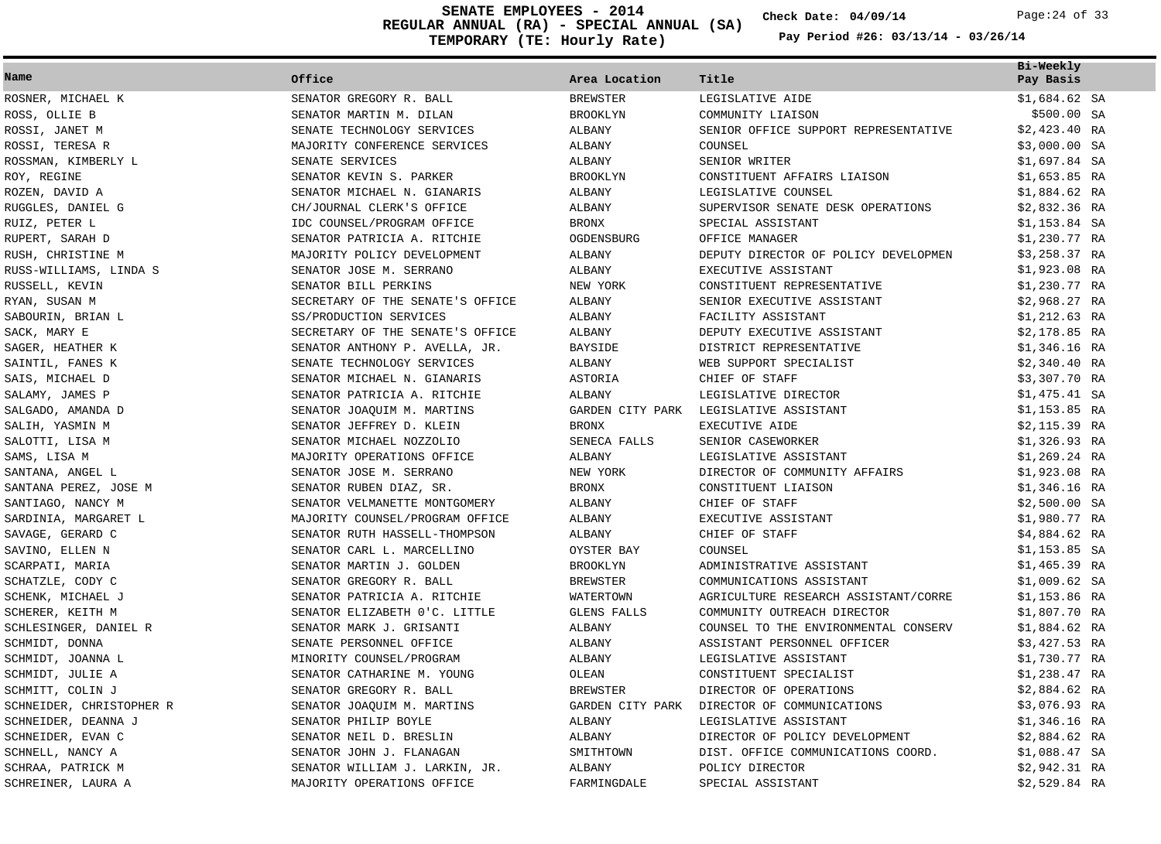**REGULAR ANNUAL (RA) - SPECIAL ANNUAL (SA) TEMPORARY (TE: Hourly Rate) SENATE EMPLOYEES - 2014 Check Date: 04/09/14** Page:24 of 33

**Check Date:**

| Name                     | Office                           | Area Location       | Title                                | Bi-Weekly<br>Pay Basis |
|--------------------------|----------------------------------|---------------------|--------------------------------------|------------------------|
| ROSNER, MICHAEL K        | SENATOR GREGORY R. BALL          | BREWSTER            | LEGISLATIVE AIDE                     | $$1,684.62$ SA         |
| ROSS, OLLIE B            | SENATOR MARTIN M. DILAN          | <b>BROOKLYN</b>     | COMMUNITY LIAISON                    | \$500.00 SA            |
| ROSSI, JANET M           | SENATE TECHNOLOGY SERVICES       | ALBANY              | SENIOR OFFICE SUPPORT REPRESENTATIVE | $$2,423.40$ RA         |
| ROSSI, TERESA R          | MAJORITY CONFERENCE SERVICES     | ALBANY              | COUNSEL                              | $$3,000.00$ SA         |
| ROSSMAN, KIMBERLY L      | SENATE SERVICES                  | ALBANY              | SENIOR WRITER                        | $$1,697.84$ SA         |
| ROY, REGINE              | SENATOR KEVIN S. PARKER          | <b>BROOKLYN</b>     | CONSTITUENT AFFAIRS LIAISON          | $$1,653.85$ RA         |
| ROZEN, DAVID A           | SENATOR MICHAEL N. GIANARIS      | ALBANY              | LEGISLATIVE COUNSEL                  | $$1,884.62$ RA         |
| RUGGLES, DANIEL G        | CH/JOURNAL CLERK'S OFFICE        | ALBANY              | SUPERVISOR SENATE DESK OPERATIONS    | $$2,832.36$ RA         |
| RUIZ, PETER L            | IDC COUNSEL/PROGRAM OFFICE       | <b>BRONX</b>        | SPECIAL ASSISTANT                    | $$1,153.84$ SA         |
| RUPERT, SARAH D          | SENATOR PATRICIA A. RITCHIE      | OGDENSBURG          | OFFICE MANAGER                       | \$1,230.77 RA          |
| RUSH, CHRISTINE M        | MAJORITY POLICY DEVELOPMENT      | ALBANY              | DEPUTY DIRECTOR OF POLICY DEVELOPMEN | $$3,258.37$ RA         |
| RUSS-WILLIAMS, LINDA S   | SENATOR JOSE M. SERRANO          | ALBANY              | EXECUTIVE ASSISTANT                  | $$1,923.08$ RA         |
| RUSSELL, KEVIN           | SENATOR BILL PERKINS             | NEW YORK            | CONSTITUENT REPRESENTATIVE           | \$1,230.77 RA          |
| RYAN, SUSAN M            | SECRETARY OF THE SENATE'S OFFICE | ALBANY              | SENIOR EXECUTIVE ASSISTANT           | $$2,968.27$ RA         |
| SABOURIN, BRIAN L        | SS/PRODUCTION SERVICES           | ALBANY              | FACILITY ASSISTANT                   | $$1,212.63$ RA         |
| SACK, MARY E             | SECRETARY OF THE SENATE'S OFFICE | ALBANY              | DEPUTY EXECUTIVE ASSISTANT           | $$2,178.85$ RA         |
| SAGER, HEATHER K         | SENATOR ANTHONY P. AVELLA, JR.   | <b>BAYSIDE</b>      | DISTRICT REPRESENTATIVE              | $$1,346.16$ RA         |
| SAINTIL, FANES K         | SENATE TECHNOLOGY SERVICES       | ALBANY              | WEB SUPPORT SPECIALIST               | $$2,340.40$ RA         |
| SAIS, MICHAEL D          | SENATOR MICHAEL N. GIANARIS      | ASTORIA             | CHIEF OF STAFF                       | $$3,307.70$ RA         |
| SALAMY, JAMES P          | SENATOR PATRICIA A. RITCHIE      | ALBANY              | LEGISLATIVE DIRECTOR                 | $$1,475.41$ SA         |
| SALGADO, AMANDA D        | SENATOR JOAQUIM M. MARTINS       | GARDEN CITY PARK    | LEGISLATIVE ASSISTANT                | $$1,153.85$ RA         |
| SALIH, YASMIN M          | SENATOR JEFFREY D. KLEIN         | <b>BRONX</b>        | EXECUTIVE AIDE                       | $$2,115.39$ RA         |
| SALOTTI, LISA M          | SENATOR MICHAEL NOZZOLIO         | SENECA FALLS        | SENIOR CASEWORKER                    | $$1,326.93$ RA         |
| SAMS, LISA M             | MAJORITY OPERATIONS OFFICE       | ALBANY              | LEGISLATIVE ASSISTANT                | $$1,269.24$ RA         |
| SANTANA, ANGEL L         | SENATOR JOSE M. SERRANO          | NEW YORK            | DIRECTOR OF COMMUNITY AFFAIRS        | \$1,923.08 RA          |
| SANTANA PEREZ, JOSE M    | SENATOR RUBEN DIAZ, SR.          | <b>BRONX</b>        | CONSTITUENT LIAISON                  | $$1,346.16$ RA         |
| SANTIAGO, NANCY M        | SENATOR VELMANETTE MONTGOMERY    | ALBANY              | CHIEF OF STAFF                       | $$2,500.00$ SA         |
| SARDINIA, MARGARET L     | MAJORITY COUNSEL/PROGRAM OFFICE  | ALBANY              | EXECUTIVE ASSISTANT                  | \$1,980.77 RA          |
| SAVAGE, GERARD C         | SENATOR RUTH HASSELL-THOMPSON    | ALBANY              | CHIEF OF STAFF                       | \$4,884.62 RA          |
| SAVINO, ELLEN N          | SENATOR CARL L. MARCELLINO       | OYSTER BAY          | COUNSEL                              | $$1,153.85$ SA         |
| SCARPATI, MARIA          | SENATOR MARTIN J. GOLDEN         | <b>BROOKLYN</b>     | ADMINISTRATIVE ASSISTANT             | $$1,465.39$ RA         |
| SCHATZLE, CODY C         | SENATOR GREGORY R. BALL          | <b>BREWSTER</b>     | COMMUNICATIONS ASSISTANT             | $$1,009.62$ SA         |
| SCHENK, MICHAEL J        | SENATOR PATRICIA A. RITCHIE      | WATERTOWN           | AGRICULTURE RESEARCH ASSISTANT/CORRE | $$1,153.86$ RA         |
| SCHERER, KEITH M         | SENATOR ELIZABETH 0'C. LITTLE    | GLENS FALLS         | COMMUNITY OUTREACH DIRECTOR          | \$1,807.70 RA          |
| SCHLESINGER, DANIEL R    | SENATOR MARK J. GRISANTI         | ALBANY              | COUNSEL TO THE ENVIRONMENTAL CONSERV | \$1,884.62 RA          |
| SCHMIDT, DONNA           | SENATE PERSONNEL OFFICE          | ALBANY              | ASSISTANT PERSONNEL OFFICER          | $$3,427.53$ RA         |
| SCHMIDT, JOANNA L        | MINORITY COUNSEL/PROGRAM         | ALBANY              | LEGISLATIVE ASSISTANT                | \$1,730.77 RA          |
| SCHMIDT, JULIE A         | SENATOR CATHARINE M. YOUNG       | OLEAN               | CONSTITUENT SPECIALIST               | \$1,238.47 RA          |
| SCHMITT, COLIN J         | SENATOR GREGORY R. BALL          | <b>BREWSTER</b>     | DIRECTOR OF OPERATIONS               | $$2,884.62$ RA         |
| SCHNEIDER, CHRISTOPHER R | SENATOR JOAQUIM M. MARTINS       | GARDEN CITY PARK    | DIRECTOR OF COMMUNICATIONS           | \$3,076.93 RA          |
| SCHNEIDER, DEANNA J      | SENATOR PHILIP BOYLE             | ALBANY              | LEGISLATIVE ASSISTANT                | $$1,346.16$ RA         |
| SCHNEIDER, EVAN C        | SENATOR NEIL D. BRESLIN          | ALBANY              | DIRECTOR OF POLICY DEVELOPMENT       | $$2,884.62$ RA         |
| SCHNELL, NANCY A         | SENATOR JOHN J. FLANAGAN         | SMITHTOWN           | DIST. OFFICE COMMUNICATIONS COORD.   | \$1,088.47 SA          |
| SCHRAA, PATRICK M        | SENATOR WILLIAM J. LARKIN, JR.   | ALBANY              | POLICY DIRECTOR                      | $$2,942.31$ RA         |
| SCHREINER, LAURA A       | MAJORITY OPERATIONS OFFICE       | ${\tt FARMINGDALE}$ | SPECIAL ASSISTANT                    | $$2,529.84$ RA         |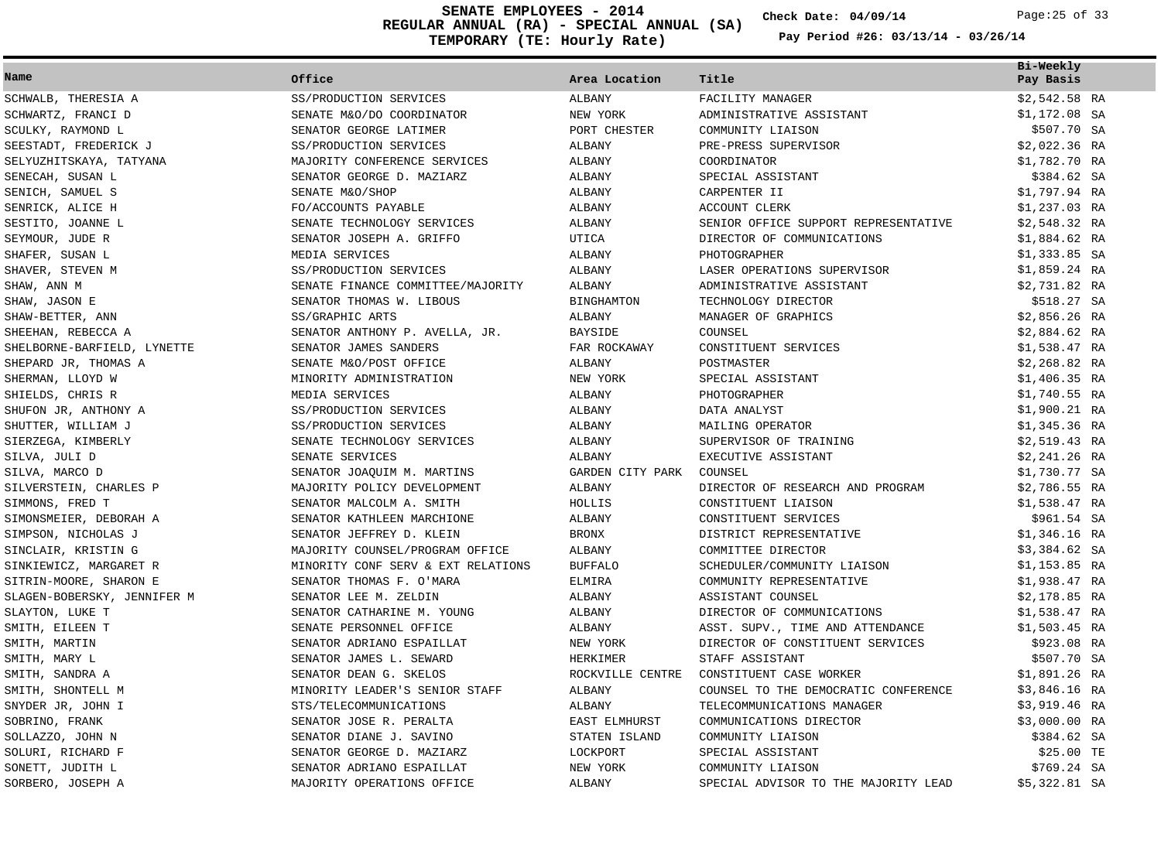**REGULAR ANNUAL (RA) - SPECIAL ANNUAL (SA) TEMPORARY (TE: Hourly Rate) SENATE EMPLOYEES - 2014 Check Date: 04/09/14** Page:25 of 33

**Check Date:**

|                             |                                    |                  |                                      | Bi-Weekly      |
|-----------------------------|------------------------------------|------------------|--------------------------------------|----------------|
| Name                        | Office                             | Area Location    | Title                                | Pay Basis      |
| SCHWALB, THERESIA A         | SS/PRODUCTION SERVICES             | ALBANY           | FACILITY MANAGER                     | $$2,542.58$ RA |
| SCHWARTZ, FRANCI D          | SENATE M&O/DO COORDINATOR          | NEW YORK         | ADMINISTRATIVE ASSISTANT             | $$1,172.08$ SA |
| SCULKY, RAYMOND L           | SENATOR GEORGE LATIMER             | PORT CHESTER     | COMMUNITY LIAISON                    | \$507.70 SA    |
| SEESTADT, FREDERICK J       | SS/PRODUCTION SERVICES             | ALBANY           | PRE-PRESS SUPERVISOR                 | $$2,022.36$ RA |
| SELYUZHITSKAYA, TATYANA     | MAJORITY CONFERENCE SERVICES       | ALBANY           | COORDINATOR                          | \$1,782.70 RA  |
| SENECAH, SUSAN L            | SENATOR GEORGE D. MAZIARZ          | ALBANY           | SPECIAL ASSISTANT                    | \$384.62 SA    |
| SENICH, SAMUEL S            | SENATE M&O/SHOP                    | ALBANY           | CARPENTER II                         | \$1,797.94 RA  |
| SENRICK, ALICE H            | FO/ACCOUNTS PAYABLE                | <b>ALBANY</b>    | <b>ACCOUNT CLERK</b>                 | $$1,237.03$ RA |
| SESTITO, JOANNE L           | SENATE TECHNOLOGY SERVICES         | <b>ALBANY</b>    | SENIOR OFFICE SUPPORT REPRESENTATIVE | $$2,548.32$ RA |
| SEYMOUR, JUDE R             | SENATOR JOSEPH A. GRIFFO           | UTICA            | DIRECTOR OF COMMUNICATIONS           | $$1,884.62$ RA |
| SHAFER, SUSAN L             | MEDIA SERVICES                     | ALBANY           | PHOTOGRAPHER                         | $$1,333.85$ SA |
| SHAVER, STEVEN M            | SS/PRODUCTION SERVICES             | ALBANY           | LASER OPERATIONS SUPERVISOR          | \$1,859.24 RA  |
| SHAW, ANN M                 | SENATE FINANCE COMMITTEE/MAJORITY  | ALBANY           | ADMINISTRATIVE ASSISTANT             | \$2,731.82 RA  |
| SHAW, JASON E               | SENATOR THOMAS W. LIBOUS           | BINGHAMTON       | TECHNOLOGY DIRECTOR                  | \$518.27 SA    |
| SHAW-BETTER, ANN            | SS/GRAPHIC ARTS                    | ALBANY           | MANAGER OF GRAPHICS                  | $$2,856.26$ RA |
| SHEEHAN, REBECCA A          | SENATOR ANTHONY P. AVELLA, JR.     | <b>BAYSIDE</b>   | COUNSEL                              | $$2,884.62$ RA |
| SHELBORNE-BARFIELD, LYNETTE | SENATOR JAMES SANDERS              | FAR ROCKAWAY     | CONSTITUENT SERVICES                 | \$1,538.47 RA  |
| SHEPARD JR, THOMAS A        | SENATE M&O/POST OFFICE             | ALBANY           | POSTMASTER                           | $$2,268.82$ RA |
| SHERMAN, LLOYD W            | MINORITY ADMINISTRATION            | NEW YORK         | SPECIAL ASSISTANT                    | $$1,406.35$ RA |
| SHIELDS, CHRIS R            | MEDIA SERVICES                     | <b>ALBANY</b>    | PHOTOGRAPHER                         | \$1,740.55 RA  |
| SHUFON JR, ANTHONY A        | SS/PRODUCTION SERVICES             | ALBANY           | DATA ANALYST                         | $$1,900.21$ RA |
| SHUTTER, WILLIAM J          | SS/PRODUCTION SERVICES             | ALBANY           | MAILING OPERATOR                     | $$1,345.36$ RA |
| SIERZEGA, KIMBERLY          | SENATE TECHNOLOGY SERVICES         | ALBANY           | SUPERVISOR OF TRAINING               | $$2,519.43$ RA |
| SILVA, JULI D               | SENATE SERVICES                    | ALBANY           | EXECUTIVE ASSISTANT                  | $$2,241.26$ RA |
| SILVA, MARCO D              | SENATOR JOAQUIM M. MARTINS         | GARDEN CITY PARK | COUNSEL                              | \$1,730.77 SA  |
| SILVERSTEIN, CHARLES P      | MAJORITY POLICY DEVELOPMENT        | <b>ALBANY</b>    | DIRECTOR OF RESEARCH AND PROGRAM     | $$2,786.55$ RA |
| SIMMONS, FRED T             | SENATOR MALCOLM A. SMITH           | HOLLIS           | CONSTITUENT LIAISON                  | \$1,538.47 RA  |
| SIMONSMEIER, DEBORAH A      | SENATOR KATHLEEN MARCHIONE         | <b>ALBANY</b>    | CONSTITUENT SERVICES                 | \$961.54 SA    |
| SIMPSON, NICHOLAS J         | SENATOR JEFFREY D. KLEIN           | <b>BRONX</b>     | DISTRICT REPRESENTATIVE              | $$1,346.16$ RA |
| SINCLAIR, KRISTIN G         | MAJORITY COUNSEL/PROGRAM OFFICE    | ALBANY           | COMMITTEE DIRECTOR                   | $$3,384.62$ SA |
| SINKIEWICZ, MARGARET R      | MINORITY CONF SERV & EXT RELATIONS | <b>BUFFALO</b>   | SCHEDULER/COMMUNITY LIAISON          | $$1,153.85$ RA |
| SITRIN-MOORE, SHARON E      | SENATOR THOMAS F. O'MARA           | <b>ELMIRA</b>    | COMMUNITY REPRESENTATIVE             | $$1,938.47$ RA |
| SLAGEN-BOBERSKY, JENNIFER M | SENATOR LEE M. ZELDIN              | ALBANY           | ASSISTANT COUNSEL                    | $$2,178.85$ RA |
| SLAYTON, LUKE T             | SENATOR CATHARINE M. YOUNG         | ALBANY           | DIRECTOR OF COMMUNICATIONS           | \$1,538.47 RA  |
| SMITH, EILEEN T             | SENATE PERSONNEL OFFICE            | ALBANY           | ASST. SUPV., TIME AND ATTENDANCE     | \$1,503.45 RA  |
| SMITH, MARTIN               | SENATOR ADRIANO ESPAILLAT          | NEW YORK         | DIRECTOR OF CONSTITUENT SERVICES     | \$923.08 RA    |
| SMITH, MARY L               | SENATOR JAMES L. SEWARD            | HERKIMER         | STAFF ASSISTANT                      | \$507.70 SA    |
| SMITH, SANDRA A             | SENATOR DEAN G. SKELOS             | ROCKVILLE CENTRE | CONSTITUENT CASE WORKER              | \$1,891.26 RA  |
| SMITH, SHONTELL M           | MINORITY LEADER'S SENIOR STAFF     | ALBANY           | COUNSEL TO THE DEMOCRATIC CONFERENCE | $$3,846.16$ RA |
| SNYDER JR, JOHN I           | STS/TELECOMMUNICATIONS             | ALBANY           | TELECOMMUNICATIONS MANAGER           | $$3,919.46$ RA |
| SOBRINO, FRANK              | SENATOR JOSE R. PERALTA            | EAST ELMHURST    | COMMUNICATIONS DIRECTOR              | $$3,000.00$ RA |
| SOLLAZZO, JOHN N            | SENATOR DIANE J. SAVINO            | STATEN ISLAND    | COMMUNITY LIAISON                    | \$384.62 SA    |
| SOLURI, RICHARD F           | SENATOR GEORGE D. MAZIARZ          | LOCKPORT         | SPECIAL ASSISTANT                    | \$25.00 TE     |
| SONETT, JUDITH L            | SENATOR ADRIANO ESPAILLAT          | NEW YORK         | COMMUNITY LIAISON                    | \$769.24 SA    |
| SORBERO, JOSEPH A           | MAJORITY OPERATIONS OFFICE         | <b>ALBANY</b>    | SPECIAL ADVISOR TO THE MAJORITY LEAD | \$5,322.81 SA  |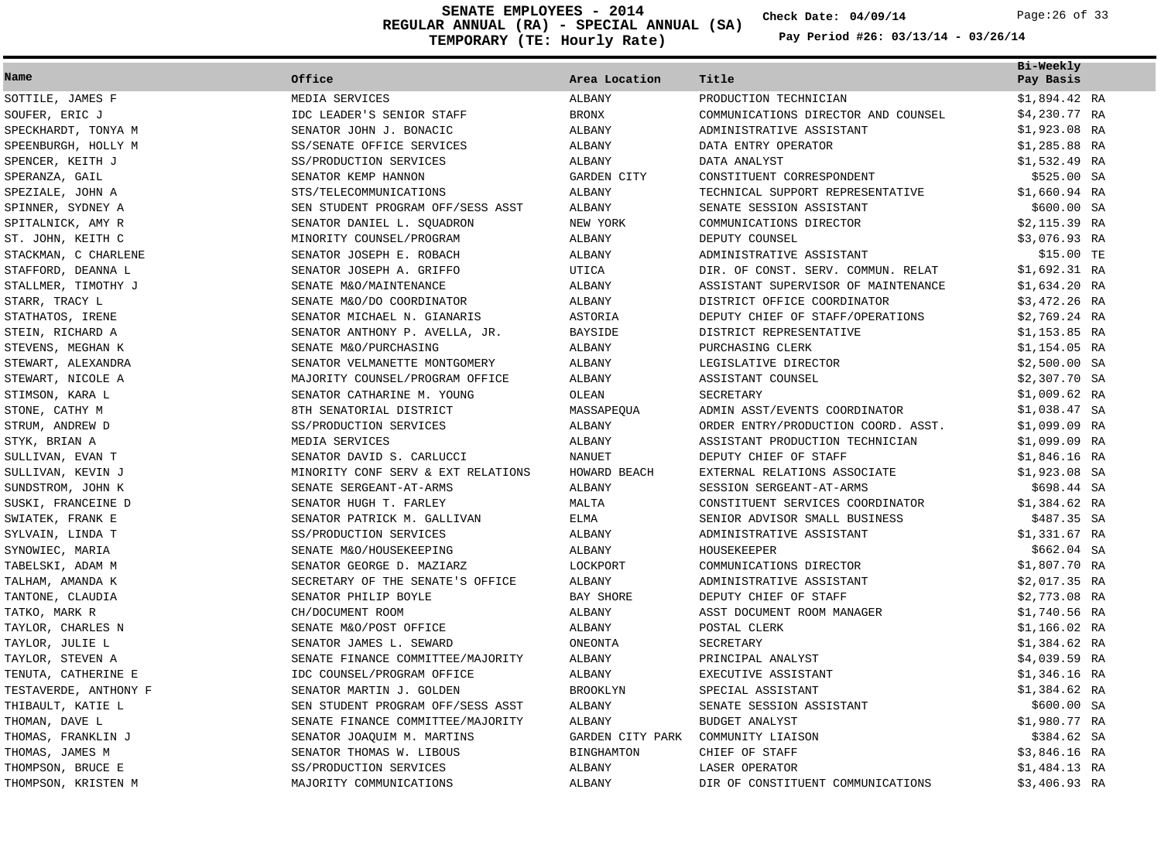**REGULAR ANNUAL (RA) - SPECIAL ANNUAL (SA) TEMPORARY (TE: Hourly Rate) SENATE EMPLOYEES - 2014 Check Date: 04/09/14** Page:26 of 33

**Check Date:**

| Name                  | Office                             | Area Location    | Title                               | Bi-Weekly<br>Pay Basis |
|-----------------------|------------------------------------|------------------|-------------------------------------|------------------------|
| SOTTILE, JAMES F      | MEDIA SERVICES                     | ALBANY           | PRODUCTION TECHNICIAN               | \$1,894.42 RA          |
| SOUFER, ERIC J        | IDC LEADER'S SENIOR STAFF          | <b>BRONX</b>     | COMMUNICATIONS DIRECTOR AND COUNSEL | \$4,230.77 RA          |
| SPECKHARDT, TONYA M   | SENATOR JOHN J. BONACIC            | ALBANY           | ADMINISTRATIVE ASSISTANT            | $$1,923.08$ RA         |
| SPEENBURGH, HOLLY M   | SS/SENATE OFFICE SERVICES          | <b>ALBANY</b>    | DATA ENTRY OPERATOR                 | \$1,285.88 RA          |
| SPENCER, KEITH J      | SS/PRODUCTION SERVICES             | ALBANY           | DATA ANALYST                        | \$1,532.49 RA          |
| SPERANZA, GAIL        | SENATOR KEMP HANNON                | GARDEN CITY      | CONSTITUENT CORRESPONDENT           | \$525.00 SA            |
| SPEZIALE, JOHN A      | STS/TELECOMMUNICATIONS             | ALBANY           | TECHNICAL SUPPORT REPRESENTATIVE    | $$1,660.94$ RA         |
| SPINNER, SYDNEY A     | SEN STUDENT PROGRAM OFF/SESS ASST  | ALBANY           | SENATE SESSION ASSISTANT            | \$600.00 SA            |
| SPITALNICK, AMY R     | SENATOR DANIEL L. SQUADRON         | NEW YORK         | COMMUNICATIONS DIRECTOR             | \$2,115.39 RA          |
| ST. JOHN, KEITH C     | MINORITY COUNSEL/PROGRAM           | ALBANY           | DEPUTY COUNSEL                      | \$3,076.93 RA          |
| STACKMAN, C CHARLENE  | SENATOR JOSEPH E. ROBACH           | <b>ALBANY</b>    | ADMINISTRATIVE ASSISTANT            | \$15.00 TE             |
| STAFFORD, DEANNA L    | SENATOR JOSEPH A. GRIFFO           | <b>UTICA</b>     | DIR. OF CONST. SERV. COMMUN. RELAT  | \$1,692.31 RA          |
| STALLMER, TIMOTHY J   | SENATE M&O/MAINTENANCE             | <b>ALBANY</b>    | ASSISTANT SUPERVISOR OF MAINTENANCE | \$1,634.20 RA          |
| STARR, TRACY L        | SENATE M&O/DO COORDINATOR          | ALBANY           | DISTRICT OFFICE COORDINATOR         | \$3,472.26 RA          |
| STATHATOS, IRENE      | SENATOR MICHAEL N. GIANARIS        | ASTORIA          | DEPUTY CHIEF OF STAFF/OPERATIONS    | $$2,769.24$ RA         |
| STEIN, RICHARD A      | SENATOR ANTHONY P. AVELLA, JR.     | <b>BAYSIDE</b>   | DISTRICT REPRESENTATIVE             | \$1,153.85 RA          |
| STEVENS, MEGHAN K     | SENATE M&O/PURCHASING              | ALBANY           | PURCHASING CLERK                    | \$1,154.05 RA          |
| STEWART, ALEXANDRA    | SENATOR VELMANETTE MONTGOMERY      | <b>ALBANY</b>    | LEGISLATIVE DIRECTOR                | $$2,500.00$ SA         |
| STEWART, NICOLE A     | MAJORITY COUNSEL/PROGRAM OFFICE    | ALBANY           | ASSISTANT COUNSEL                   | \$2,307.70 SA          |
| STIMSON, KARA L       | SENATOR CATHARINE M. YOUNG         | OLEAN            | SECRETARY                           | $$1,009.62$ RA         |
| STONE, CATHY M        | 8TH SENATORIAL DISTRICT            | MASSAPEQUA       | ADMIN ASST/EVENTS COORDINATOR       | $$1,038.47$ SA         |
| STRUM, ANDREW D       | SS/PRODUCTION SERVICES             | ALBANY           | ORDER ENTRY/PRODUCTION COORD. ASST. | \$1,099.09 RA          |
| STYK, BRIAN A         | MEDIA SERVICES                     | <b>ALBANY</b>    | ASSISTANT PRODUCTION TECHNICIAN     | \$1,099.09 RA          |
| SULLIVAN, EVAN T      | SENATOR DAVID S. CARLUCCI          | <b>NANUET</b>    | DEPUTY CHIEF OF STAFF               | \$1,846.16 RA          |
| SULLIVAN, KEVIN J     | MINORITY CONF SERV & EXT RELATIONS | HOWARD BEACH     | EXTERNAL RELATIONS ASSOCIATE        | \$1,923.08 SA          |
| SUNDSTROM, JOHN K     | SENATE SERGEANT-AT-ARMS            | ALBANY           | SESSION SERGEANT-AT-ARMS            | \$698.44 SA            |
| SUSKI, FRANCEINE D    | SENATOR HUGH T. FARLEY             | MALTA            | CONSTITUENT SERVICES COORDINATOR    | \$1,384.62 RA          |
| SWIATEK, FRANK E      | SENATOR PATRICK M. GALLIVAN        | <b>ELMA</b>      | SENIOR ADVISOR SMALL BUSINESS       | \$487.35 SA            |
| SYLVAIN, LINDA T      | SS/PRODUCTION SERVICES             | ALBANY           | ADMINISTRATIVE ASSISTANT            | \$1,331.67 RA          |
| SYNOWIEC, MARIA       | SENATE M&O/HOUSEKEEPING            | ALBANY           | HOUSEKEEPER                         | \$662.04 SA            |
| TABELSKI, ADAM M      | SENATOR GEORGE D. MAZIARZ          | LOCKPORT         | COMMUNICATIONS DIRECTOR             | \$1,807.70 RA          |
| TALHAM, AMANDA K      | SECRETARY OF THE SENATE'S OFFICE   | ALBANY           | ADMINISTRATIVE ASSISTANT            | \$2,017.35 RA          |
| TANTONE, CLAUDIA      | SENATOR PHILIP BOYLE               | BAY SHORE        | DEPUTY CHIEF OF STAFF               | $$2,773.08$ RA         |
| TATKO, MARK R         | CH/DOCUMENT ROOM                   | ALBANY           | ASST DOCUMENT ROOM MANAGER          | \$1,740.56 RA          |
| TAYLOR, CHARLES N     | SENATE M&O/POST OFFICE             | ALBANY           | POSTAL CLERK                        | $$1,166.02$ RA         |
| TAYLOR, JULIE L       | SENATOR JAMES L. SEWARD            | ONEONTA          | SECRETARY                           | \$1,384.62 RA          |
| TAYLOR, STEVEN A      | SENATE FINANCE COMMITTEE/MAJORITY  | ALBANY           | PRINCIPAL ANALYST                   | \$4,039.59 RA          |
| TENUTA, CATHERINE E   | IDC COUNSEL/PROGRAM OFFICE         | ALBANY           | EXECUTIVE ASSISTANT                 | \$1,346.16 RA          |
| TESTAVERDE, ANTHONY F | SENATOR MARTIN J. GOLDEN           | <b>BROOKLYN</b>  | SPECIAL ASSISTANT                   | \$1,384.62 RA          |
| THIBAULT, KATIE L     | SEN STUDENT PROGRAM OFF/SESS ASST  | <b>ALBANY</b>    | SENATE SESSION ASSISTANT            | \$600.00 SA            |
| THOMAN, DAVE L        | SENATE FINANCE COMMITTEE/MAJORITY  | ALBANY           | <b>BUDGET ANALYST</b>               | \$1,980.77 RA          |
| THOMAS, FRANKLIN J    | SENATOR JOAQUIM M. MARTINS         | GARDEN CITY PARK | COMMUNITY LIAISON                   | \$384.62 SA            |
| THOMAS, JAMES M       | SENATOR THOMAS W. LIBOUS           | BINGHAMTON       | CHIEF OF STAFF                      | \$3,846.16 RA          |
| THOMPSON, BRUCE E     | SS/PRODUCTION SERVICES             | ALBANY           | LASER OPERATOR                      | \$1,484.13 RA          |
| THOMPSON, KRISTEN M   | MAJORITY COMMUNICATIONS            | ALBANY           | DIR OF CONSTITUENT COMMUNICATIONS   | \$3,406.93 RA          |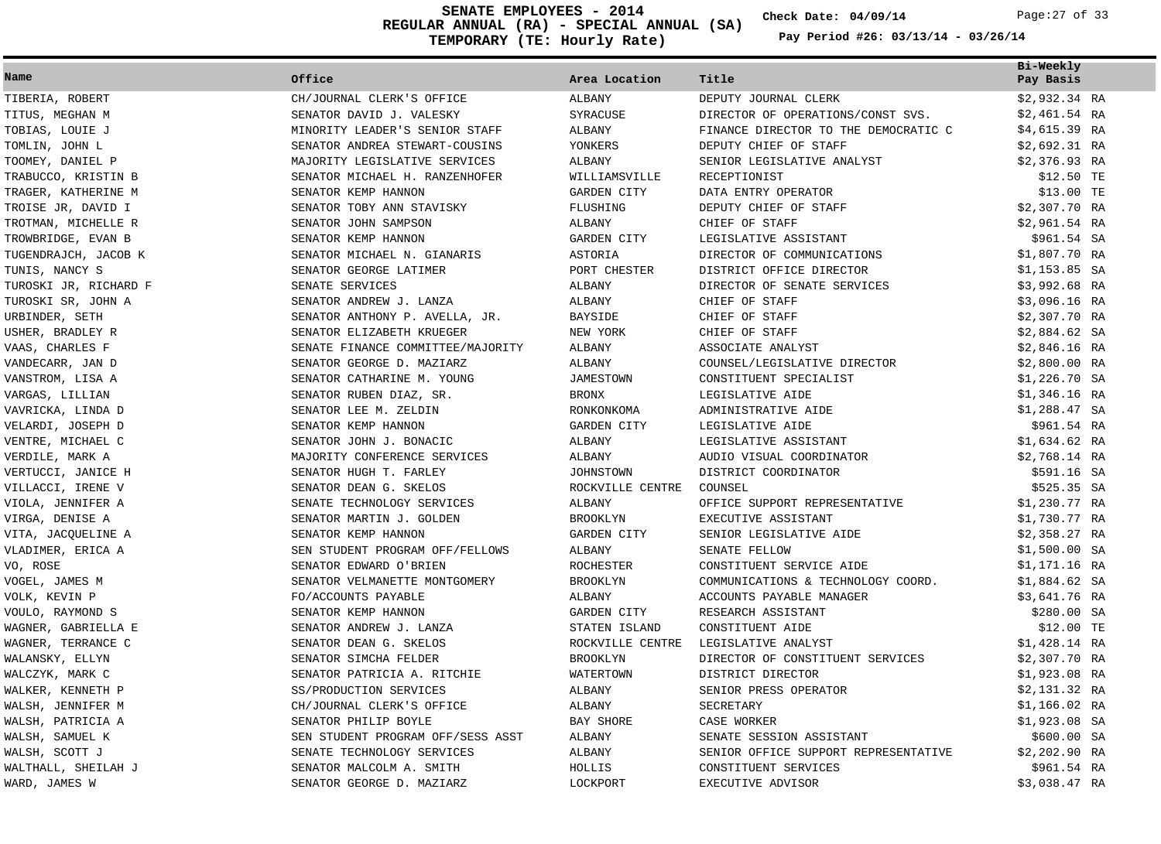**REGULAR ANNUAL (RA) - SPECIAL ANNUAL (SA) TEMPORARY (TE: Hourly Rate) SENATE EMPLOYEES - 2014 Check Date: 04/09/14** Page:27 of 33

**Check Date:**

| Name                  | Office                            | Area Location      | Title                                | Bi-Weekly<br>Pay Basis |
|-----------------------|-----------------------------------|--------------------|--------------------------------------|------------------------|
|                       |                                   |                    |                                      |                        |
| TIBERIA, ROBERT       | CH/JOURNAL CLERK'S OFFICE         | ALBANY             | DEPUTY JOURNAL CLERK                 | $$2,932.34$ RA         |
| TITUS, MEGHAN M       | SENATOR DAVID J. VALESKY          | SYRACUSE           | DIRECTOR OF OPERATIONS/CONST SVS.    | $$2,461.54$ RA         |
| TOBIAS, LOUIE J       | MINORITY LEADER'S SENIOR STAFF    | ALBANY             | FINANCE DIRECTOR TO THE DEMOCRATIC C | $$4,615.39$ RA         |
| TOMLIN, JOHN L        | SENATOR ANDREA STEWART-COUSINS    | YONKERS            | DEPUTY CHIEF OF STAFF                | $$2,692.31$ RA         |
| TOOMEY, DANIEL P      | MAJORITY LEGISLATIVE SERVICES     | ALBANY             | SENIOR LEGISLATIVE ANALYST           | $$2,376.93$ RA         |
| TRABUCCO, KRISTIN B   | SENATOR MICHAEL H. RANZENHOFER    | WILLIAMSVILLE      | RECEPTIONIST                         | \$12.50 TE             |
| TRAGER, KATHERINE M   | SENATOR KEMP HANNON               | GARDEN CITY        | DATA ENTRY OPERATOR                  | \$13.00 TE             |
| TROISE JR, DAVID I    | SENATOR TOBY ANN STAVISKY         | FLUSHING           | DEPUTY CHIEF OF STAFF                | $$2,307.70$ RA         |
| TROTMAN, MICHELLE R   | SENATOR JOHN SAMPSON              | <b>ALBANY</b>      | CHIEF OF STAFF                       | \$2,961.54 RA          |
| TROWBRIDGE, EVAN B    | SENATOR KEMP HANNON               | <b>GARDEN CITY</b> | LEGISLATIVE ASSISTANT                | \$961.54 SA            |
| TUGENDRAJCH, JACOB K  | SENATOR MICHAEL N. GIANARIS       | <b>ASTORIA</b>     | DIRECTOR OF COMMUNICATIONS           | \$1,807.70 RA          |
| TUNIS, NANCY S        | SENATOR GEORGE LATIMER            | PORT CHESTER       | DISTRICT OFFICE DIRECTOR             | $$1,153.85$ SA         |
| TUROSKI JR, RICHARD F | SENATE SERVICES                   | ALBANY             | DIRECTOR OF SENATE SERVICES          | \$3,992.68 RA          |
| TUROSKI SR, JOHN A    | SENATOR ANDREW J. LANZA           | ALBANY             | CHIEF OF STAFF                       | \$3,096.16 RA          |
| URBINDER, SETH        | SENATOR ANTHONY P. AVELLA, JR.    | <b>BAYSIDE</b>     | CHIEF OF STAFF                       | $$2,307.70$ RA         |
| USHER, BRADLEY R      | SENATOR ELIZABETH KRUEGER         | NEW YORK           | CHIEF OF STAFF                       | $$2,884.62$ SA         |
| VAAS, CHARLES F       | SENATE FINANCE COMMITTEE/MAJORITY | ALBANY             | ASSOCIATE ANALYST                    | $$2,846.16$ RA         |
| VANDECARR, JAN D      | SENATOR GEORGE D. MAZIARZ         | ALBANY             | COUNSEL/LEGISLATIVE DIRECTOR         | $$2,800.00$ RA         |
| VANSTROM, LISA A      | SENATOR CATHARINE M. YOUNG        | <b>JAMESTOWN</b>   | CONSTITUENT SPECIALIST               | $$1,226.70$ SA         |
| VARGAS, LILLIAN       | SENATOR RUBEN DIAZ, SR.           | <b>BRONX</b>       | LEGISLATIVE AIDE                     | $$1,346.16$ RA         |
| VAVRICKA, LINDA D     | SENATOR LEE M. ZELDIN             | RONKONKOMA         | ADMINISTRATIVE AIDE                  | $$1,288.47$ SA         |
| VELARDI, JOSEPH D     | SENATOR KEMP HANNON               | <b>GARDEN CITY</b> | LEGISLATIVE AIDE                     | \$961.54 RA            |
| VENTRE, MICHAEL C     | SENATOR JOHN J. BONACIC           | ALBANY             | LEGISLATIVE ASSISTANT                | $$1,634.62$ RA         |
| VERDILE, MARK A       | MAJORITY CONFERENCE SERVICES      | ALBANY             | AUDIO VISUAL COORDINATOR             | $$2,768.14$ RA         |
| VERTUCCI, JANICE H    | SENATOR HUGH T. FARLEY            | <b>JOHNSTOWN</b>   | DISTRICT COORDINATOR                 | \$591.16 SA            |
| VILLACCI, IRENE V     | SENATOR DEAN G. SKELOS            | ROCKVILLE CENTRE   | COUNSEL                              | \$525.35 SA            |
| VIOLA, JENNIFER A     | SENATE TECHNOLOGY SERVICES        | ALBANY             | OFFICE SUPPORT REPRESENTATIVE        | $$1,230.77$ RA         |
| VIRGA, DENISE A       | SENATOR MARTIN J. GOLDEN          | <b>BROOKLYN</b>    | EXECUTIVE ASSISTANT                  | \$1,730.77 RA          |
| VITA, JACQUELINE A    | SENATOR KEMP HANNON               | GARDEN CITY        | SENIOR LEGISLATIVE AIDE              | $$2,358.27$ RA         |
| VLADIMER, ERICA A     | SEN STUDENT PROGRAM OFF/FELLOWS   | ALBANY             | SENATE FELLOW                        | $$1,500.00$ SA         |
| VO, ROSE              | SENATOR EDWARD O'BRIEN            | ROCHESTER          | CONSTITUENT SERVICE AIDE             | \$1,171.16 RA          |
| VOGEL, JAMES M        | SENATOR VELMANETTE MONTGOMERY     | <b>BROOKLYN</b>    | COMMUNICATIONS & TECHNOLOGY COORD.   | \$1,884.62 SA          |
| VOLK, KEVIN P         | FO/ACCOUNTS PAYABLE               | ALBANY             | ACCOUNTS PAYABLE MANAGER             | \$3,641.76 RA          |
| VOULO, RAYMOND S      | SENATOR KEMP HANNON               | GARDEN CITY        | RESEARCH ASSISTANT                   | \$280.00 SA            |
| WAGNER, GABRIELLA E   | SENATOR ANDREW J. LANZA           | STATEN ISLAND      | CONSTITUENT AIDE                     | \$12.00 TE             |
| WAGNER, TERRANCE C    | SENATOR DEAN G. SKELOS            | ROCKVILLE CENTRE   | LEGISLATIVE ANALYST                  | \$1,428.14 RA          |
| WALANSKY, ELLYN       | SENATOR SIMCHA FELDER             | <b>BROOKLYN</b>    | DIRECTOR OF CONSTITUENT SERVICES     | $$2,307.70$ RA         |
| WALCZYK, MARK C       | SENATOR PATRICIA A. RITCHIE       | WATERTOWN          | DISTRICT DIRECTOR                    | \$1,923.08 RA          |
| WALKER, KENNETH P     | SS/PRODUCTION SERVICES            | <b>ALBANY</b>      | SENIOR PRESS OPERATOR                | \$2,131.32 RA          |
| WALSH, JENNIFER M     | CH/JOURNAL CLERK'S OFFICE         | ALBANY             | SECRETARY                            | $$1,166.02$ RA         |
| WALSH, PATRICIA A     | SENATOR PHILIP BOYLE              | BAY SHORE          | CASE WORKER                          | $$1,923.08$ SA         |
| WALSH, SAMUEL K       | SEN STUDENT PROGRAM OFF/SESS ASST | <b>ALBANY</b>      | SENATE SESSION ASSISTANT             | \$600.00 SA            |
| WALSH, SCOTT J        | SENATE TECHNOLOGY SERVICES        | ALBANY             | SENIOR OFFICE SUPPORT REPRESENTATIVE | $$2,202.90$ RA         |
| WALTHALL, SHEILAH J   | SENATOR MALCOLM A. SMITH          | HOLLIS             | CONSTITUENT SERVICES                 | \$961.54 RA            |
| WARD, JAMES W         | SENATOR GEORGE D. MAZIARZ         | LOCKPORT           | EXECUTIVE ADVISOR                    | \$3,038.47 RA          |
|                       |                                   |                    |                                      |                        |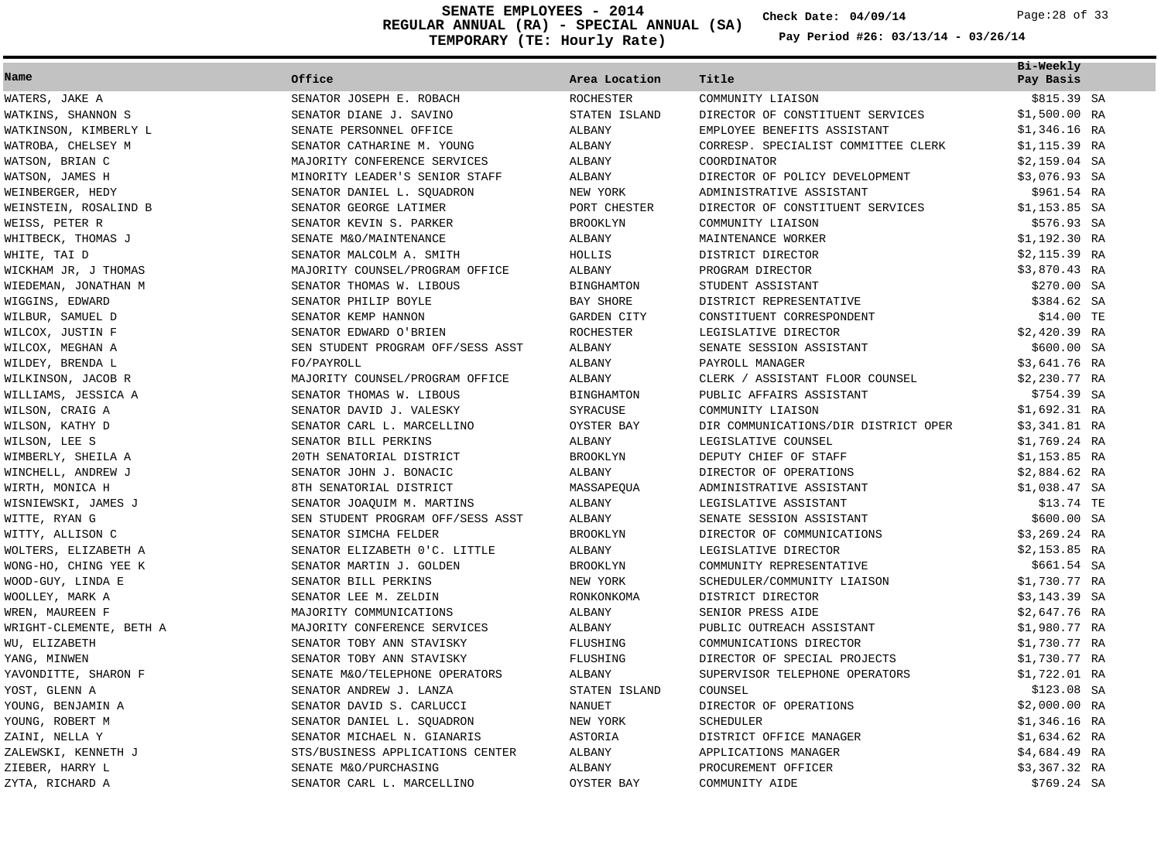**REGULAR ANNUAL (RA) - SPECIAL ANNUAL (SA) TEMPORARY (TE: Hourly Rate) SENATE EMPLOYEES - 2014 Check Date: 04/09/14** Page:28 of 33

**Check Date:**

| Name                    | Office                            | Area Location     | Title                                | Bi-Weekly<br>Pay Basis |  |
|-------------------------|-----------------------------------|-------------------|--------------------------------------|------------------------|--|
| WATERS, JAKE A          | SENATOR JOSEPH E. ROBACH          | <b>ROCHESTER</b>  | COMMUNITY LIAISON                    | \$815.39 SA            |  |
| WATKINS, SHANNON S      | SENATOR DIANE J. SAVINO           | STATEN ISLAND     | DIRECTOR OF CONSTITUENT SERVICES     | $$1,500.00$ RA         |  |
| WATKINSON, KIMBERLY L   | SENATE PERSONNEL OFFICE           | ALBANY            | EMPLOYEE BENEFITS ASSISTANT          | $$1,346.16$ RA         |  |
| WATROBA, CHELSEY M      | SENATOR CATHARINE M. YOUNG        | ALBANY            | CORRESP. SPECIALIST COMMITTEE CLERK  | $$1,115.39$ RA         |  |
| WATSON, BRIAN C         | MAJORITY CONFERENCE SERVICES      | ALBANY            | COORDINATOR                          | $$2,159.04$ SA         |  |
| WATSON, JAMES H         | MINORITY LEADER'S SENIOR STAFF    | ALBANY            | DIRECTOR OF POLICY DEVELOPMENT       | \$3,076.93 SA          |  |
| WEINBERGER, HEDY        | SENATOR DANIEL L. SQUADRON        | NEW YORK          | ADMINISTRATIVE ASSISTANT             | \$961.54 RA            |  |
| WEINSTEIN, ROSALIND B   | SENATOR GEORGE LATIMER            | PORT CHESTER      | DIRECTOR OF CONSTITUENT SERVICES     | $$1,153.85$ SA         |  |
| WEISS, PETER R          | SENATOR KEVIN S. PARKER           | <b>BROOKLYN</b>   | COMMUNITY LIAISON                    | \$576.93 SA            |  |
| WHITBECK, THOMAS J      | SENATE M&O/MAINTENANCE            | ALBANY            | MAINTENANCE WORKER                   | \$1,192.30 RA          |  |
| WHITE, TAI D            | SENATOR MALCOLM A. SMITH          | HOLLIS            | DISTRICT DIRECTOR                    | \$2,115.39 RA          |  |
| WICKHAM JR, J THOMAS    | MAJORITY COUNSEL/PROGRAM OFFICE   | ALBANY            | PROGRAM DIRECTOR                     | $$3,870.43$ RA         |  |
| WIEDEMAN, JONATHAN M    | SENATOR THOMAS W. LIBOUS          | <b>BINGHAMTON</b> | STUDENT ASSISTANT                    | \$270.00 SA            |  |
| WIGGINS, EDWARD         | SENATOR PHILIP BOYLE              | <b>BAY SHORE</b>  | DISTRICT REPRESENTATIVE              | \$384.62 SA            |  |
| WILBUR, SAMUEL D        | SENATOR KEMP HANNON               | GARDEN CITY       | CONSTITUENT CORRESPONDENT            | \$14.00 TE             |  |
| WILCOX, JUSTIN F        | SENATOR EDWARD O'BRIEN            | <b>ROCHESTER</b>  | LEGISLATIVE DIRECTOR                 | $$2,420.39$ RA         |  |
| WILCOX, MEGHAN A        | SEN STUDENT PROGRAM OFF/SESS ASST | ALBANY            | SENATE SESSION ASSISTANT             | \$600.00 SA            |  |
| WILDEY, BRENDA L        | FO/PAYROLL                        | ALBANY            | PAYROLL MANAGER                      | \$3,641.76 RA          |  |
| WILKINSON, JACOB R      | MAJORITY COUNSEL/PROGRAM OFFICE   | ALBANY            | CLERK / ASSISTANT FLOOR COUNSEL      | \$2,230.77 RA          |  |
| WILLIAMS, JESSICA A     | SENATOR THOMAS W. LIBOUS          | <b>BINGHAMTON</b> | PUBLIC AFFAIRS ASSISTANT             | \$754.39 SA            |  |
| WILSON, CRAIG A         | SENATOR DAVID J. VALESKY          | SYRACUSE          | COMMUNITY LIAISON                    | \$1,692.31 RA          |  |
| WILSON, KATHY D         | SENATOR CARL L. MARCELLINO        | OYSTER BAY        | DIR COMMUNICATIONS/DIR DISTRICT OPER | \$3,341.81 RA          |  |
| WILSON, LEE S           | SENATOR BILL PERKINS              | ALBANY            | LEGISLATIVE COUNSEL                  | \$1,769.24 RA          |  |
| WIMBERLY, SHEILA A      | 20TH SENATORIAL DISTRICT          | <b>BROOKLYN</b>   | DEPUTY CHIEF OF STAFF                | $$1,153.85$ RA         |  |
| WINCHELL, ANDREW J      | SENATOR JOHN J. BONACIC           | ALBANY            | DIRECTOR OF OPERATIONS               | $$2,884.62$ RA         |  |
| WIRTH, MONICA H         | 8TH SENATORIAL DISTRICT           | MASSAPEQUA        | ADMINISTRATIVE ASSISTANT             | \$1,038.47 SA          |  |
| WISNIEWSKI, JAMES J     | SENATOR JOAQUIM M. MARTINS        | ALBANY            | LEGISLATIVE ASSISTANT                | \$13.74 TE             |  |
| WITTE, RYAN G           | SEN STUDENT PROGRAM OFF/SESS ASST | ALBANY            | SENATE SESSION ASSISTANT             | \$600.00 SA            |  |
| WITTY, ALLISON C        | SENATOR SIMCHA FELDER             | <b>BROOKLYN</b>   | DIRECTOR OF COMMUNICATIONS           | $$3,269.24$ RA         |  |
| WOLTERS, ELIZABETH A    | SENATOR ELIZABETH 0'C. LITTLE     | ALBANY            | LEGISLATIVE DIRECTOR                 | \$2,153.85 RA          |  |
| WONG-HO, CHING YEE K    | SENATOR MARTIN J. GOLDEN          | <b>BROOKLYN</b>   | COMMUNITY REPRESENTATIVE             | \$661.54 SA            |  |
| WOOD-GUY, LINDA E       | SENATOR BILL PERKINS              | NEW YORK          | SCHEDULER/COMMUNITY LIAISON          | \$1,730.77 RA          |  |
| WOOLLEY, MARK A         | SENATOR LEE M. ZELDIN             | RONKONKOMA        | DISTRICT DIRECTOR                    | $$3,143.39$ SA         |  |
| WREN, MAUREEN F         | MAJORITY COMMUNICATIONS           | ALBANY            | SENIOR PRESS AIDE                    | $$2,647.76$ RA         |  |
| WRIGHT-CLEMENTE, BETH A | MAJORITY CONFERENCE SERVICES      | ALBANY            | PUBLIC OUTREACH ASSISTANT            | \$1,980.77 RA          |  |
| WU, ELIZABETH           | SENATOR TOBY ANN STAVISKY         | FLUSHING          | COMMUNICATIONS DIRECTOR              | \$1,730.77 RA          |  |
| YANG, MINWEN            | SENATOR TOBY ANN STAVISKY         | FLUSHING          | DIRECTOR OF SPECIAL PROJECTS         | \$1,730.77 RA          |  |
| YAVONDITTE, SHARON F    | SENATE M&O/TELEPHONE OPERATORS    | ALBANY            | SUPERVISOR TELEPHONE OPERATORS       | \$1,722.01 RA          |  |
| YOST, GLENN A           | SENATOR ANDREW J. LANZA           | STATEN ISLAND     | COUNSEL                              | \$123.08 SA            |  |
| YOUNG, BENJAMIN A       | SENATOR DAVID S. CARLUCCI         | NANUET            | DIRECTOR OF OPERATIONS               | \$2,000.00 RA          |  |
| YOUNG, ROBERT M         | SENATOR DANIEL L. SQUADRON        | NEW YORK          | SCHEDULER                            | $$1,346.16$ RA         |  |
| ZAINI, NELLA Y          | SENATOR MICHAEL N. GIANARIS       | <b>ASTORIA</b>    | DISTRICT OFFICE MANAGER              | \$1,634.62 RA          |  |
| ZALEWSKI, KENNETH J     | STS/BUSINESS APPLICATIONS CENTER  | ALBANY            | APPLICATIONS MANAGER                 | \$4,684.49 RA          |  |
| ZIEBER, HARRY L         | SENATE M&O/PURCHASING             | ALBANY            | PROCUREMENT OFFICER                  | \$3,367.32 RA          |  |
| ZYTA, RICHARD A         | SENATOR CARL L. MARCELLINO        | OYSTER BAY        | COMMUNITY AIDE                       | \$769.24 SA            |  |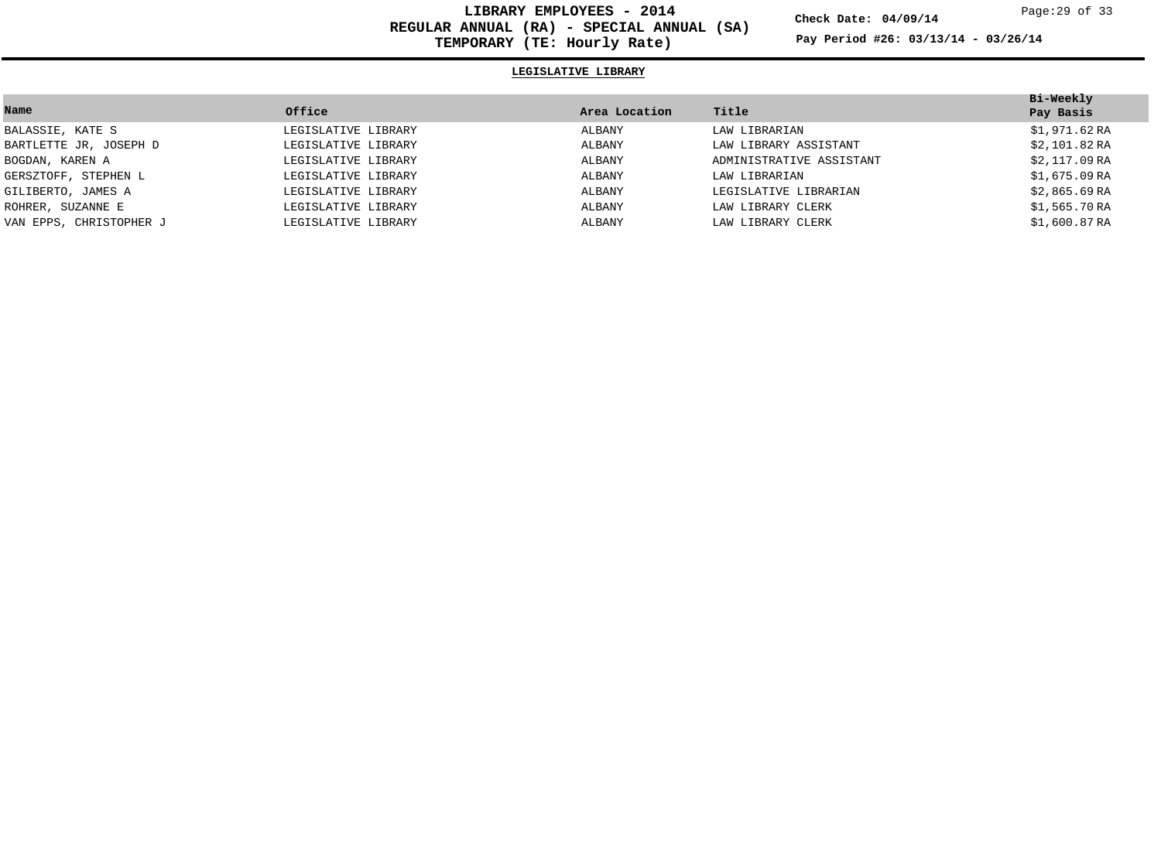**LIBRARY EMPLOYEES - 2014 REGULAR ANNUAL (RA) - SPECIAL ANNUAL (SA) TEMPORARY (TE: Hourly Rate)**

**Check Date: 04/09/14**

**Pay Period #26: 03/13/14 - 03/26/14**

# **LEGISLATIVE LIBRARY**

|                         |                     |               |                          | Bi-Weekly     |
|-------------------------|---------------------|---------------|--------------------------|---------------|
| Name                    | Office              | Area Location | Title                    | Pay Basis     |
| BALASSIE, KATE S        | LEGISLATIVE LIBRARY | ALBANY        | LAW LIBRARIAN            | \$1,971.62RA  |
| BARTLETTE JR, JOSEPH D  | LEGISLATIVE LIBRARY | ALBANY        | LAW LIBRARY ASSISTANT    | \$2,101.82RA  |
| BOGDAN, KAREN A         | LEGISLATIVE LIBRARY | ALBANY        | ADMINISTRATIVE ASSISTANT | \$2,117.09 RA |
| GERSZTOFF, STEPHEN L    | LEGISLATIVE LIBRARY | ALBANY        | LAW LIBRARIAN            | \$1,675.09 RA |
| GILIBERTO, JAMES A      | LEGISLATIVE LIBRARY | ALBANY        | LEGISLATIVE LIBRARIAN    | \$2,865.69 RA |
| ROHRER, SUZANNE E       | LEGISLATIVE LIBRARY | ALBANY        | LAW LIBRARY CLERK        | \$1,565.70RA  |
| VAN EPPS, CHRISTOPHER J | LEGISLATIVE LIBRARY | ALBANY        | LAW LIBRARY CLERK        | \$1,600.87 RA |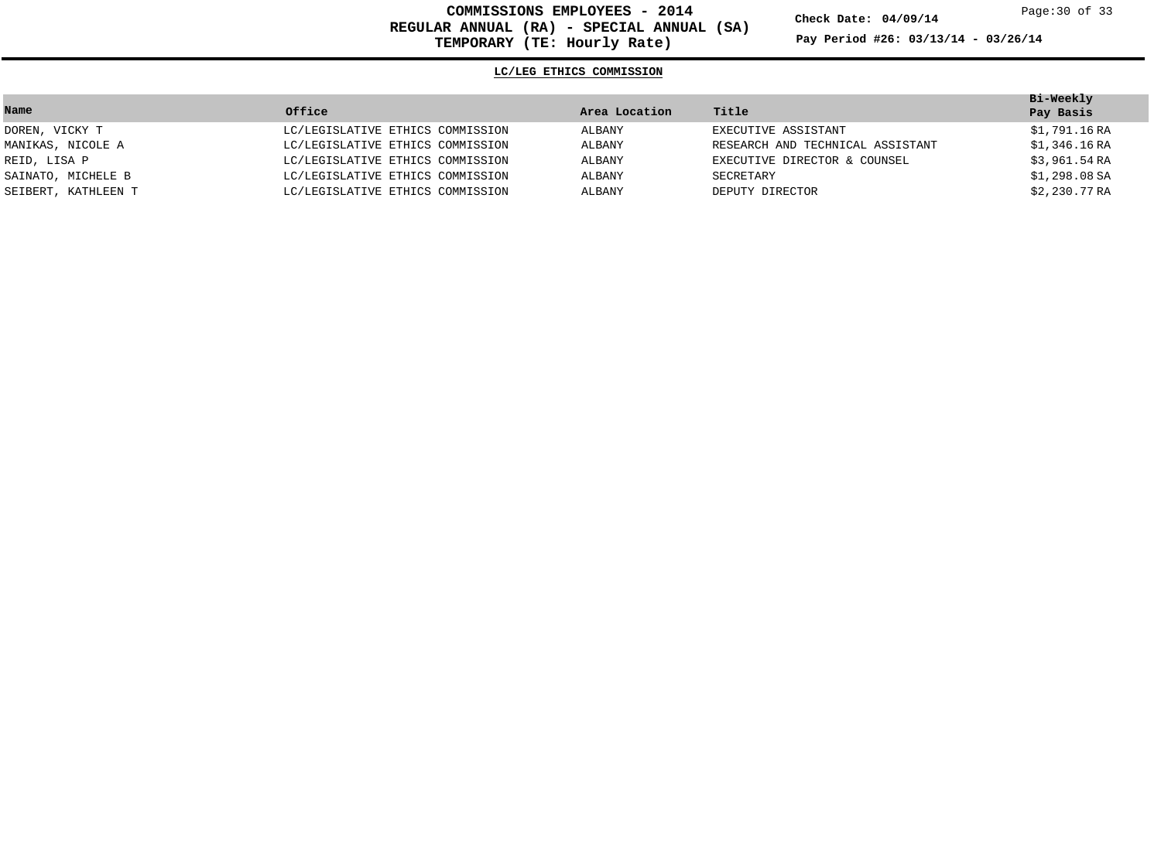**COMMISSIONS EMPLOYEES - 2014 REGULAR ANNUAL (RA) - SPECIAL ANNUAL (SA) TEMPORARY (TE: Hourly Rate)**

**Check Date: 04/09/14**

**Pay Period #26: 03/13/14 - 03/26/14**

### **LC/LEG ETHICS COMMISSION**

|                     |                                  |               |                                  | Bi-Weekly     |
|---------------------|----------------------------------|---------------|----------------------------------|---------------|
| Name                | Office                           | Area Location | Title                            | Pay Basis     |
| DOREN, VICKY T      | LC/LEGISLATIVE ETHICS COMMISSION | ALBANY        | EXECUTIVE ASSISTANT              | \$1,791.16 RA |
| MANIKAS, NICOLE A   | LC/LEGISLATIVE ETHICS COMMISSION | ALBANY        | RESEARCH AND TECHNICAL ASSISTANT | \$1,346.16 RA |
| REID, LISA P        | LC/LEGISLATIVE ETHICS COMMISSION | ALBANY        | EXECUTIVE DIRECTOR & COUNSEL     | \$3,961.54 RA |
| SAINATO, MICHELE B  | LC/LEGISLATIVE ETHICS COMMISSION | ALBANY        | SECRETARY                        | \$1,298.08 SA |
| SEIBERT, KATHLEEN T | LC/LEGISLATIVE ETHICS COMMISSION | ALBANY        | DEPUTY DIRECTOR                  | \$2,230.77 RA |
|                     |                                  |               |                                  |               |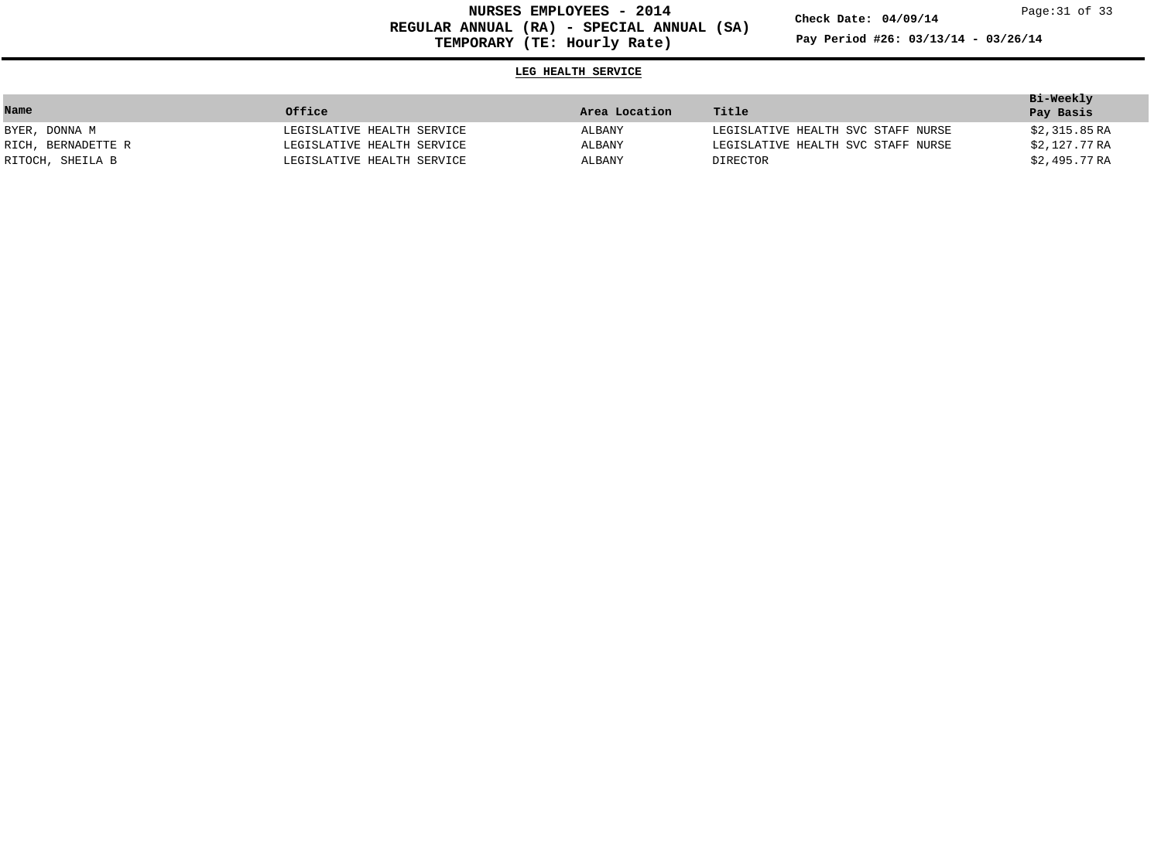**NURSES EMPLOYEES - 2014 REGULAR ANNUAL (RA) - SPECIAL ANNUAL (SA) TEMPORARY (TE: Hourly Rate)**

**Check Date: 04/09/14**

**Pay Period #26: 03/13/14 - 03/26/14**

# **LEG HEALTH SERVICE**

|                    |                            |               |                                    | Bi-Weekly     |
|--------------------|----------------------------|---------------|------------------------------------|---------------|
| Name               | Office                     | Area Location | Title                              | Pay Basis     |
| BYER, DONNA M      | LEGISLATIVE HEALTH SERVICE | ALBANY        | LEGISLATIVE HEALTH SVC STAFF NURSE | \$2,315.85 RA |
| RICH, BERNADETTE R | LEGISLATIVE HEALTH SERVICE | ALBANY        | LEGISLATIVE HEALTH SVC STAFF NURSE | \$2,127.77 RA |
| RITOCH, SHEILA B   | LEGISLATIVE HEALTH SERVICE | ALBANY        | DIRECTOR                           | \$2,495.77 RA |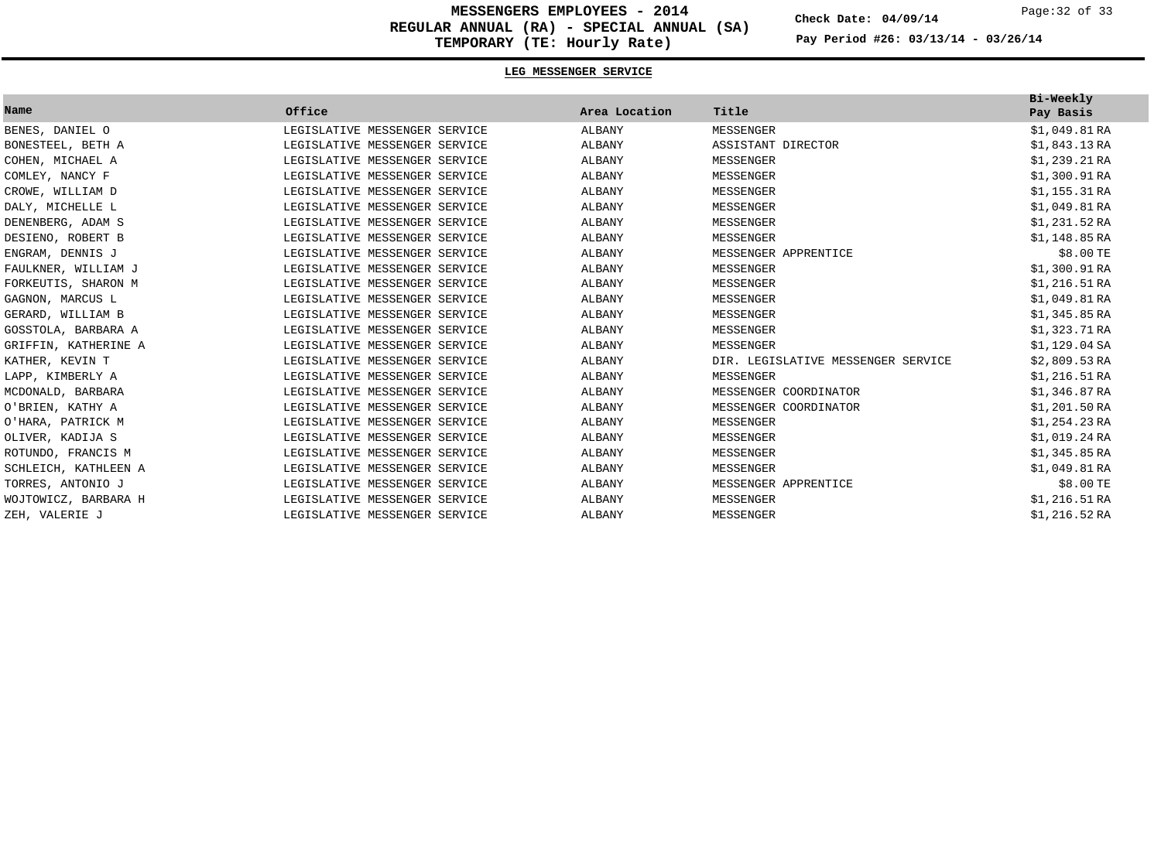**MESSENGERS EMPLOYEES - 2014 REGULAR ANNUAL (RA) - SPECIAL ANNUAL (SA) TEMPORARY (TE: Hourly Rate)**

**Check Date: 04/09/14**

**Pay Period #26: 03/13/14 - 03/26/14**

## **LEG MESSENGER SERVICE**

| Name                 | Office                        | Area Location | Title                              | Bi-Weekly<br>Pay Basis |
|----------------------|-------------------------------|---------------|------------------------------------|------------------------|
| BENES, DANIEL O      | LEGISLATIVE MESSENGER SERVICE | ALBANY        | MESSENGER                          | \$1,049.81RA           |
| BONESTEEL, BETH A    | LEGISLATIVE MESSENGER SERVICE | ALBANY        | ASSISTANT DIRECTOR                 | \$1,843.13RA           |
| COHEN, MICHAEL A     | LEGISLATIVE MESSENGER SERVICE | ALBANY        | MESSENGER                          | \$1,239.21RA           |
| COMLEY, NANCY F      | LEGISLATIVE MESSENGER SERVICE | ALBANY        | MESSENGER                          | \$1,300.91RA           |
| CROWE, WILLIAM D     | LEGISLATIVE MESSENGER SERVICE | ALBANY        | MESSENGER                          | \$1,155.31RA           |
| DALY, MICHELLE L     | LEGISLATIVE MESSENGER SERVICE | ALBANY        | MESSENGER                          | \$1,049.81RA           |
| DENENBERG, ADAM S    | LEGISLATIVE MESSENGER SERVICE | ALBANY        | MESSENGER                          | \$1,231.52RA           |
| DESIENO, ROBERT B    | LEGISLATIVE MESSENGER SERVICE | ALBANY        | MESSENGER                          | \$1,148.85RA           |
| ENGRAM, DENNIS J     | LEGISLATIVE MESSENGER SERVICE | ALBANY        | MESSENGER APPRENTICE               | \$8.00 TE              |
| FAULKNER, WILLIAM J  | LEGISLATIVE MESSENGER SERVICE | ALBANY        | MESSENGER                          | \$1,300.91RA           |
| FORKEUTIS, SHARON M  | LEGISLATIVE MESSENGER SERVICE | ALBANY        | MESSENGER                          | \$1,216.51RA           |
| GAGNON, MARCUS L     | LEGISLATIVE MESSENGER SERVICE | ALBANY        | MESSENGER                          | \$1,049.81RA           |
| GERARD, WILLIAM B    | LEGISLATIVE MESSENGER SERVICE | ALBANY        | MESSENGER                          | \$1,345.85RA           |
| GOSSTOLA, BARBARA A  | LEGISLATIVE MESSENGER SERVICE | ALBANY        | MESSENGER                          | \$1,323.71RA           |
| GRIFFIN, KATHERINE A | LEGISLATIVE MESSENGER SERVICE | ALBANY        | MESSENGER                          | \$1,129.04 SA          |
| KATHER, KEVIN T      | LEGISLATIVE MESSENGER SERVICE | ALBANY        | DIR. LEGISLATIVE MESSENGER SERVICE | \$2,809.53RA           |
| LAPP, KIMBERLY A     | LEGISLATIVE MESSENGER SERVICE | ALBANY        | MESSENGER                          | \$1,216.51RA           |
| MCDONALD, BARBARA    | LEGISLATIVE MESSENGER SERVICE | ALBANY        | MESSENGER COORDINATOR              | \$1,346.87RA           |
| O'BRIEN, KATHY A     | LEGISLATIVE MESSENGER SERVICE | ALBANY        | MESSENGER COORDINATOR              | \$1,201.50RA           |
| O'HARA, PATRICK M    | LEGISLATIVE MESSENGER SERVICE | ALBANY        | MESSENGER                          | \$1,254.23RA           |
| OLIVER, KADIJA S     | LEGISLATIVE MESSENGER SERVICE | ALBANY        | MESSENGER                          | \$1,019.24RA           |
| ROTUNDO, FRANCIS M   | LEGISLATIVE MESSENGER SERVICE | ALBANY        | MESSENGER                          | \$1,345.85RA           |
| SCHLEICH, KATHLEEN A | LEGISLATIVE MESSENGER SERVICE | ALBANY        | MESSENGER                          | \$1,049.81RA           |
| TORRES, ANTONIO J    | LEGISLATIVE MESSENGER SERVICE | ALBANY        | MESSENGER APPRENTICE               | \$8.00 TE              |
| WOJTOWICZ, BARBARA H | LEGISLATIVE MESSENGER SERVICE | ALBANY        | MESSENGER                          | \$1,216.51RA           |
| ZEH, VALERIE J       | LEGISLATIVE MESSENGER SERVICE | ALBANY        | MESSENGER                          | \$1,216.52RA           |

Page:32 of 33